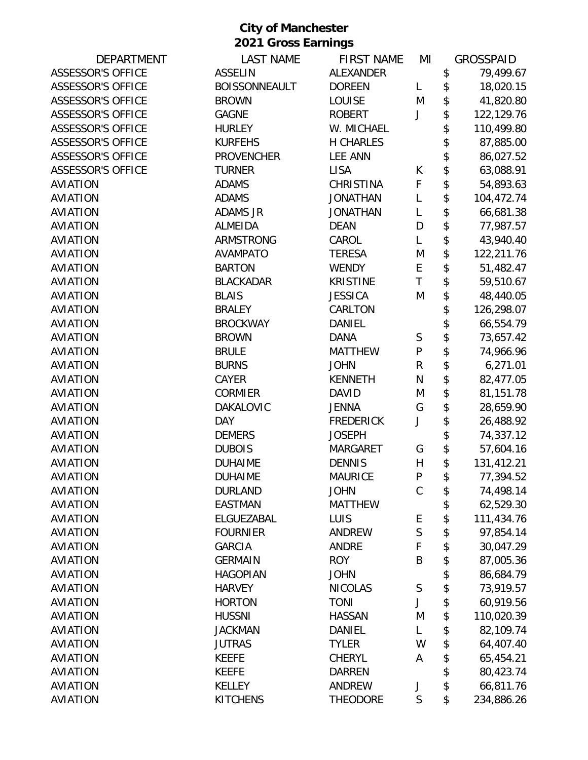| <b>DEPARTMENT</b>        | <b>LAST NAME</b>     | <b>FIRST NAME</b> | ΜI           | <b>GROSSPAID</b> |
|--------------------------|----------------------|-------------------|--------------|------------------|
| <b>ASSESSOR'S OFFICE</b> | <b>ASSELIN</b>       | <b>ALEXANDER</b>  |              | \$<br>79,499.67  |
| <b>ASSESSOR'S OFFICE</b> | <b>BOISSONNEAULT</b> | <b>DOREEN</b>     | L            | \$<br>18,020.15  |
| <b>ASSESSOR'S OFFICE</b> | <b>BROWN</b>         | LOUISE            | M            | \$<br>41,820.80  |
| <b>ASSESSOR'S OFFICE</b> | <b>GAGNE</b>         | <b>ROBERT</b>     | J            | \$<br>122,129.76 |
| <b>ASSESSOR'S OFFICE</b> | <b>HURLEY</b>        | W. MICHAEL        |              | \$<br>110,499.80 |
| <b>ASSESSOR'S OFFICE</b> | <b>KURFEHS</b>       | <b>H CHARLES</b>  |              | \$<br>87,885.00  |
| <b>ASSESSOR'S OFFICE</b> | <b>PROVENCHER</b>    | <b>LEE ANN</b>    |              | \$<br>86,027.52  |
| <b>ASSESSOR'S OFFICE</b> | <b>TURNER</b>        | <b>LISA</b>       | К            | \$<br>63,088.91  |
| <b>AVIATION</b>          | <b>ADAMS</b>         | <b>CHRISTINA</b>  | F            | \$<br>54,893.63  |
| <b>AVIATION</b>          | <b>ADAMS</b>         | <b>JONATHAN</b>   | L            | \$<br>104,472.74 |
| <b>AVIATION</b>          | <b>ADAMS JR</b>      | <b>JONATHAN</b>   | L            | \$<br>66,681.38  |
| <b>AVIATION</b>          | <b>ALMEIDA</b>       | <b>DEAN</b>       | D            | \$<br>77,987.57  |
| <b>AVIATION</b>          | <b>ARMSTRONG</b>     | CAROL             | L            | \$<br>43,940.40  |
| <b>AVIATION</b>          | <b>AVAMPATO</b>      | <b>TERESA</b>     | M            | \$<br>122,211.76 |
| <b>AVIATION</b>          | <b>BARTON</b>        | <b>WENDY</b>      | E            | \$<br>51,482.47  |
| <b>AVIATION</b>          | <b>BLACKADAR</b>     | <b>KRISTINE</b>   | T            | \$<br>59,510.67  |
| <b>AVIATION</b>          | <b>BLAIS</b>         | <b>JESSICA</b>    | M            | \$<br>48,440.05  |
| <b>AVIATION</b>          | <b>BRALEY</b>        | CARLTON           |              | \$<br>126,298.07 |
| <b>AVIATION</b>          | <b>BROCKWAY</b>      | <b>DANIEL</b>     |              | \$<br>66,554.79  |
| <b>AVIATION</b>          | <b>BROWN</b>         | <b>DANA</b>       | S            | \$<br>73,657.42  |
| <b>AVIATION</b>          | <b>BRULE</b>         | <b>MATTHEW</b>    | $\mathsf{P}$ | \$<br>74,966.96  |
| <b>AVIATION</b>          | <b>BURNS</b>         | <b>JOHN</b>       | $\mathsf R$  | \$<br>6,271.01   |
| <b>AVIATION</b>          | CAYER                | <b>KENNETH</b>    | N            | \$<br>82,477.05  |
| <b>AVIATION</b>          | <b>CORMIER</b>       | <b>DAVID</b>      | M            | \$<br>81,151.78  |
| <b>AVIATION</b>          | DAKALOVIC            | <b>JENNA</b>      | G            | \$<br>28,659.90  |
| <b>AVIATION</b>          | <b>DAY</b>           | <b>FREDERICK</b>  | J            | \$<br>26,488.92  |
| <b>AVIATION</b>          | <b>DEMERS</b>        | <b>JOSEPH</b>     |              | \$<br>74,337.12  |
| <b>AVIATION</b>          | <b>DUBOIS</b>        | <b>MARGARET</b>   | G            | \$<br>57,604.16  |
| <b>AVIATION</b>          | <b>DUHAIME</b>       | <b>DENNIS</b>     | $\mathsf{H}$ | \$<br>131,412.21 |
| <b>AVIATION</b>          | <b>DUHAIME</b>       | <b>MAURICE</b>    | P            | \$<br>77,394.52  |
| <b>AVIATION</b>          | <b>DURLAND</b>       | <b>JOHN</b>       | $\mathsf C$  | \$<br>74,498.14  |
| <b>AVIATION</b>          | <b>EASTMAN</b>       | <b>MATTHEW</b>    |              | \$<br>62,529.30  |
| <b>AVIATION</b>          | ELGUEZABAL           | LUIS              | E            | \$<br>111,434.76 |
| <b>AVIATION</b>          | <b>FOURNIER</b>      | <b>ANDREW</b>     | S            | \$<br>97,854.14  |
| <b>AVIATION</b>          | <b>GARCIA</b>        | <b>ANDRE</b>      | F            | \$<br>30,047.29  |
| <b>AVIATION</b>          | <b>GERMAIN</b>       | <b>ROY</b>        | B            | \$<br>87,005.36  |
| <b>AVIATION</b>          | <b>HAGOPIAN</b>      | <b>JOHN</b>       |              | \$<br>86,684.79  |
| <b>AVIATION</b>          | <b>HARVEY</b>        | <b>NICOLAS</b>    | $\mathsf S$  | \$<br>73,919.57  |
| <b>AVIATION</b>          | <b>HORTON</b>        | <b>TONI</b>       | J            | \$<br>60,919.56  |
| <b>AVIATION</b>          | <b>HUSSNI</b>        | <b>HASSAN</b>     | M            | \$<br>110,020.39 |
| <b>AVIATION</b>          | <b>JACKMAN</b>       | DANIEL            | L            | \$<br>82,109.74  |
| <b>AVIATION</b>          | <b>JUTRAS</b>        | <b>TYLER</b>      | W            | \$<br>64,407.40  |
| <b>AVIATION</b>          | <b>KEEFE</b>         | <b>CHERYL</b>     | A            | \$<br>65,454.21  |
| <b>AVIATION</b>          | <b>KEEFE</b>         | <b>DARREN</b>     |              | \$<br>80,423.74  |
| <b>AVIATION</b>          | <b>KELLEY</b>        | ANDREW            | J            | \$<br>66,811.76  |
| <b>AVIATION</b>          | <b>KITCHENS</b>      | <b>THEODORE</b>   | $\mathsf S$  | \$<br>234,886.26 |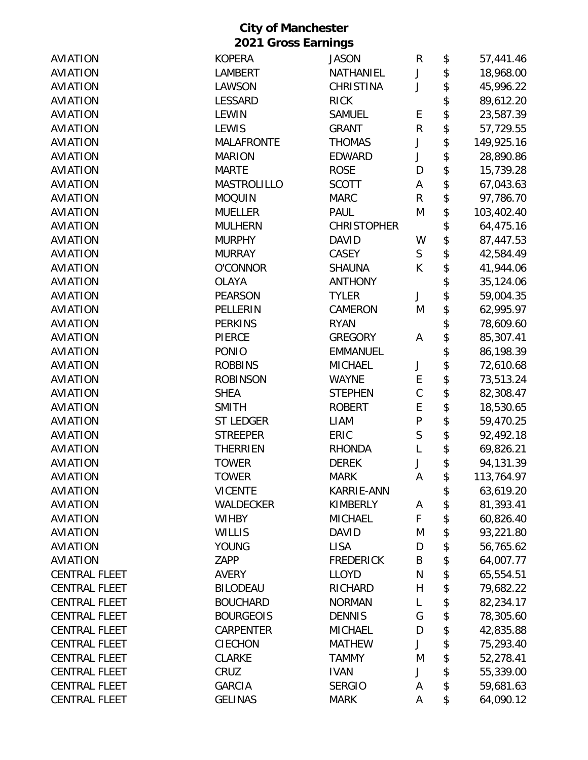|                      | <b>2021 Gross Earnings</b> |                    |              |                            |            |
|----------------------|----------------------------|--------------------|--------------|----------------------------|------------|
| <b>AVIATION</b>      | <b>KOPERA</b>              | <b>JASON</b>       | R            | \$                         | 57,441.46  |
| <b>AVIATION</b>      | <b>LAMBERT</b>             | NATHANIEL          | J            | \$                         | 18,968.00  |
| <b>AVIATION</b>      | LAWSON                     | <b>CHRISTINA</b>   | J            | \$                         | 45,996.22  |
| <b>AVIATION</b>      | <b>LESSARD</b>             | <b>RICK</b>        |              | \$                         | 89,612.20  |
| <b>AVIATION</b>      | <b>LEWIN</b>               | <b>SAMUEL</b>      | E            | \$                         | 23,587.39  |
| <b>AVIATION</b>      | <b>LEWIS</b>               | <b>GRANT</b>       | $\mathsf R$  | \$                         | 57,729.55  |
| <b>AVIATION</b>      | <b>MALAFRONTE</b>          | <b>THOMAS</b>      | J            | \$                         | 149,925.16 |
| <b>AVIATION</b>      | <b>MARION</b>              | <b>EDWARD</b>      | J            | \$                         | 28,890.86  |
| <b>AVIATION</b>      | <b>MARTE</b>               | <b>ROSE</b>        | D            | \$                         | 15,739.28  |
| <b>AVIATION</b>      | <b>MASTROLILLO</b>         | <b>SCOTT</b>       | Α            | \$                         | 67,043.63  |
| <b>AVIATION</b>      | <b>MOQUIN</b>              | <b>MARC</b>        | R            | \$                         | 97,786.70  |
| <b>AVIATION</b>      | <b>MUELLER</b>             | <b>PAUL</b>        | M            | \$                         | 103,402.40 |
| <b>AVIATION</b>      | <b>MULHERN</b>             | <b>CHRISTOPHER</b> |              | \$                         | 64,475.16  |
| <b>AVIATION</b>      | <b>MURPHY</b>              | <b>DAVID</b>       | W            | \$                         | 87,447.53  |
| <b>AVIATION</b>      | <b>MURRAY</b>              | CASEY              | $\mathsf S$  | \$                         | 42,584.49  |
| <b>AVIATION</b>      | <b>O'CONNOR</b>            | <b>SHAUNA</b>      | K            | \$                         | 41,944.06  |
| <b>AVIATION</b>      | <b>OLAYA</b>               | <b>ANTHONY</b>     |              | \$                         | 35,124.06  |
| <b>AVIATION</b>      | <b>PEARSON</b>             | <b>TYLER</b>       | J            | \$                         | 59,004.35  |
| <b>AVIATION</b>      | PELLERIN                   | CAMERON            | M            | \$                         |            |
| <b>AVIATION</b>      | <b>PERKINS</b>             | <b>RYAN</b>        |              | \$                         | 62,995.97  |
| <b>AVIATION</b>      | <b>PIERCE</b>              | <b>GREGORY</b>     |              |                            | 78,609.60  |
|                      |                            |                    | Α            | \$                         | 85,307.41  |
| <b>AVIATION</b>      | <b>PONIO</b>               | <b>EMMANUEL</b>    |              | \$                         | 86,198.39  |
| <b>AVIATION</b>      | <b>ROBBINS</b>             | <b>MICHAEL</b>     | J            | \$                         | 72,610.68  |
| <b>AVIATION</b>      | <b>ROBINSON</b>            | <b>WAYNE</b>       | E            | \$                         | 73,513.24  |
| <b>AVIATION</b>      | <b>SHEA</b>                | <b>STEPHEN</b>     | $\mathsf{C}$ | \$                         | 82,308.47  |
| <b>AVIATION</b>      | <b>SMITH</b>               | <b>ROBERT</b>      | E            | \$                         | 18,530.65  |
| <b>AVIATION</b>      | <b>ST LEDGER</b>           | <b>LIAM</b>        | ${\sf P}$    | \$                         | 59,470.25  |
| <b>AVIATION</b>      | <b>STREEPER</b>            | ERIC               | S            | \$                         | 92,492.18  |
| <b>AVIATION</b>      | <b>THERRIEN</b>            | <b>RHONDA</b>      | L            | \$                         | 69,826.21  |
| AVIATION             | <b>TOWER</b>               | <b>DEREK</b>       |              | \$                         | 94,131.39  |
| <b>AVIATION</b>      | <b>TOWER</b>               | <b>MARK</b>        | Α            | \$                         | 113,764.97 |
| <b>AVIATION</b>      | <b>VICENTE</b>             | KARRIE-ANN         |              | \$                         | 63,619.20  |
| <b>AVIATION</b>      | WALDECKER                  | <b>KIMBERLY</b>    | A            | \$                         | 81,393.41  |
| <b>AVIATION</b>      | <b>WIHBY</b>               | <b>MICHAEL</b>     | F            | \$                         | 60,826.40  |
| <b>AVIATION</b>      | <b>WILLIS</b>              | <b>DAVID</b>       | M            | \$                         | 93,221.80  |
| <b>AVIATION</b>      | <b>YOUNG</b>               | <b>LISA</b>        | D            | $\boldsymbol{\mathsf{\$}}$ | 56,765.62  |
| <b>AVIATION</b>      | ZAPP                       | <b>FREDERICK</b>   | B            | \$                         | 64,007.77  |
| <b>CENTRAL FLEET</b> | <b>AVERY</b>               | <b>LLOYD</b>       | ${\sf N}$    | \$                         | 65,554.51  |
| <b>CENTRAL FLEET</b> | <b>BILODEAU</b>            | <b>RICHARD</b>     | H            | \$                         | 79,682.22  |
| <b>CENTRAL FLEET</b> | <b>BOUCHARD</b>            | <b>NORMAN</b>      | L            | \$                         | 82,234.17  |
| <b>CENTRAL FLEET</b> | <b>BOURGEOIS</b>           | <b>DENNIS</b>      | G            | \$                         | 78,305.60  |
| <b>CENTRAL FLEET</b> | CARPENTER                  | <b>MICHAEL</b>     | D            | \$                         | 42,835.88  |
| <b>CENTRAL FLEET</b> | <b>CIECHON</b>             | <b>MATHEW</b>      | J            | \$                         | 75,293.40  |
| <b>CENTRAL FLEET</b> | <b>CLARKE</b>              | <b>TAMMY</b>       | M            | \$                         | 52,278.41  |
| <b>CENTRAL FLEET</b> | CRUZ                       | <b>IVAN</b>        | J            | \$                         | 55,339.00  |
| <b>CENTRAL FLEET</b> | <b>GARCIA</b>              | <b>SERGIO</b>      | Α            | \$                         | 59,681.63  |
| <b>CENTRAL FLEET</b> | <b>GELINAS</b>             | <b>MARK</b>        | Α            | \$                         | 64,090.12  |
|                      |                            |                    |              |                            |            |

**City of Manchester**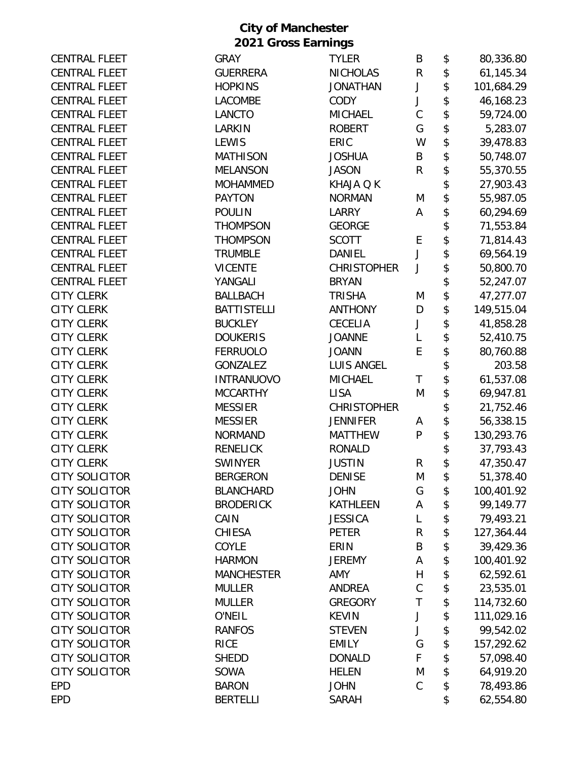| <b>CENTRAL FLEET</b>  | <b>GRAY</b>        | <b>TYLER</b>       | Β           | \$<br>80,336.80  |
|-----------------------|--------------------|--------------------|-------------|------------------|
| <b>CENTRAL FLEET</b>  | <b>GUERRERA</b>    | <b>NICHOLAS</b>    | ${\sf R}$   | \$<br>61,145.34  |
| <b>CENTRAL FLEET</b>  | <b>HOPKINS</b>     | <b>JONATHAN</b>    | J           | \$<br>101,684.29 |
| <b>CENTRAL FLEET</b>  | <b>LACOMBE</b>     | <b>CODY</b>        | J           | \$<br>46,168.23  |
| <b>CENTRAL FLEET</b>  | <b>LANCTO</b>      | <b>MICHAEL</b>     | $\mathsf C$ | \$<br>59,724.00  |
| <b>CENTRAL FLEET</b>  | LARKIN             | <b>ROBERT</b>      | G           | \$<br>5,283.07   |
| <b>CENTRAL FLEET</b>  | <b>LEWIS</b>       | ERIC               | W           | \$<br>39,478.83  |
| <b>CENTRAL FLEET</b>  | <b>MATHISON</b>    | <b>JOSHUA</b>      | B           | \$<br>50,748.07  |
| <b>CENTRAL FLEET</b>  | <b>MELANSON</b>    | <b>JASON</b>       | R           | \$<br>55,370.55  |
| <b>CENTRAL FLEET</b>  | <b>MOHAMMED</b>    | KHAJA Q K          |             | \$<br>27,903.43  |
| <b>CENTRAL FLEET</b>  | <b>PAYTON</b>      | <b>NORMAN</b>      | M           | \$<br>55,987.05  |
| <b>CENTRAL FLEET</b>  | <b>POULIN</b>      | <b>LARRY</b>       | Α           | \$<br>60,294.69  |
| <b>CENTRAL FLEET</b>  | <b>THOMPSON</b>    | <b>GEORGE</b>      |             | \$<br>71,553.84  |
| <b>CENTRAL FLEET</b>  | <b>THOMPSON</b>    | <b>SCOTT</b>       | E           | \$<br>71,814.43  |
| <b>CENTRAL FLEET</b>  | <b>TRUMBLE</b>     | DANIEL             | J           | \$<br>69,564.19  |
| <b>CENTRAL FLEET</b>  | <b>VICENTE</b>     | <b>CHRISTOPHER</b> | J           | \$<br>50,800.70  |
| <b>CENTRAL FLEET</b>  | YANGALI            | <b>BRYAN</b>       |             | \$<br>52,247.07  |
| <b>CITY CLERK</b>     | <b>BALLBACH</b>    | <b>TRISHA</b>      | M           | \$<br>47,277.07  |
| <b>CITY CLERK</b>     | <b>BATTISTELLI</b> | <b>ANTHONY</b>     | D           | \$<br>149,515.04 |
| <b>CITY CLERK</b>     | <b>BUCKLEY</b>     | <b>CECELIA</b>     | J           | \$<br>41,858.28  |
| <b>CITY CLERK</b>     | <b>DOUKERIS</b>    | <b>JOANNE</b>      | L           | \$<br>52,410.75  |
| <b>CITY CLERK</b>     | <b>FERRUOLO</b>    | <b>JOANN</b>       | E           | \$<br>80,760.88  |
| <b>CITY CLERK</b>     | <b>GONZALEZ</b>    | <b>LUIS ANGEL</b>  |             | \$<br>203.58     |
| <b>CITY CLERK</b>     | <b>INTRANUOVO</b>  | <b>MICHAEL</b>     | T           | \$<br>61,537.08  |
| <b>CITY CLERK</b>     | <b>MCCARTHY</b>    | <b>LISA</b>        | M           | \$<br>69,947.81  |
| <b>CITY CLERK</b>     | <b>MESSIER</b>     | <b>CHRISTOPHER</b> |             | \$<br>21,752.46  |
| <b>CITY CLERK</b>     | <b>MESSIER</b>     | <b>JENNIFER</b>    | Α           | \$<br>56,338.15  |
| <b>CITY CLERK</b>     | <b>NORMAND</b>     | <b>MATTHEW</b>     | P           | \$<br>130,293.76 |
| <b>CITY CLERK</b>     | <b>RENELICK</b>    | <b>RONALD</b>      |             | \$<br>37,793.43  |
| <b>CITY CLERK</b>     | <b>SWINYER</b>     | <b>JUSTIN</b>      | R           | \$<br>47,350.47  |
| <b>CITY SOLICITOR</b> | <b>BERGERON</b>    | <b>DENISE</b>      | M           | \$<br>51,378.40  |
| <b>CITY SOLICITOR</b> | <b>BLANCHARD</b>   | <b>JOHN</b>        | G           | \$<br>100,401.92 |
| <b>CITY SOLICITOR</b> | <b>BRODERICK</b>   | <b>KATHLEEN</b>    | А           | \$<br>99,149.77  |
| <b>CITY SOLICITOR</b> | CAIN               | <b>JESSICA</b>     | L           | \$<br>79,493.21  |
| <b>CITY SOLICITOR</b> | <b>CHIESA</b>      | <b>PETER</b>       | R           | \$<br>127,364.44 |
| <b>CITY SOLICITOR</b> | COYLE              | ERIN               | B           | \$<br>39,429.36  |
| <b>CITY SOLICITOR</b> | <b>HARMON</b>      | <b>JEREMY</b>      | Α           | \$<br>100,401.92 |
| <b>CITY SOLICITOR</b> | <b>MANCHESTER</b>  | AMY                | H           | \$<br>62,592.61  |
| <b>CITY SOLICITOR</b> | <b>MULLER</b>      | <b>ANDREA</b>      | $\mathsf C$ | \$<br>23,535.01  |
| <b>CITY SOLICITOR</b> | <b>MULLER</b>      | <b>GREGORY</b>     | T           | \$<br>114,732.60 |
| <b>CITY SOLICITOR</b> | O'NEIL             | <b>KEVIN</b>       | J           | \$<br>111,029.16 |
| <b>CITY SOLICITOR</b> | <b>RANFOS</b>      | <b>STEVEN</b>      | J           | \$<br>99,542.02  |
| <b>CITY SOLICITOR</b> | <b>RICE</b>        | <b>EMILY</b>       | G           | \$<br>157,292.62 |
| <b>CITY SOLICITOR</b> | <b>SHEDD</b>       | <b>DONALD</b>      | F           | \$<br>57,098.40  |
| <b>CITY SOLICITOR</b> | SOWA               | <b>HELEN</b>       | M           | \$<br>64,919.20  |
| <b>EPD</b>            | <b>BARON</b>       | <b>JOHN</b>        | C           | \$<br>78,493.86  |
| <b>EPD</b>            | <b>BERTELLI</b>    | <b>SARAH</b>       |             | \$<br>62,554.80  |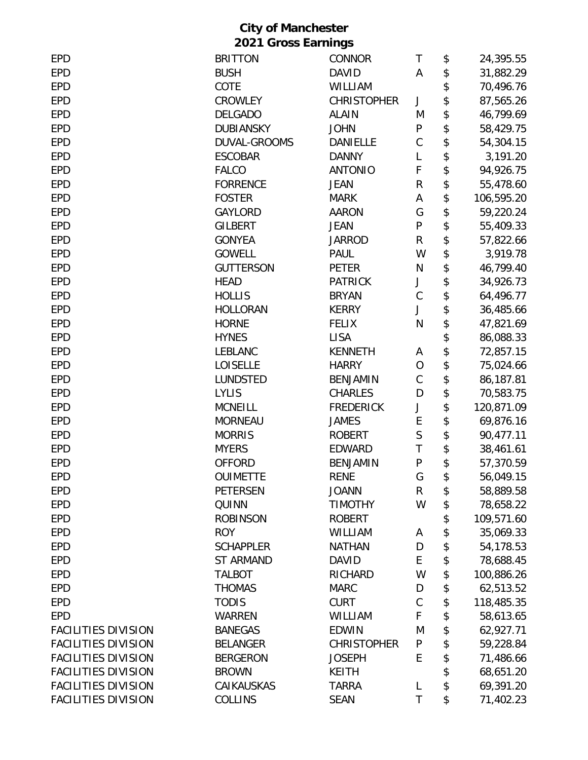| <b>EPD</b>                 | <b>BRITTON</b>   | <b>CONNOR</b>      | Τ            | \$<br>24,395.55  |
|----------------------------|------------------|--------------------|--------------|------------------|
| <b>EPD</b>                 | <b>BUSH</b>      | <b>DAVID</b>       | A            | \$<br>31,882.29  |
| <b>EPD</b>                 | COTE             | WILLIAM            |              | \$<br>70,496.76  |
| <b>EPD</b>                 | <b>CROWLEY</b>   | <b>CHRISTOPHER</b> | J            | \$<br>87,565.26  |
| <b>EPD</b>                 | <b>DELGADO</b>   | <b>ALAIN</b>       | M            | \$<br>46,799.69  |
| <b>EPD</b>                 | <b>DUBIANSKY</b> | <b>JOHN</b>        | ${\sf P}$    | \$<br>58,429.75  |
| <b>EPD</b>                 | DUVAL-GROOMS     | <b>DANIELLE</b>    | $\mathsf C$  | \$<br>54,304.15  |
| <b>EPD</b>                 | <b>ESCOBAR</b>   | <b>DANNY</b>       | L            | \$<br>3,191.20   |
| <b>EPD</b>                 | <b>FALCO</b>     | <b>ANTONIO</b>     | F            | \$<br>94,926.75  |
| <b>EPD</b>                 | <b>FORRENCE</b>  | <b>JEAN</b>        | R            | \$<br>55,478.60  |
| <b>EPD</b>                 | <b>FOSTER</b>    | <b>MARK</b>        | А            | \$<br>106,595.20 |
| <b>EPD</b>                 | <b>GAYLORD</b>   | <b>AARON</b>       | G            | \$<br>59,220.24  |
| <b>EPD</b>                 | <b>GILBERT</b>   | <b>JEAN</b>        | $\mathsf{P}$ | \$<br>55,409.33  |
| <b>EPD</b>                 | <b>GONYEA</b>    | <b>JARROD</b>      | R            | \$<br>57,822.66  |
| <b>EPD</b>                 | <b>GOWELL</b>    | <b>PAUL</b>        | W            | \$<br>3,919.78   |
| <b>EPD</b>                 | <b>GUTTERSON</b> | <b>PETER</b>       | N            | \$<br>46,799.40  |
| <b>EPD</b>                 | <b>HEAD</b>      | <b>PATRICK</b>     | J            | \$<br>34,926.73  |
| <b>EPD</b>                 | <b>HOLLIS</b>    | <b>BRYAN</b>       | $\mathsf C$  | \$<br>64,496.77  |
| <b>EPD</b>                 | <b>HOLLORAN</b>  | <b>KERRY</b>       | J            | \$<br>36,485.66  |
| <b>EPD</b>                 | <b>HORNE</b>     | <b>FELIX</b>       | N            | \$<br>47,821.69  |
| <b>EPD</b>                 | <b>HYNES</b>     | <b>LISA</b>        |              | \$<br>86,088.33  |
| <b>EPD</b>                 | <b>LEBLANC</b>   | <b>KENNETH</b>     | A            | \$<br>72,857.15  |
| <b>EPD</b>                 | <b>LOISELLE</b>  | <b>HARRY</b>       | O            | \$<br>75,024.66  |
| <b>EPD</b>                 | LUNDSTED         | <b>BENJAMIN</b>    | $\mathsf C$  | \$<br>86,187.81  |
| <b>EPD</b>                 | <b>LYLIS</b>     | <b>CHARLES</b>     | D            | \$<br>70,583.75  |
| <b>EPD</b>                 | <b>MCNEILL</b>   | <b>FREDERICK</b>   | J            | \$<br>120,871.09 |
| <b>EPD</b>                 | <b>MORNEAU</b>   | <b>JAMES</b>       | E            | \$<br>69,876.16  |
| <b>EPD</b>                 | <b>MORRIS</b>    | <b>ROBERT</b>      | S            | \$<br>90,477.11  |
| <b>EPD</b>                 | <b>MYERS</b>     | <b>EDWARD</b>      | T            | \$<br>38,461.61  |
| <b>EPD</b>                 | <b>OFFORD</b>    | <b>BENJAMIN</b>    | ${\sf P}$    | \$<br>57,370.59  |
| <b>EPD</b>                 | <b>OUIMETTE</b>  | <b>RENE</b>        | G            | 56,049.15        |
| <b>EPD</b>                 | PETERSEN         | <b>JOANN</b>       | R            | \$<br>58,889.58  |
| <b>EPD</b>                 | QUINN            | <b>TIMOTHY</b>     | W            | \$<br>78,658.22  |
| <b>EPD</b>                 | <b>ROBINSON</b>  | <b>ROBERT</b>      |              | \$<br>109,571.60 |
| <b>EPD</b>                 | <b>ROY</b>       | WILLIAM            | А            | \$<br>35,069.33  |
| <b>EPD</b>                 | <b>SCHAPPLER</b> | <b>NATHAN</b>      | D            | \$<br>54,178.53  |
| <b>EPD</b>                 | <b>ST ARMAND</b> | <b>DAVID</b>       | E            | \$<br>78,688.45  |
| <b>EPD</b>                 | <b>TALBOT</b>    | <b>RICHARD</b>     | W            | \$<br>100,886.26 |
| <b>EPD</b>                 | <b>THOMAS</b>    | <b>MARC</b>        | D            | \$<br>62,513.52  |
| <b>EPD</b>                 | <b>TODIS</b>     | <b>CURT</b>        | C            | \$<br>118,485.35 |
| <b>EPD</b>                 | <b>WARREN</b>    | WILLIAM            | F            | \$<br>58,613.65  |
| <b>FACILITIES DIVISION</b> | <b>BANEGAS</b>   | <b>EDWIN</b>       | M            | \$<br>62,927.71  |
| <b>FACILITIES DIVISION</b> | <b>BELANGER</b>  | <b>CHRISTOPHER</b> | P            | \$<br>59,228.84  |
| <b>FACILITIES DIVISION</b> | <b>BERGERON</b>  | <b>JOSEPH</b>      | E            | \$<br>71,486.66  |
| <b>FACILITIES DIVISION</b> | <b>BROWN</b>     | <b>KEITH</b>       |              | \$<br>68,651.20  |
| <b>FACILITIES DIVISION</b> | CAIKAUSKAS       | <b>TARRA</b>       | L            | \$<br>69,391.20  |
| <b>FACILITIES DIVISION</b> | <b>COLLINS</b>   | <b>SEAN</b>        | Τ            | \$<br>71,402.23  |
|                            |                  |                    |              |                  |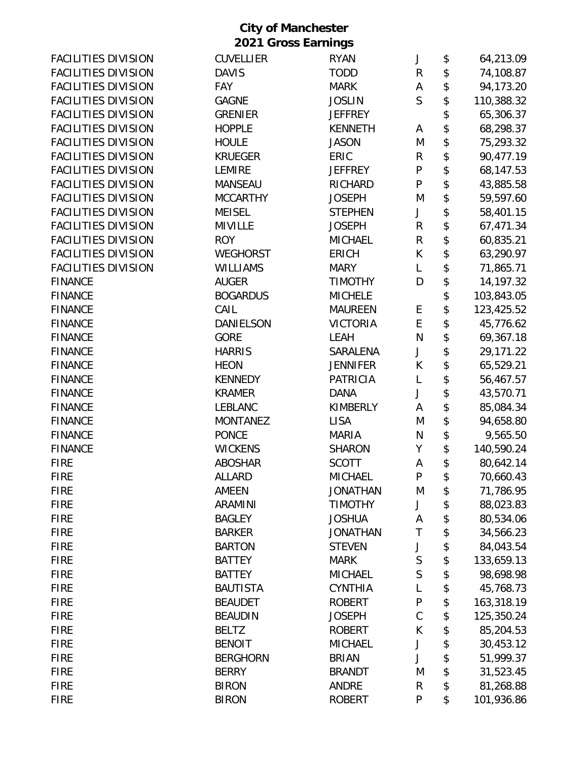| <b>FACILITIES DIVISION</b> | <b>CUVELLIER</b> | <b>RYAN</b>     | J              | \$<br>64,213.09  |
|----------------------------|------------------|-----------------|----------------|------------------|
| <b>FACILITIES DIVISION</b> | <b>DAVIS</b>     | <b>TODD</b>     | $\mathsf R$    | \$<br>74,108.87  |
| <b>FACILITIES DIVISION</b> | <b>FAY</b>       | <b>MARK</b>     | А              | \$<br>94,173.20  |
| <b>FACILITIES DIVISION</b> | <b>GAGNE</b>     | <b>JOSLIN</b>   | $\mathsf{S}$   | \$<br>110,388.32 |
| <b>FACILITIES DIVISION</b> | <b>GRENIER</b>   | <b>JEFFREY</b>  |                | \$<br>65,306.37  |
| <b>FACILITIES DIVISION</b> | <b>HOPPLE</b>    | <b>KENNETH</b>  | Α              | \$<br>68,298.37  |
| <b>FACILITIES DIVISION</b> | <b>HOULE</b>     | <b>JASON</b>    | M              | \$<br>75,293.32  |
| <b>FACILITIES DIVISION</b> | <b>KRUEGER</b>   | ERIC            | $\mathsf R$    | \$<br>90,477.19  |
| <b>FACILITIES DIVISION</b> | <b>LEMIRE</b>    | <b>JEFFREY</b>  | $\mathsf{P}$   | \$<br>68,147.53  |
| <b>FACILITIES DIVISION</b> | <b>MANSEAU</b>   | <b>RICHARD</b>  | P              | \$<br>43,885.58  |
| <b>FACILITIES DIVISION</b> | <b>MCCARTHY</b>  | <b>JOSEPH</b>   | M              | \$<br>59,597.60  |
| <b>FACILITIES DIVISION</b> | <b>MEISEL</b>    | <b>STEPHEN</b>  | J              | \$<br>58,401.15  |
| <b>FACILITIES DIVISION</b> | <b>MIVILLE</b>   | <b>JOSEPH</b>   | $\mathsf R$    | \$<br>67,471.34  |
| <b>FACILITIES DIVISION</b> | <b>ROY</b>       | <b>MICHAEL</b>  | $\mathsf R$    | \$<br>60,835.21  |
| <b>FACILITIES DIVISION</b> | <b>WEGHORST</b>  | <b>ERICH</b>    | K              | \$<br>63,290.97  |
| <b>FACILITIES DIVISION</b> | <b>WILLIAMS</b>  | <b>MARY</b>     | L              | \$<br>71,865.71  |
| <b>FINANCE</b>             | <b>AUGER</b>     | <b>TIMOTHY</b>  | D              | \$<br>14,197.32  |
| <b>FINANCE</b>             | <b>BOGARDUS</b>  | <b>MICHELE</b>  |                | \$<br>103,843.05 |
| <b>FINANCE</b>             | CAIL             | <b>MAUREEN</b>  | E              | \$<br>123,425.52 |
| <b>FINANCE</b>             | DANIELSON        | <b>VICTORIA</b> | E              | \$<br>45,776.62  |
| <b>FINANCE</b>             | <b>GORE</b>      | LEAH            | N              | \$<br>69,367.18  |
| <b>FINANCE</b>             | <b>HARRIS</b>    | SARALENA        | J              | \$<br>29,171.22  |
| <b>FINANCE</b>             | <b>HEON</b>      | <b>JENNIFER</b> | К              | \$<br>65,529.21  |
| <b>FINANCE</b>             | <b>KENNEDY</b>   | <b>PATRICIA</b> | L              | \$<br>56,467.57  |
| <b>FINANCE</b>             | <b>KRAMER</b>    | <b>DANA</b>     | J              | \$<br>43,570.71  |
| <b>FINANCE</b>             | LEBLANC          | <b>KIMBERLY</b> | А              | \$<br>85,084.34  |
| <b>FINANCE</b>             | <b>MONTANEZ</b>  | <b>LISA</b>     | M              | \$<br>94,658.80  |
| <b>FINANCE</b>             | <b>PONCE</b>     | <b>MARIA</b>    | N              | \$<br>9,565.50   |
| <b>FINANCE</b>             | <b>WICKENS</b>   | <b>SHARON</b>   | Υ              | \$<br>140,590.24 |
| <b>FIRE</b>                | <b>ABOSHAR</b>   | <b>SCOTT</b>    | A              | \$<br>80,642.14  |
| <b>FIRE</b>                | <b>ALLARD</b>    | <b>MICHAEL</b>  | P              | \$<br>70,660.43  |
| <b>FIRE</b>                | AMEEN            | <b>JONATHAN</b> | M              | \$<br>71,786.95  |
| <b>FIRE</b>                | <b>ARAMINI</b>   | <b>TIMOTHY</b>  | J              | \$<br>88,023.83  |
| <b>FIRE</b>                | <b>BAGLEY</b>    | <b>JOSHUA</b>   | А              | \$<br>80,534.06  |
| <b>FIRE</b>                | <b>BARKER</b>    | <b>JONATHAN</b> | T              | \$<br>34,566.23  |
| <b>FIRE</b>                | <b>BARTON</b>    | <b>STEVEN</b>   | J              | \$<br>84,043.54  |
| <b>FIRE</b>                | <b>BATTEY</b>    | <b>MARK</b>     | $\mathsf S$    | \$<br>133,659.13 |
| <b>FIRE</b>                | <b>BATTEY</b>    | <b>MICHAEL</b>  | $\overline{S}$ | \$<br>98,698.98  |
| <b>FIRE</b>                | <b>BAUTISTA</b>  | <b>CYNTHIA</b>  | L              | \$<br>45,768.73  |
| <b>FIRE</b>                | <b>BEAUDET</b>   | <b>ROBERT</b>   | ${\sf P}$      | \$<br>163,318.19 |
| <b>FIRE</b>                | <b>BEAUDIN</b>   | <b>JOSEPH</b>   | $\mathsf C$    | \$<br>125,350.24 |
| <b>FIRE</b>                | <b>BELTZ</b>     | <b>ROBERT</b>   | К              | \$<br>85,204.53  |
| <b>FIRE</b>                | <b>BENOIT</b>    | <b>MICHAEL</b>  | J              | \$<br>30,453.12  |
| <b>FIRE</b>                | <b>BERGHORN</b>  | <b>BRIAN</b>    | J              | \$<br>51,999.37  |
| <b>FIRE</b>                | <b>BERRY</b>     | <b>BRANDT</b>   | M              | \$<br>31,523.45  |
| <b>FIRE</b>                | <b>BIRON</b>     | <b>ANDRE</b>    | R              | \$<br>81,268.88  |
| <b>FIRE</b>                | <b>BIRON</b>     | <b>ROBERT</b>   | P              | \$<br>101,936.86 |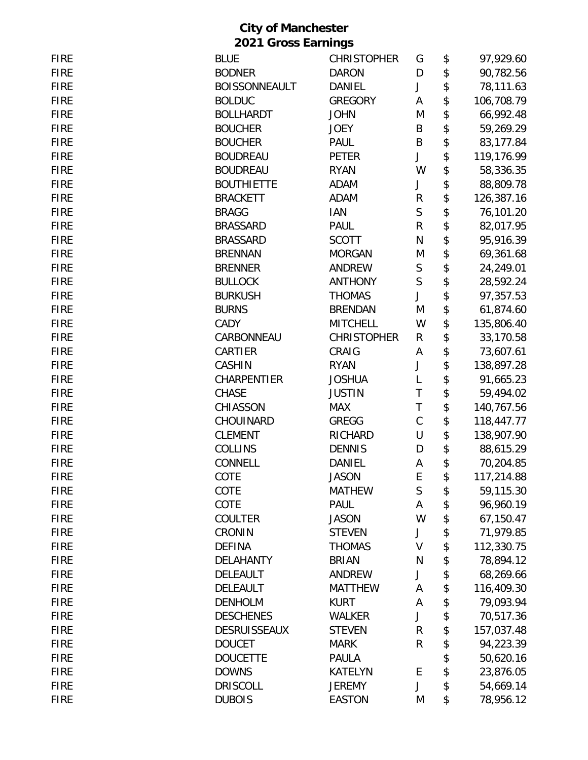| <b>FIRE</b> | <b>BLUE</b>          | <b>CHRISTOPHER</b> | G            | \$<br>97,929.60  |
|-------------|----------------------|--------------------|--------------|------------------|
| <b>FIRE</b> | <b>BODNER</b>        | <b>DARON</b>       | D            | \$<br>90,782.56  |
| <b>FIRE</b> | <b>BOISSONNEAULT</b> | <b>DANIEL</b>      | J            | \$<br>78,111.63  |
| <b>FIRE</b> | <b>BOLDUC</b>        | <b>GREGORY</b>     | Α            | \$<br>106,708.79 |
| <b>FIRE</b> | <b>BOLLHARDT</b>     | <b>JOHN</b>        | M            | \$<br>66,992.48  |
| <b>FIRE</b> | <b>BOUCHER</b>       | <b>JOEY</b>        | B            | \$<br>59,269.29  |
| <b>FIRE</b> | <b>BOUCHER</b>       | <b>PAUL</b>        | B            | \$<br>83,177.84  |
| <b>FIRE</b> | <b>BOUDREAU</b>      | <b>PETER</b>       | J            | \$<br>119,176.99 |
| <b>FIRE</b> | <b>BOUDREAU</b>      | <b>RYAN</b>        | W            | \$<br>58,336.35  |
| <b>FIRE</b> | <b>BOUTHIETTE</b>    | <b>ADAM</b>        | J            | \$<br>88,809.78  |
| <b>FIRE</b> | <b>BRACKETT</b>      | <b>ADAM</b>        | ${\sf R}$    | \$<br>126,387.16 |
| <b>FIRE</b> | <b>BRAGG</b>         | <b>IAN</b>         | $\mathsf{S}$ | \$<br>76,101.20  |
| <b>FIRE</b> | <b>BRASSARD</b>      | PAUL               | R            | \$<br>82,017.95  |
| <b>FIRE</b> | <b>BRASSARD</b>      | <b>SCOTT</b>       | N            | \$<br>95,916.39  |
| <b>FIRE</b> | <b>BRENNAN</b>       | <b>MORGAN</b>      | M            | \$<br>69,361.68  |
| <b>FIRE</b> | <b>BRENNER</b>       | <b>ANDREW</b>      | S            | \$<br>24,249.01  |
| <b>FIRE</b> | <b>BULLOCK</b>       | <b>ANTHONY</b>     | S            | \$<br>28,592.24  |
| <b>FIRE</b> | <b>BURKUSH</b>       | <b>THOMAS</b>      | J            | \$<br>97,357.53  |
| <b>FIRE</b> | <b>BURNS</b>         | <b>BRENDAN</b>     | M            | \$<br>61,874.60  |
| <b>FIRE</b> | CADY                 | <b>MITCHELL</b>    | W            | \$<br>135,806.40 |
| <b>FIRE</b> | CARBONNEAU           | <b>CHRISTOPHER</b> | R            | \$<br>33,170.58  |
| <b>FIRE</b> | CARTIER              | CRAIG              | Α            | \$<br>73,607.61  |
| <b>FIRE</b> | <b>CASHIN</b>        | <b>RYAN</b>        | J            | \$<br>138,897.28 |
| <b>FIRE</b> | <b>CHARPENTIER</b>   | <b>JOSHUA</b>      | L            | \$<br>91,665.23  |
| <b>FIRE</b> | <b>CHASE</b>         | <b>JUSTIN</b>      | T            | \$<br>59,494.02  |
| <b>FIRE</b> | CHIASSON             | <b>MAX</b>         | T            | \$<br>140,767.56 |
| <b>FIRE</b> | CHOUINARD            | <b>GREGG</b>       | $\mathsf C$  | \$<br>118,447.77 |
| <b>FIRE</b> | <b>CLEMENT</b>       | RICHARD            | U            | \$<br>138,907.90 |
| <b>FIRE</b> | <b>COLLINS</b>       | <b>DENNIS</b>      | D            | \$<br>88,615.29  |
| <b>FIRE</b> | CONNELL              | <b>DANIEL</b>      | А            | \$<br>70,204.85  |
| <b>FIRE</b> | COTE                 | Jason              | E            | \$<br>117,214.88 |
| <b>FIRE</b> | COTE                 | <b>MATHEW</b>      | $\sf S$      | \$<br>59,115.30  |
| <b>FIRE</b> | COTE                 | <b>PAUL</b>        | Α            | \$<br>96,960.19  |
| <b>FIRE</b> | <b>COULTER</b>       | <b>JASON</b>       | W            | \$<br>67,150.47  |
| <b>FIRE</b> | <b>CRONIN</b>        | <b>STEVEN</b>      | J            | \$<br>71,979.85  |
| <b>FIRE</b> | <b>DEFINA</b>        | <b>THOMAS</b>      | V            | \$<br>112,330.75 |
| <b>FIRE</b> | <b>DELAHANTY</b>     | <b>BRIAN</b>       | N            | \$<br>78,894.12  |
| <b>FIRE</b> | DELEAULT             | <b>ANDREW</b>      | J            | \$<br>68,269.66  |
| <b>FIRE</b> | DELEAULT             | <b>MATTHEW</b>     | Α            | \$<br>116,409.30 |
| <b>FIRE</b> | <b>DENHOLM</b>       | <b>KURT</b>        | Α            | \$<br>79,093.94  |
| <b>FIRE</b> | <b>DESCHENES</b>     | <b>WALKER</b>      | J            | \$<br>70,517.36  |
| <b>FIRE</b> | <b>DESRUISSEAUX</b>  | <b>STEVEN</b>      | ${\sf R}$    | \$<br>157,037.48 |
| <b>FIRE</b> | <b>DOUCET</b>        | <b>MARK</b>        | R            | \$<br>94,223.39  |
| <b>FIRE</b> | <b>DOUCETTE</b>      | PAULA              |              | \$<br>50,620.16  |
| <b>FIRE</b> | <b>DOWNS</b>         | <b>KATELYN</b>     | E            | \$<br>23,876.05  |
| <b>FIRE</b> | <b>DRISCOLL</b>      | <b>JEREMY</b>      | J            | \$<br>54,669.14  |
| <b>FIRE</b> | <b>DUBOIS</b>        | <b>EASTON</b>      | M            | \$<br>78,956.12  |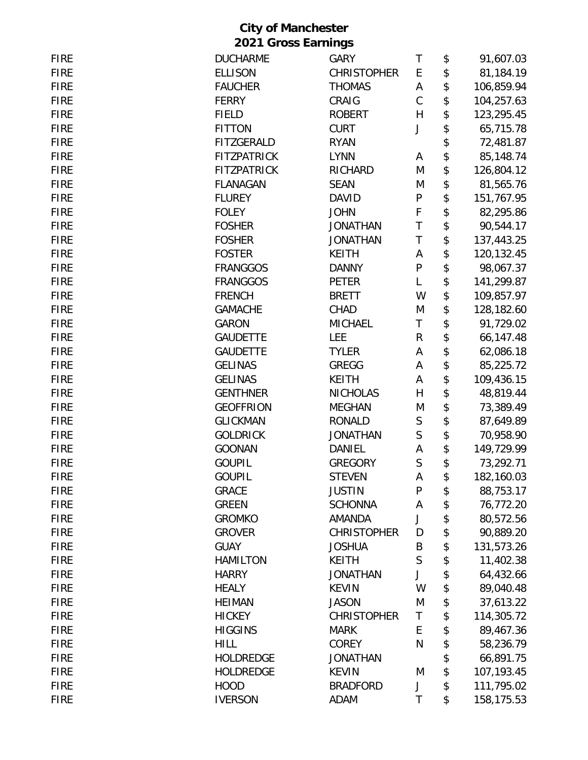| <b>FIRE</b> | <b>DUCHARME</b>    | <b>GARY</b>        | T            | \$<br>91,607.03  |
|-------------|--------------------|--------------------|--------------|------------------|
| <b>FIRE</b> | <b>ELLISON</b>     | <b>CHRISTOPHER</b> | E            | \$<br>81,184.19  |
| <b>FIRE</b> | <b>FAUCHER</b>     | <b>THOMAS</b>      | A            | \$<br>106,859.94 |
| <b>FIRE</b> | <b>FERRY</b>       | CRAIG              | $\mathsf C$  | \$<br>104,257.63 |
| <b>FIRE</b> | <b>FIELD</b>       | <b>ROBERT</b>      | H            | \$<br>123,295.45 |
| <b>FIRE</b> | <b>FITTON</b>      | <b>CURT</b>        | J            | \$<br>65,715.78  |
| <b>FIRE</b> | <b>FITZGERALD</b>  | <b>RYAN</b>        |              | \$<br>72,481.87  |
| <b>FIRE</b> | <b>FITZPATRICK</b> | <b>LYNN</b>        | A            | \$<br>85,148.74  |
| <b>FIRE</b> | <b>FITZPATRICK</b> | <b>RICHARD</b>     | M            | \$<br>126,804.12 |
| <b>FIRE</b> | <b>FLANAGAN</b>    | <b>SEAN</b>        | M            | \$<br>81,565.76  |
| <b>FIRE</b> | <b>FLUREY</b>      | <b>DAVID</b>       | ${\sf P}$    | \$<br>151,767.95 |
| <b>FIRE</b> | <b>FOLEY</b>       | <b>JOHN</b>        | F            | \$<br>82,295.86  |
| <b>FIRE</b> | <b>FOSHER</b>      | <b>JONATHAN</b>    | T            | \$<br>90,544.17  |
| <b>FIRE</b> | <b>FOSHER</b>      | <b>JONATHAN</b>    | $\mathsf T$  | \$<br>137,443.25 |
| <b>FIRE</b> | <b>FOSTER</b>      | <b>KEITH</b>       | A            | \$<br>120,132.45 |
| <b>FIRE</b> | <b>FRANGGOS</b>    | <b>DANNY</b>       | ${\sf P}$    | \$<br>98,067.37  |
| <b>FIRE</b> | <b>FRANGGOS</b>    | PETER              | L            | \$<br>141,299.87 |
| <b>FIRE</b> | <b>FRENCH</b>      | <b>BRETT</b>       | W            | \$<br>109,857.97 |
| <b>FIRE</b> | <b>GAMACHE</b>     | CHAD               | M            | \$<br>128,182.60 |
| <b>FIRE</b> | <b>GARON</b>       | <b>MICHAEL</b>     | T            | \$<br>91,729.02  |
| <b>FIRE</b> | <b>GAUDETTE</b>    | <b>LEE</b>         | R            | \$<br>66,147.48  |
| <b>FIRE</b> | <b>GAUDETTE</b>    | <b>TYLER</b>       | Α            | \$<br>62,086.18  |
| <b>FIRE</b> | <b>GELINAS</b>     | <b>GREGG</b>       | Α            | \$<br>85,225.72  |
| <b>FIRE</b> | <b>GELINAS</b>     | <b>KEITH</b>       | Α            | \$<br>109,436.15 |
| <b>FIRE</b> | <b>GENTHNER</b>    | <b>NICHOLAS</b>    | $\mathsf{H}$ | \$<br>48,819.44  |
| <b>FIRE</b> | <b>GEOFFRION</b>   | <b>MEGHAN</b>      | M            | \$<br>73,389.49  |
| <b>FIRE</b> | <b>GLICKMAN</b>    | <b>RONALD</b>      | $\mathsf S$  | \$<br>87,649.89  |
| <b>FIRE</b> | <b>GOLDRICK</b>    | <b>JONATHAN</b>    | S            | \$<br>70,958.90  |
| <b>FIRE</b> | <b>GOONAN</b>      | DANIEL             | А            | \$<br>149,729.99 |
| <b>FIRE</b> | <b>GOUPIL</b>      | <b>GREGORY</b>     | S            | \$<br>73,292.71  |
| <b>FIRE</b> | <b>GOUPIL</b>      | <b>STEVEN</b>      | A            | \$<br>182,160.03 |
| <b>FIRE</b> | <b>GRACE</b>       | <b>JUSTIN</b>      | P            | \$<br>88,753.17  |
| <b>FIRE</b> | <b>GREEN</b>       | <b>SCHONNA</b>     | A            | \$<br>76,772.20  |
| <b>FIRE</b> | <b>GROMKO</b>      | <b>AMANDA</b>      | J            | \$<br>80,572.56  |
| <b>FIRE</b> | <b>GROVER</b>      | <b>CHRISTOPHER</b> | D            | \$<br>90,889.20  |
| <b>FIRE</b> | <b>GUAY</b>        | <b>JOSHUA</b>      | Β            | \$<br>131,573.26 |
| <b>FIRE</b> | <b>HAMILTON</b>    | <b>KEITH</b>       | S            | \$<br>11,402.38  |
| <b>FIRE</b> | <b>HARRY</b>       | <b>JONATHAN</b>    | J            | \$<br>64,432.66  |
| <b>FIRE</b> | <b>HEALY</b>       | <b>KEVIN</b>       | W            | \$<br>89,040.48  |
| <b>FIRE</b> | <b>HEIMAN</b>      | <b>JASON</b>       | M            | \$<br>37,613.22  |
| <b>FIRE</b> | <b>HICKEY</b>      | <b>CHRISTOPHER</b> | Τ            | \$<br>114,305.72 |
| <b>FIRE</b> | <b>HIGGINS</b>     | <b>MARK</b>        | E            | \$<br>89,467.36  |
| <b>FIRE</b> | <b>HILL</b>        | <b>COREY</b>       | N            | \$<br>58,236.79  |
| <b>FIRE</b> | <b>HOLDREDGE</b>   | <b>JONATHAN</b>    |              | \$<br>66,891.75  |
| <b>FIRE</b> | <b>HOLDREDGE</b>   | <b>KEVIN</b>       | M            | \$<br>107,193.45 |
| <b>FIRE</b> | <b>HOOD</b>        | <b>BRADFORD</b>    | J            | \$<br>111,795.02 |
| <b>FIRE</b> | <b>IVERSON</b>     | <b>ADAM</b>        | T            | \$<br>158,175.53 |
|             |                    |                    |              |                  |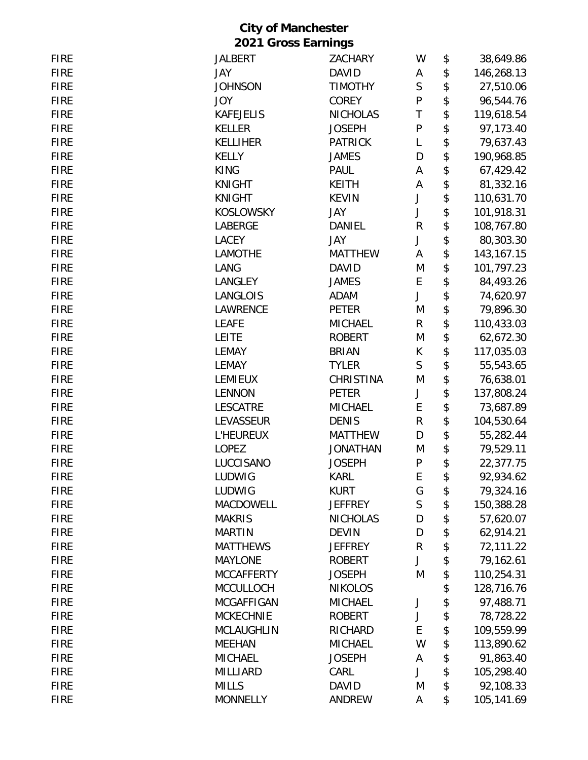| <b>FIRE</b> | <b>JALBERT</b>    | <b>ZACHARY</b>  | W            | \$<br>38,649.86    |
|-------------|-------------------|-----------------|--------------|--------------------|
| <b>FIRE</b> | JAY               | <b>DAVID</b>    | Α            | \$<br>146,268.13   |
| <b>FIRE</b> | <b>JOHNSON</b>    | <b>TIMOTHY</b>  | $\mathsf S$  | \$<br>27,510.06    |
| <b>FIRE</b> | <b>JOY</b>        | <b>COREY</b>    | ${\sf P}$    | \$<br>96,544.76    |
| <b>FIRE</b> | <b>KAFEJELIS</b>  | <b>NICHOLAS</b> | T            | \$<br>119,618.54   |
| <b>FIRE</b> | <b>KELLER</b>     | <b>JOSEPH</b>   | ${\sf P}$    | \$<br>97,173.40    |
| <b>FIRE</b> | <b>KELLIHER</b>   | <b>PATRICK</b>  | L            | \$<br>79,637.43    |
| <b>FIRE</b> | <b>KELLY</b>      | <b>JAMES</b>    | D            | \$<br>190,968.85   |
| <b>FIRE</b> | <b>KING</b>       | PAUL            | Α            | \$<br>67,429.42    |
| <b>FIRE</b> | <b>KNIGHT</b>     | <b>KEITH</b>    | A            | \$<br>81,332.16    |
| <b>FIRE</b> | <b>KNIGHT</b>     | <b>KEVIN</b>    | J            | \$<br>110,631.70   |
| <b>FIRE</b> | <b>KOSLOWSKY</b>  | JAY             | J            | \$<br>101,918.31   |
| <b>FIRE</b> | LABERGE           | DANIEL          | ${\sf R}$    | \$<br>108,767.80   |
| <b>FIRE</b> | LACEY             | JAY             | J            | \$<br>80,303.30    |
| <b>FIRE</b> | LAMOTHE           | <b>MATTHEW</b>  | Α            | \$<br>143, 167. 15 |
| <b>FIRE</b> | LANG              | <b>DAVID</b>    | M            | \$<br>101,797.23   |
| <b>FIRE</b> | LANGLEY           | <b>JAMES</b>    | E            | \$<br>84,493.26    |
| <b>FIRE</b> | LANGLOIS          | ADAM            | J            | \$<br>74,620.97    |
| <b>FIRE</b> | LAWRENCE          | <b>PETER</b>    | M            | \$<br>79,896.30    |
| <b>FIRE</b> | <b>LEAFE</b>      | <b>MICHAEL</b>  | $\mathsf{R}$ | \$<br>110,433.03   |
| <b>FIRE</b> | <b>LEITE</b>      | <b>ROBERT</b>   | M            | \$<br>62,672.30    |
| <b>FIRE</b> | <b>LEMAY</b>      | <b>BRIAN</b>    | K            | \$<br>117,035.03   |
| <b>FIRE</b> | <b>LEMAY</b>      | <b>TYLER</b>    | $\mathsf{S}$ | \$<br>55,543.65    |
| <b>FIRE</b> | <b>LEMIEUX</b>    | CHRISTINA       | M            | \$<br>76,638.01    |
| <b>FIRE</b> | <b>LENNON</b>     | PETER           | J            | \$<br>137,808.24   |
| <b>FIRE</b> | <b>LESCATRE</b>   | <b>MICHAEL</b>  | E            | \$<br>73,687.89    |
| <b>FIRE</b> | LEVASSEUR         | <b>DENIS</b>    | R            | \$<br>104,530.64   |
| <b>FIRE</b> | <b>L'HEUREUX</b>  | <b>MATTHEW</b>  | D            | \$<br>55,282.44    |
| <b>FIRE</b> | <b>LOPEZ</b>      | <b>JONATHAN</b> | M            | \$<br>79,529.11    |
| <b>FIRE</b> | LUCCISANO         | <b>JOSEPH</b>   | ${\sf P}$    | \$<br>22,377.75    |
| <b>FIRE</b> | LUDWIG            | <b>KARL</b>     | E            | \$<br>92,934.62    |
| <b>FIRE</b> | LUDWIG            | <b>KURT</b>     | G            | \$<br>79,324.16    |
| <b>FIRE</b> | MACDOWELL         | <b>JEFFREY</b>  | $\mathsf{S}$ | \$<br>150,388.28   |
| <b>FIRE</b> | <b>MAKRIS</b>     | <b>NICHOLAS</b> | D            | \$<br>57,620.07    |
| <b>FIRE</b> | <b>MARTIN</b>     | <b>DEVIN</b>    | D            | \$<br>62,914.21    |
| <b>FIRE</b> | <b>MATTHEWS</b>   | <b>JEFFREY</b>  | R            | \$<br>72,111.22    |
| <b>FIRE</b> | <b>MAYLONE</b>    | <b>ROBERT</b>   | J            | \$<br>79,162.61    |
| <b>FIRE</b> | <b>MCCAFFERTY</b> | <b>JOSEPH</b>   | M            | \$<br>110,254.31   |
| <b>FIRE</b> | <b>MCCULLOCH</b>  | <b>NIKOLOS</b>  |              | \$<br>128,716.76   |
| <b>FIRE</b> | <b>MCGAFFIGAN</b> | <b>MICHAEL</b>  | J            | \$<br>97,488.71    |
| <b>FIRE</b> | <b>MCKECHNIE</b>  | <b>ROBERT</b>   | J            | \$<br>78,728.22    |
| <b>FIRE</b> | <b>MCLAUGHLIN</b> | RICHARD         | E            | \$<br>109,559.99   |
| <b>FIRE</b> | <b>MEEHAN</b>     | <b>MICHAEL</b>  | W            | \$<br>113,890.62   |
| <b>FIRE</b> | <b>MICHAEL</b>    | <b>JOSEPH</b>   | A            | \$<br>91,863.40    |
| <b>FIRE</b> | <b>MILLIARD</b>   | CARL            | J            | \$<br>105,298.40   |
| <b>FIRE</b> | <b>MILLS</b>      | <b>DAVID</b>    | M            | \$<br>92,108.33    |
| <b>FIRE</b> | <b>MONNELLY</b>   | ANDREW          | Α            | \$<br>105,141.69   |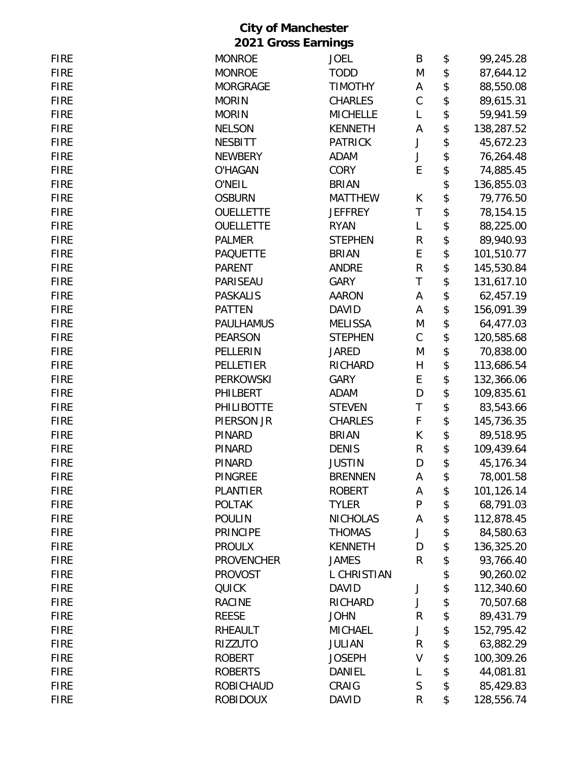| <b>FIRE</b> | <b>MONROE</b>     | <b>JOEL</b>     | B           | \$<br>99,245.28  |
|-------------|-------------------|-----------------|-------------|------------------|
| <b>FIRE</b> | <b>MONROE</b>     | <b>TODD</b>     | M           | \$<br>87,644.12  |
| <b>FIRE</b> | <b>MORGRAGE</b>   | <b>TIMOTHY</b>  | Α           | \$<br>88,550.08  |
| <b>FIRE</b> | <b>MORIN</b>      | <b>CHARLES</b>  | $\mathsf C$ | \$<br>89,615.31  |
| <b>FIRE</b> | <b>MORIN</b>      | <b>MICHELLE</b> | L           | \$<br>59,941.59  |
| <b>FIRE</b> | <b>NELSON</b>     | <b>KENNETH</b>  | А           | \$<br>138,287.52 |
| <b>FIRE</b> | <b>NESBITT</b>    | <b>PATRICK</b>  | J           | \$<br>45,672.23  |
| <b>FIRE</b> | <b>NEWBERY</b>    | <b>ADAM</b>     | J           | \$<br>76,264.48  |
| <b>FIRE</b> | <b>O'HAGAN</b>    | <b>CORY</b>     | E           | \$<br>74,885.45  |
| <b>FIRE</b> | O'NEIL            | <b>BRIAN</b>    |             | \$<br>136,855.03 |
| <b>FIRE</b> | <b>OSBURN</b>     | <b>MATTHEW</b>  | K           | \$<br>79,776.50  |
| <b>FIRE</b> | <b>OUELLETTE</b>  | <b>JEFFREY</b>  | $\sf T$     | \$<br>78,154.15  |
| <b>FIRE</b> | <b>OUELLETTE</b>  | <b>RYAN</b>     | L           | \$<br>88,225.00  |
| <b>FIRE</b> | <b>PALMER</b>     | <b>STEPHEN</b>  | ${\sf R}$   | \$<br>89,940.93  |
| <b>FIRE</b> | <b>PAQUETTE</b>   | <b>BRIAN</b>    | E           | \$<br>101,510.77 |
| <b>FIRE</b> | <b>PARENT</b>     | <b>ANDRE</b>    | R           | \$<br>145,530.84 |
| <b>FIRE</b> | PARISEAU          | <b>GARY</b>     | T           | \$<br>131,617.10 |
| <b>FIRE</b> | <b>PASKALIS</b>   | <b>AARON</b>    | Α           | \$<br>62,457.19  |
| <b>FIRE</b> | <b>PATTEN</b>     | <b>DAVID</b>    | Α           | \$<br>156,091.39 |
| <b>FIRE</b> | <b>PAULHAMUS</b>  | <b>MELISSA</b>  | M           | \$<br>64,477.03  |
| <b>FIRE</b> | <b>PEARSON</b>    | <b>STEPHEN</b>  | С           | \$<br>120,585.68 |
| <b>FIRE</b> | PELLERIN          | <b>JARED</b>    | M           | \$<br>70,838.00  |
| <b>FIRE</b> | PELLETIER         | <b>RICHARD</b>  | H           | \$<br>113,686.54 |
| <b>FIRE</b> | <b>PERKOWSKI</b>  | <b>GARY</b>     | E           | \$<br>132,366.06 |
| <b>FIRE</b> | PHILBERT          | <b>ADAM</b>     | D           | \$<br>109,835.61 |
| <b>FIRE</b> | <b>PHILIBOTTE</b> | <b>STEVEN</b>   | T           | \$<br>83,543.66  |
| <b>FIRE</b> | PIERSON JR        | <b>CHARLES</b>  | F           | \$<br>145,736.35 |
| <b>FIRE</b> | PINARD            | <b>BRIAN</b>    | K           | \$<br>89,518.95  |
| <b>FIRE</b> | PINARD            | <b>DENIS</b>    | R           | \$<br>109,439.64 |
| <b>FIRE</b> | <b>PINARD</b>     | <b>JUSTIN</b>   | D           | \$<br>45,176.34  |
| <b>FIRE</b> | <b>PINGREE</b>    | <b>BRENNEN</b>  | A           | 78,001.58        |
| <b>FIRE</b> | <b>PLANTIER</b>   | <b>ROBERT</b>   | А           | \$<br>101,126.14 |
| <b>FIRE</b> | <b>POLTAK</b>     | <b>TYLER</b>    | ${\sf P}$   | \$<br>68,791.03  |
| <b>FIRE</b> | <b>POULIN</b>     | <b>NICHOLAS</b> | Α           | \$<br>112,878.45 |
| <b>FIRE</b> | <b>PRINCIPE</b>   | <b>THOMAS</b>   | J           | \$<br>84,580.63  |
| <b>FIRE</b> | <b>PROULX</b>     | <b>KENNETH</b>  | D           | \$<br>136,325.20 |
| <b>FIRE</b> | <b>PROVENCHER</b> | <b>JAMES</b>    | R           | \$<br>93,766.40  |
| <b>FIRE</b> | <b>PROVOST</b>    | L CHRISTIAN     |             | \$<br>90,260.02  |
| <b>FIRE</b> | <b>QUICK</b>      | <b>DAVID</b>    | J           | \$<br>112,340.60 |
| <b>FIRE</b> | <b>RACINE</b>     | RICHARD         | J           | \$<br>70,507.68  |
| <b>FIRE</b> | <b>REESE</b>      | <b>JOHN</b>     | R           | \$<br>89,431.79  |
| <b>FIRE</b> | RHEAULT           | <b>MICHAEL</b>  | J           | \$<br>152,795.42 |
| <b>FIRE</b> | <b>RIZZUTO</b>    | <b>JULIAN</b>   | R           | \$<br>63,882.29  |
| <b>FIRE</b> | <b>ROBERT</b>     | <b>JOSEPH</b>   | V           | \$<br>100,309.26 |
| <b>FIRE</b> | <b>ROBERTS</b>    | DANIEL          | L           | \$<br>44,081.81  |
| <b>FIRE</b> | <b>ROBICHAUD</b>  | CRAIG           | $\mathsf S$ | \$<br>85,429.83  |
| <b>FIRE</b> | <b>ROBIDOUX</b>   | <b>DAVID</b>    | R           | \$<br>128,556.74 |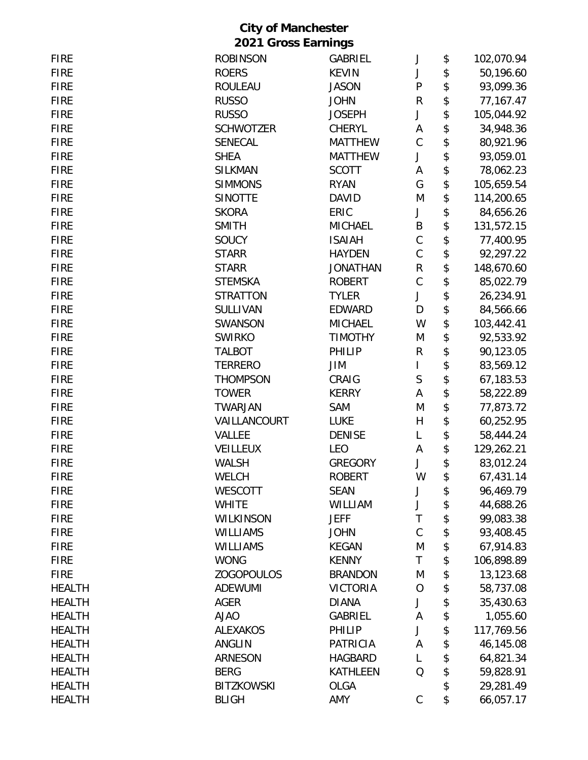| <b>FIRE</b>   | <b>ROBINSON</b>   | GABRIEL         | J           | \$<br>102,070.94 |
|---------------|-------------------|-----------------|-------------|------------------|
| <b>FIRE</b>   | <b>ROERS</b>      | <b>KEVIN</b>    | J           | \$<br>50,196.60  |
| <b>FIRE</b>   | <b>ROULEAU</b>    | <b>JASON</b>    | ${\sf P}$   | \$<br>93,099.36  |
| <b>FIRE</b>   | <b>RUSSO</b>      | <b>JOHN</b>     | R           | \$<br>77,167.47  |
| <b>FIRE</b>   | <b>RUSSO</b>      | <b>JOSEPH</b>   | J           | \$<br>105,044.92 |
| <b>FIRE</b>   | <b>SCHWOTZER</b>  | <b>CHERYL</b>   | A           | \$<br>34,948.36  |
| <b>FIRE</b>   | <b>SENECAL</b>    | <b>MATTHEW</b>  | $\mathsf C$ | \$<br>80,921.96  |
| <b>FIRE</b>   | <b>SHEA</b>       | <b>MATTHEW</b>  | J           | \$<br>93,059.01  |
| <b>FIRE</b>   | <b>SILKMAN</b>    | <b>SCOTT</b>    | Α           | \$<br>78,062.23  |
| <b>FIRE</b>   | <b>SIMMONS</b>    | <b>RYAN</b>     | G           | \$<br>105,659.54 |
| <b>FIRE</b>   | <b>SINOTTE</b>    | <b>DAVID</b>    | M           | \$<br>114,200.65 |
| <b>FIRE</b>   | <b>SKORA</b>      | ERIC            | J           | \$<br>84,656.26  |
| <b>FIRE</b>   | <b>SMITH</b>      | <b>MICHAEL</b>  | B           | \$<br>131,572.15 |
| <b>FIRE</b>   | SOUCY             | <b>ISAIAH</b>   | $\mathsf C$ | \$<br>77,400.95  |
| <b>FIRE</b>   | <b>STARR</b>      | <b>HAYDEN</b>   | $\mathsf C$ | \$<br>92,297.22  |
| <b>FIRE</b>   | <b>STARR</b>      | <b>JONATHAN</b> | R           | \$<br>148,670.60 |
| <b>FIRE</b>   | <b>STEMSKA</b>    | <b>ROBERT</b>   | $\mathsf C$ | \$<br>85,022.79  |
| <b>FIRE</b>   | <b>STRATTON</b>   | <b>TYLER</b>    | J           | \$<br>26,234.91  |
| <b>FIRE</b>   | SULLIVAN          | <b>EDWARD</b>   | D           | \$<br>84,566.66  |
| <b>FIRE</b>   | SWANSON           | <b>MICHAEL</b>  | W           | \$<br>103,442.41 |
| <b>FIRE</b>   | <b>SWIRKO</b>     | <b>TIMOTHY</b>  | M           | \$<br>92,533.92  |
| <b>FIRE</b>   | <b>TALBOT</b>     | PHILIP          | R           | \$<br>90,123.05  |
| <b>FIRE</b>   | <b>TERRERO</b>    | JIM             | I           | \$<br>83,569.12  |
| <b>FIRE</b>   | <b>THOMPSON</b>   | CRAIG           | $\sf S$     | \$<br>67,183.53  |
| <b>FIRE</b>   | <b>TOWER</b>      | <b>KERRY</b>    | А           | \$<br>58,222.89  |
| <b>FIRE</b>   | <b>TWARJAN</b>    | SAM             | M           | \$<br>77,873.72  |
| <b>FIRE</b>   | VAILLANCOURT      | <b>LUKE</b>     | H           | \$<br>60,252.95  |
| <b>FIRE</b>   | <b>VALLEE</b>     | <b>DENISE</b>   | L           | \$<br>58,444.24  |
| <b>FIRE</b>   | <b>VEILLEUX</b>   | <b>LEO</b>      | А           | \$<br>129,262.21 |
| <b>FIRE</b>   | <b>WALSH</b>      | <b>GREGORY</b>  | J           | \$<br>83,012.24  |
| <b>FIRE</b>   | <b>WELCH</b>      | <b>ROBERT</b>   | W           | \$<br>67,431.14  |
| <b>FIRE</b>   | <b>WESCOTT</b>    | <b>SEAN</b>     | J           | \$<br>96,469.79  |
| <b>FIRE</b>   | <b>WHITE</b>      | WILLIAM         | J           | \$<br>44,688.26  |
| <b>FIRE</b>   | WILKINSON         | <b>JEFF</b>     | T           | \$<br>99,083.38  |
| <b>FIRE</b>   | <b>WILLIAMS</b>   | <b>JOHN</b>     | $\mathsf C$ | \$<br>93,408.45  |
| <b>FIRE</b>   | <b>WILLIAMS</b>   | <b>KEGAN</b>    | M           | \$<br>67,914.83  |
| <b>FIRE</b>   | <b>WONG</b>       | <b>KENNY</b>    | T           | \$<br>106,898.89 |
| <b>FIRE</b>   | <b>ZOGOPOULOS</b> | <b>BRANDON</b>  | M           | \$<br>13,123.68  |
| <b>HEALTH</b> | <b>ADEWUMI</b>    | <b>VICTORIA</b> | 0           | \$<br>58,737.08  |
| <b>HEALTH</b> | <b>AGER</b>       | <b>DIANA</b>    | J           | \$<br>35,430.63  |
| <b>HEALTH</b> | <b>AJAO</b>       | <b>GABRIEL</b>  | Α           | \$<br>1,055.60   |
| <b>HEALTH</b> | <b>ALEXAKOS</b>   | PHILIP          | J           | \$<br>117,769.56 |
| <b>HEALTH</b> | ANGLIN            | <b>PATRICIA</b> | Α           | \$<br>46,145.08  |
| <b>HEALTH</b> | <b>ARNESON</b>    | <b>HAGBARD</b>  | L           | \$<br>64,821.34  |
| <b>HEALTH</b> | <b>BERG</b>       | <b>KATHLEEN</b> | Q           | \$<br>59,828.91  |
| <b>HEALTH</b> | <b>BITZKOWSKI</b> | <b>OLGA</b>     |             | \$<br>29,281.49  |
| <b>HEALTH</b> | <b>BLIGH</b>      | AMY             | С           | \$<br>66,057.17  |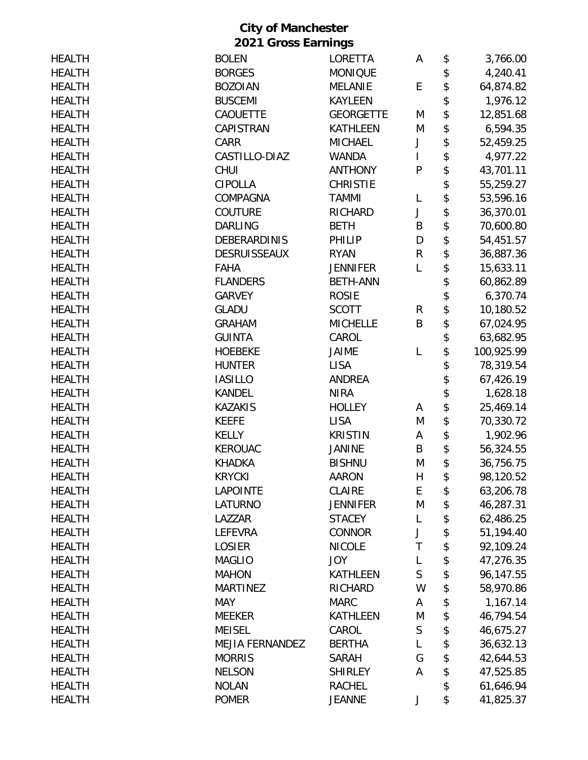| <b>HEALTH</b> | <b>BOLEN</b>           | LORETTA          | A            | \$<br>3,766.00   |
|---------------|------------------------|------------------|--------------|------------------|
| <b>HEALTH</b> | <b>BORGES</b>          | <b>MONIQUE</b>   |              | \$<br>4,240.41   |
| <b>HEALTH</b> | <b>BOZOIAN</b>         | <b>MELANIE</b>   | E            | \$<br>64,874.82  |
| <b>HEALTH</b> | <b>BUSCEMI</b>         | <b>KAYLEEN</b>   |              | \$<br>1,976.12   |
| <b>HEALTH</b> | CAOUETTE               | <b>GEORGETTE</b> | M            | \$<br>12,851.68  |
| <b>HEALTH</b> | CAPISTRAN              | <b>KATHLEEN</b>  | M            | \$<br>6,594.35   |
| <b>HEALTH</b> | CARR                   | <b>MICHAEL</b>   | J            | \$<br>52,459.25  |
| <b>HEALTH</b> | CASTILLO-DIAZ          | <b>WANDA</b>     | $\mathsf{I}$ | \$<br>4,977.22   |
| <b>HEALTH</b> | CHUI                   | <b>ANTHONY</b>   | $\mathsf{P}$ | \$<br>43,701.11  |
| <b>HEALTH</b> | <b>CIPOLLA</b>         | <b>CHRISTIE</b>  |              | \$<br>55,259.27  |
| <b>HEALTH</b> | COMPAGNA               | <b>TAMMI</b>     | L            | \$<br>53,596.16  |
| <b>HEALTH</b> | <b>COUTURE</b>         | <b>RICHARD</b>   | J            | \$<br>36,370.01  |
| <b>HEALTH</b> | <b>DARLING</b>         | <b>BETH</b>      | B            | \$<br>70,600.80  |
| <b>HEALTH</b> | <b>DEBERARDINIS</b>    | PHILIP           | D            | \$<br>54,451.57  |
| <b>HEALTH</b> | <b>DESRUISSEAUX</b>    | <b>RYAN</b>      | R            | \$<br>36,887.36  |
| <b>HEALTH</b> | <b>FAHA</b>            | <b>JENNIFER</b>  | L            | \$<br>15,633.11  |
| <b>HEALTH</b> | <b>FLANDERS</b>        | <b>BETH-ANN</b>  |              | \$<br>60,862.89  |
| <b>HEALTH</b> | <b>GARVEY</b>          | <b>ROSIE</b>     |              | \$<br>6,370.74   |
| <b>HEALTH</b> | <b>GLADU</b>           | <b>SCOTT</b>     | R            | \$<br>10,180.52  |
| <b>HEALTH</b> | <b>GRAHAM</b>          | <b>MICHELLE</b>  | B            | \$<br>67,024.95  |
| <b>HEALTH</b> | <b>GUINTA</b>          | CAROL            |              | \$<br>63,682.95  |
| <b>HEALTH</b> | <b>HOEBEKE</b>         | <b>JAIME</b>     | L            | \$<br>100,925.99 |
| <b>HEALTH</b> | <b>HUNTER</b>          | <b>LISA</b>      |              | \$<br>78,319.54  |
| <b>HEALTH</b> | <b>IASILLO</b>         | <b>ANDREA</b>    |              | \$<br>67,426.19  |
| <b>HEALTH</b> | <b>KANDEL</b>          | <b>NIRA</b>      |              | \$<br>1,628.18   |
| <b>HEALTH</b> | <b>KAZAKIS</b>         | <b>HOLLEY</b>    | A            | \$<br>25,469.14  |
| <b>HEALTH</b> | <b>KEEFE</b>           | <b>LISA</b>      | M            | \$<br>70,330.72  |
| <b>HEALTH</b> | <b>KELLY</b>           | <b>KRISTIN</b>   | A            | \$<br>1,902.96   |
| <b>HEALTH</b> | <b>KEROUAC</b>         | <b>JANINE</b>    | B            | \$<br>56,324.55  |
| <b>HEALTH</b> | <b>KHADKA</b>          | <b>BISHNU</b>    | M            | \$<br>36,756.75  |
| <b>HEALTH</b> | <b>KRYCKI</b>          | AARON            | H            | \$<br>98,120.52  |
| <b>HEALTH</b> | <b>LAPOINTE</b>        | CLAIRE           | E            | \$<br>63,206.78  |
| <b>HEALTH</b> | <b>LATURNO</b>         | <b>JENNIFER</b>  | M            | \$<br>46,287.31  |
| <b>HEALTH</b> | LAZZAR                 | <b>STACEY</b>    | L            | \$<br>62,486.25  |
| <b>HEALTH</b> | <b>LEFEVRA</b>         | <b>CONNOR</b>    | J            | \$<br>51,194.40  |
| <b>HEALTH</b> | <b>LOSIER</b>          | <b>NICOLE</b>    | T            | \$<br>92,109.24  |
| <b>HEALTH</b> | <b>MAGLIO</b>          | <b>JOY</b>       | L            | \$<br>47,276.35  |
| <b>HEALTH</b> | <b>MAHON</b>           | <b>KATHLEEN</b>  | S            | \$<br>96,147.55  |
| <b>HEALTH</b> | <b>MARTINEZ</b>        | <b>RICHARD</b>   | W            | \$<br>58,970.86  |
| <b>HEALTH</b> | <b>MAY</b>             | <b>MARC</b>      | A            | \$<br>1,167.14   |
| <b>HEALTH</b> | <b>MEEKER</b>          | <b>KATHLEEN</b>  | M            | \$<br>46,794.54  |
| <b>HEALTH</b> | <b>MEISEL</b>          | CAROL            | $\mathsf{S}$ | \$<br>46,675.27  |
| <b>HEALTH</b> | <b>MEJIA FERNANDEZ</b> | <b>BERTHA</b>    | L            | \$<br>36,632.13  |
| <b>HEALTH</b> | <b>MORRIS</b>          | <b>SARAH</b>     | G            | \$<br>42,644.53  |
| <b>HEALTH</b> | <b>NELSON</b>          | <b>SHIRLEY</b>   | Α            | \$<br>47,525.85  |
| <b>HEALTH</b> | <b>NOLAN</b>           | <b>RACHEL</b>    |              | \$<br>61,646.94  |
| <b>HEALTH</b> | <b>POMER</b>           | <b>JEANNE</b>    | J            | \$<br>41,825.37  |
|               |                        |                  |              |                  |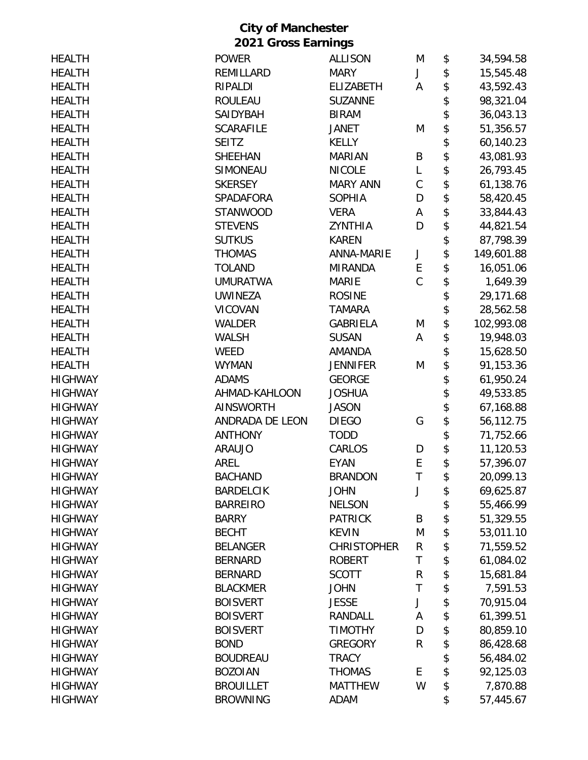|                            | <b>City of Manchester</b> |                    |              |    |            |  |  |  |
|----------------------------|---------------------------|--------------------|--------------|----|------------|--|--|--|
| <b>2021 Gross Earnings</b> |                           |                    |              |    |            |  |  |  |
| <b>HEALTH</b>              | <b>POWER</b>              | <b>ALLISON</b>     | M            | \$ | 34,594.58  |  |  |  |
| <b>HEALTH</b>              | REMILLARD                 | <b>MARY</b>        | J            | \$ | 15,545.48  |  |  |  |
| <b>HEALTH</b>              | <b>RIPALDI</b>            | <b>ELIZABETH</b>   | A            | \$ | 43,592.43  |  |  |  |
| <b>HEALTH</b>              | <b>ROULEAU</b>            | <b>SUZANNE</b>     |              | \$ | 98,321.04  |  |  |  |
| <b>HEALTH</b>              | SAIDYBAH                  | <b>BIRAM</b>       |              | \$ | 36,043.13  |  |  |  |
| <b>HEALTH</b>              | <b>SCARAFILE</b>          | <b>JANET</b>       | M            | \$ | 51,356.57  |  |  |  |
| <b>HEALTH</b>              | <b>SEITZ</b>              | <b>KELLY</b>       |              | \$ | 60,140.23  |  |  |  |
| <b>HEALTH</b>              | <b>SHEEHAN</b>            | <b>MARIAN</b>      | B            | \$ | 43,081.93  |  |  |  |
| <b>HEALTH</b>              | SIMONEAU                  | <b>NICOLE</b>      | L            | \$ | 26,793.45  |  |  |  |
| <b>HEALTH</b>              | <b>SKERSEY</b>            | <b>MARY ANN</b>    | $\mathsf C$  | \$ | 61,138.76  |  |  |  |
| <b>HEALTH</b>              | SPADAFORA                 | <b>SOPHIA</b>      | D            | \$ | 58,420.45  |  |  |  |
| <b>HEALTH</b>              | <b>STANWOOD</b>           | <b>VERA</b>        | А            | \$ | 33,844.43  |  |  |  |
| <b>HEALTH</b>              | <b>STEVENS</b>            | <b>ZYNTHIA</b>     | D            | \$ | 44,821.54  |  |  |  |
| <b>HEALTH</b>              | <b>SUTKUS</b>             | <b>KAREN</b>       |              | \$ | 87,798.39  |  |  |  |
| <b>HEALTH</b>              | <b>THOMAS</b>             | <b>ANNA-MARIE</b>  | J            | \$ | 149,601.88 |  |  |  |
| <b>HEALTH</b>              | <b>TOLAND</b>             | <b>MIRANDA</b>     | E            | \$ | 16,051.06  |  |  |  |
| <b>HEALTH</b>              | <b>UMURATWA</b>           | <b>MARIE</b>       | $\mathsf{C}$ | \$ | 1,649.39   |  |  |  |
| <b>HEALTH</b>              | <b>UWINEZA</b>            | <b>ROSINE</b>      |              | \$ | 29,171.68  |  |  |  |
| <b>HEALTH</b>              | <b>VICOVAN</b>            | <b>TAMARA</b>      |              | \$ | 28,562.58  |  |  |  |
| <b>HEALTH</b>              | WALDER                    | <b>GABRIELA</b>    | M            | \$ | 102,993.08 |  |  |  |
| <b>HEALTH</b>              | <b>WALSH</b>              | <b>SUSAN</b>       | A            | \$ | 19,948.03  |  |  |  |
| <b>HEALTH</b>              | <b>WEED</b>               | <b>AMANDA</b>      |              | \$ | 15,628.50  |  |  |  |
| <b>HEALTH</b>              | <b>WYMAN</b>              | <b>JENNIFER</b>    | M            | \$ | 91,153.36  |  |  |  |
| <b>HIGHWAY</b>             | <b>ADAMS</b>              | <b>GEORGE</b>      |              | \$ | 61,950.24  |  |  |  |
| <b>HIGHWAY</b>             | AHMAD-KAHLOON             | <b>JOSHUA</b>      |              | \$ | 49,533.85  |  |  |  |
| <b>HIGHWAY</b>             | <b>AINSWORTH</b>          | <b>JASON</b>       |              | \$ | 67,168.88  |  |  |  |
| <b>HIGHWAY</b>             | ANDRADA DE LEON           | <b>DIEGO</b>       | G            | \$ | 56,112.75  |  |  |  |
| <b>HIGHWAY</b>             | <b>ANTHONY</b>            | <b>TODD</b>        |              | \$ | 71,752.66  |  |  |  |
| <b>HIGHWAY</b>             | <b>ARAUJO</b>             | CARLOS             | D            | \$ | 11,120.53  |  |  |  |
| <b>HIGHWAY</b>             | AREL                      | <b>EYAN</b>        | Е            | \$ | 57,396.07  |  |  |  |
| <b>HIGHWAY</b>             | <b>BACHAND</b>            | <b>BRANDON</b>     | T            | \$ | 20,099.13  |  |  |  |
| <b>HIGHWAY</b>             | <b>BARDELCIK</b>          | <b>JOHN</b>        | J            | \$ | 69,625.87  |  |  |  |
| <b>HIGHWAY</b>             | <b>BARREIRO</b>           | <b>NELSON</b>      |              | \$ | 55,466.99  |  |  |  |
| <b>HIGHWAY</b>             | <b>BARRY</b>              | <b>PATRICK</b>     | B            | \$ | 51,329.55  |  |  |  |
| <b>HIGHWAY</b>             | <b>BECHT</b>              | <b>KEVIN</b>       | M            | \$ | 53,011.10  |  |  |  |
| <b>HIGHWAY</b>             | <b>BELANGER</b>           | <b>CHRISTOPHER</b> | R            | \$ | 71,559.52  |  |  |  |
| <b>HIGHWAY</b>             | <b>BERNARD</b>            | <b>ROBERT</b>      | Τ            | \$ | 61,084.02  |  |  |  |
| <b>HIGHWAY</b>             | <b>BERNARD</b>            | <b>SCOTT</b>       | R            | \$ | 15,681.84  |  |  |  |
| <b>HIGHWAY</b>             | <b>BLACKMER</b>           | <b>JOHN</b>        | $\mathsf T$  | \$ | 7,591.53   |  |  |  |
| <b>HIGHWAY</b>             | <b>BOISVERT</b>           | <b>JESSE</b>       | J            | \$ | 70,915.04  |  |  |  |
| <b>HIGHWAY</b>             | <b>BOISVERT</b>           | RANDALL            | A            | \$ | 61,399.51  |  |  |  |
| <b>HIGHWAY</b>             | <b>BOISVERT</b>           | <b>TIMOTHY</b>     | D            | \$ | 80,859.10  |  |  |  |
| <b>HIGHWAY</b>             | <b>BOND</b>               | <b>GREGORY</b>     | R            | \$ | 86,428.68  |  |  |  |
| <b>HIGHWAY</b>             | <b>BOUDREAU</b>           | <b>TRACY</b>       |              | \$ | 56,484.02  |  |  |  |
| <b>HIGHWAY</b>             | <b>BOZOIAN</b>            | <b>THOMAS</b>      | E            | \$ | 92,125.03  |  |  |  |
| <b>HIGHWAY</b>             | <b>BROUILLET</b>          | <b>MATTHEW</b>     | W            | \$ | 7,870.88   |  |  |  |
| <b>HIGHWAY</b>             | <b>BROWNING</b>           | ADAM               |              | \$ | 57,445.67  |  |  |  |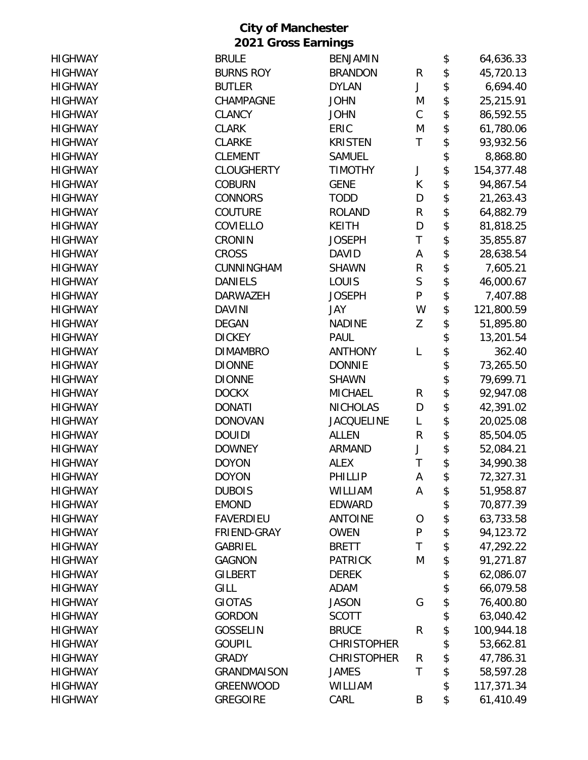| <b>HIGHWAY</b> | <b>BRULE</b>       | <b>BENJAMIN</b>    |             | \$<br>64,636.33  |
|----------------|--------------------|--------------------|-------------|------------------|
| <b>HIGHWAY</b> | <b>BURNS ROY</b>   | <b>BRANDON</b>     | R           | \$<br>45,720.13  |
| <b>HIGHWAY</b> | <b>BUTLER</b>      | <b>DYLAN</b>       | J           | \$<br>6,694.40   |
| <b>HIGHWAY</b> | CHAMPAGNE          | <b>JOHN</b>        | M           | \$<br>25,215.91  |
| <b>HIGHWAY</b> | <b>CLANCY</b>      | <b>JOHN</b>        | $\mathsf C$ | \$<br>86,592.55  |
| <b>HIGHWAY</b> | <b>CLARK</b>       | ERIC               | M           | \$<br>61,780.06  |
| <b>HIGHWAY</b> | <b>CLARKE</b>      | <b>KRISTEN</b>     | Τ           | \$<br>93,932.56  |
| <b>HIGHWAY</b> | <b>CLEMENT</b>     | <b>SAMUEL</b>      |             | \$<br>8,868.80   |
| <b>HIGHWAY</b> | <b>CLOUGHERTY</b>  | <b>TIMOTHY</b>     | J           | \$<br>154,377.48 |
| <b>HIGHWAY</b> | <b>COBURN</b>      | <b>GENE</b>        | K           | \$<br>94,867.54  |
| <b>HIGHWAY</b> | <b>CONNORS</b>     | <b>TODD</b>        | D           | \$<br>21,263.43  |
| <b>HIGHWAY</b> | <b>COUTURE</b>     | <b>ROLAND</b>      | R           | \$<br>64,882.79  |
| <b>HIGHWAY</b> | COVIELLO           | <b>KEITH</b>       | D           | \$<br>81,818.25  |
| <b>HIGHWAY</b> | CRONIN             | <b>JOSEPH</b>      | T           | \$<br>35,855.87  |
| <b>HIGHWAY</b> | <b>CROSS</b>       | <b>DAVID</b>       | Α           | \$<br>28,638.54  |
| <b>HIGHWAY</b> | CUNNINGHAM         | <b>SHAWN</b>       | R           | \$<br>7,605.21   |
| <b>HIGHWAY</b> | <b>DANIELS</b>     | LOUIS              | $\mathsf S$ | \$<br>46,000.67  |
| <b>HIGHWAY</b> | <b>DARWAZEH</b>    | <b>JOSEPH</b>      | ${\sf P}$   | \$<br>7,407.88   |
| <b>HIGHWAY</b> | <b>DAVINI</b>      | JAY                | W           | \$<br>121,800.59 |
| <b>HIGHWAY</b> | <b>DEGAN</b>       | <b>NADINE</b>      | Z           | \$<br>51,895.80  |
| <b>HIGHWAY</b> | <b>DICKEY</b>      | <b>PAUL</b>        |             | \$<br>13,201.54  |
| <b>HIGHWAY</b> | <b>DIMAMBRO</b>    | <b>ANTHONY</b>     | L           | \$<br>362.40     |
| <b>HIGHWAY</b> | <b>DIONNE</b>      | <b>DONNIE</b>      |             | \$<br>73,265.50  |
| <b>HIGHWAY</b> | <b>DIONNE</b>      | <b>SHAWN</b>       |             | \$<br>79,699.71  |
| <b>HIGHWAY</b> | <b>DOCKX</b>       | <b>MICHAEL</b>     | R           | \$<br>92,947.08  |
| <b>HIGHWAY</b> | <b>DONATI</b>      | <b>NICHOLAS</b>    | D           | \$<br>42,391.02  |
| <b>HIGHWAY</b> | <b>DONOVAN</b>     | <b>JACQUELINE</b>  | Г           | \$<br>20,025.08  |
| <b>HIGHWAY</b> | <b>DOUIDI</b>      | <b>ALLEN</b>       | R           | \$<br>85,504.05  |
| <b>HIGHWAY</b> | <b>DOWNEY</b>      | <b>ARMAND</b>      | J           | \$<br>52,084.21  |
| <b>HIGHWAY</b> | <b>DOYON</b>       | <b>ALEX</b>        | T           | \$<br>34,990.38  |
| <b>HIGHWAY</b> | <b>DOYON</b>       | PHILLIP            | Α           | \$<br>72,327.31  |
| <b>HIGHWAY</b> | <b>DUBOIS</b>      | WILLIAM            | A           | \$<br>51,958.87  |
| <b>HIGHWAY</b> | <b>EMOND</b>       | <b>EDWARD</b>      |             | \$<br>70,877.39  |
| <b>HIGHWAY</b> | <b>FAVERDIEU</b>   | <b>ANTOINE</b>     | $\Omega$    | \$<br>63,733.58  |
| <b>HIGHWAY</b> | FRIEND-GRAY        | <b>OWEN</b>        | ${\sf P}$   | \$<br>94,123.72  |
| <b>HIGHWAY</b> | <b>GABRIEL</b>     | <b>BRETT</b>       | T           | \$<br>47,292.22  |
| <b>HIGHWAY</b> | <b>GAGNON</b>      | <b>PATRICK</b>     | M           | \$<br>91,271.87  |
| <b>HIGHWAY</b> | <b>GILBERT</b>     | <b>DEREK</b>       |             | \$<br>62,086.07  |
| <b>HIGHWAY</b> | <b>GILL</b>        | <b>ADAM</b>        |             | \$<br>66,079.58  |
| <b>HIGHWAY</b> | <b>GIOTAS</b>      | <b>JASON</b>       | G           | \$<br>76,400.80  |
| <b>HIGHWAY</b> | <b>GORDON</b>      | <b>SCOTT</b>       |             | \$<br>63,040.42  |
| <b>HIGHWAY</b> | <b>GOSSELIN</b>    | <b>BRUCE</b>       | ${\sf R}$   | \$<br>100,944.18 |
| <b>HIGHWAY</b> | <b>GOUPIL</b>      | <b>CHRISTOPHER</b> |             | \$<br>53,662.81  |
| <b>HIGHWAY</b> | <b>GRADY</b>       | <b>CHRISTOPHER</b> | R           | \$<br>47,786.31  |
| <b>HIGHWAY</b> | <b>GRANDMAISON</b> | <b>JAMES</b>       | T           | \$<br>58,597.28  |
| <b>HIGHWAY</b> | <b>GREENWOOD</b>   | WILLIAM            |             | \$<br>117,371.34 |
| <b>HIGHWAY</b> | <b>GREGOIRE</b>    | CARL               | B           | \$<br>61,410.49  |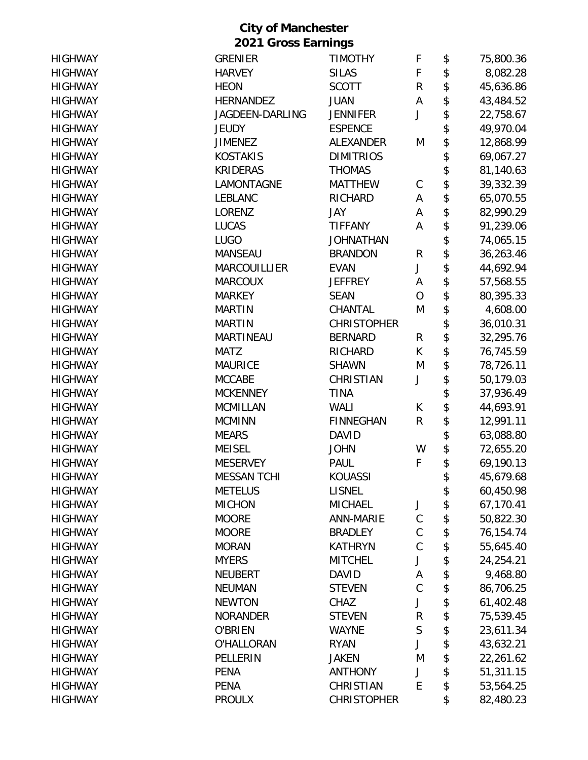| <b>HIGHWAY</b>                   | <b>GRENIER</b>      | <b>TIMOTHY</b>                  | F              | \$       | 75,800.36 |
|----------------------------------|---------------------|---------------------------------|----------------|----------|-----------|
| <b>HIGHWAY</b>                   | <b>HARVEY</b>       | <b>SILAS</b>                    | F              | \$       | 8,082.28  |
| <b>HIGHWAY</b>                   | <b>HEON</b>         | <b>SCOTT</b>                    | $\mathsf R$    | \$       | 45,636.86 |
| <b>HIGHWAY</b>                   | <b>HERNANDEZ</b>    | <b>JUAN</b>                     | A              | \$       | 43,484.52 |
| <b>HIGHWAY</b>                   | JAGDEEN-DARLING     | <b>JENNIFER</b>                 | J              | \$       | 22,758.67 |
| <b>HIGHWAY</b>                   | <b>JEUDY</b>        | <b>ESPENCE</b>                  |                | \$       | 49,970.04 |
| <b>HIGHWAY</b>                   | <b>JIMENEZ</b>      | ALEXANDER                       | M              | \$       | 12,868.99 |
| <b>HIGHWAY</b>                   | <b>KOSTAKIS</b>     | <b>DIMITRIOS</b>                |                | \$       | 69,067.27 |
| <b>HIGHWAY</b>                   | <b>KRIDERAS</b>     | <b>THOMAS</b>                   |                | \$       | 81,140.63 |
| <b>HIGHWAY</b>                   | LAMONTAGNE          | <b>MATTHEW</b>                  | C              | \$       | 39,332.39 |
| <b>HIGHWAY</b>                   | <b>LEBLANC</b>      | RICHARD                         | A              | \$       | 65,070.55 |
| <b>HIGHWAY</b>                   | <b>LORENZ</b>       | JAY                             | A              | \$       | 82,990.29 |
| <b>HIGHWAY</b>                   | <b>LUCAS</b>        | <b>TIFFANY</b>                  | Α              | \$       | 91,239.06 |
| <b>HIGHWAY</b>                   | <b>LUGO</b>         | <b>JOHNATHAN</b>                |                | \$       | 74,065.15 |
| <b>HIGHWAY</b>                   | <b>MANSEAU</b>      | <b>BRANDON</b>                  | R              | \$       | 36,263.46 |
| <b>HIGHWAY</b>                   | <b>MARCOUILLIER</b> | <b>EVAN</b>                     | J              | \$       | 44,692.94 |
| <b>HIGHWAY</b>                   | <b>MARCOUX</b>      | <b>JEFFREY</b>                  | Α              | \$       | 57,568.55 |
| <b>HIGHWAY</b>                   | <b>MARKEY</b>       | <b>SEAN</b>                     | $\overline{O}$ | \$       | 80,395.33 |
| <b>HIGHWAY</b>                   | <b>MARTIN</b>       | CHANTAL                         | M              | \$       | 4,608.00  |
| <b>HIGHWAY</b>                   | <b>MARTIN</b>       | <b>CHRISTOPHER</b>              |                | \$       | 36,010.31 |
| <b>HIGHWAY</b>                   | <b>MARTINEAU</b>    | <b>BERNARD</b>                  | R              | \$       | 32,295.76 |
| <b>HIGHWAY</b>                   | <b>MATZ</b>         | RICHARD                         | K              | \$       | 76,745.59 |
| <b>HIGHWAY</b>                   | <b>MAURICE</b>      | <b>SHAWN</b>                    | M              | \$       | 78,726.11 |
| <b>HIGHWAY</b>                   | <b>MCCABE</b>       | CHRISTIAN                       | J              | \$       | 50,179.03 |
| <b>HIGHWAY</b>                   | <b>MCKENNEY</b>     | <b>TINA</b>                     |                | \$       | 37,936.49 |
| <b>HIGHWAY</b>                   | <b>MCMILLAN</b>     | <b>WALI</b>                     | К              | \$       | 44,693.91 |
| <b>HIGHWAY</b>                   | <b>MCMINN</b>       | <b>FINNEGHAN</b>                | R              | \$       | 12,991.11 |
| <b>HIGHWAY</b>                   | <b>MEARS</b>        | <b>DAVID</b>                    |                | \$       | 63,088.80 |
| <b>HIGHWAY</b>                   | <b>MEISEL</b>       | <b>JOHN</b>                     | W              | \$       | 72,655.20 |
| <b>HIGHWAY</b>                   | <b>MESERVEY</b>     | <b>PAUL</b>                     | F              | \$       | 69,190.13 |
| <b>HIGHWAY</b>                   | <b>MESSAN TCHI</b>  | <b>KOUASSI</b>                  |                | \$       | 45,679.68 |
| <b>HIGHWAY</b>                   | <b>METELUS</b>      | <b>LISNEL</b>                   |                | \$       | 60,450.98 |
| <b>HIGHWAY</b>                   | <b>MICHON</b>       | <b>MICHAEL</b>                  | J              | \$       | 67,170.41 |
| <b>HIGHWAY</b>                   | <b>MOORE</b>        | <b>ANN-MARIE</b>                | $\mathsf C$    | \$       | 50,822.30 |
| <b>HIGHWAY</b>                   | <b>MOORE</b>        | <b>BRADLEY</b>                  | $\mathsf C$    | \$       | 76,154.74 |
| <b>HIGHWAY</b>                   | <b>MORAN</b>        | <b>KATHRYN</b>                  | $\mathsf C$    | \$       | 55,645.40 |
| <b>HIGHWAY</b>                   | <b>MYERS</b>        | <b>MITCHEL</b>                  | J              | \$       | 24,254.21 |
| <b>HIGHWAY</b>                   | <b>NEUBERT</b>      | <b>DAVID</b>                    | A              | \$       | 9,468.80  |
| <b>HIGHWAY</b>                   | <b>NEUMAN</b>       | <b>STEVEN</b>                   | $\mathsf C$    | \$       | 86,706.25 |
| <b>HIGHWAY</b>                   | <b>NEWTON</b>       | CHAZ                            | J              | \$       | 61,402.48 |
| <b>HIGHWAY</b>                   | <b>NORANDER</b>     | <b>STEVEN</b>                   | R              | \$       | 75,539.45 |
| <b>HIGHWAY</b>                   | <b>O'BRIEN</b>      | <b>WAYNE</b>                    | $\mathsf S$    | \$       | 23,611.34 |
| <b>HIGHWAY</b>                   | O'HALLORAN          | <b>RYAN</b>                     | J              | \$       | 43,632.21 |
| <b>HIGHWAY</b>                   | PELLERIN            | <b>JAKEN</b>                    | M<br>J         | \$       | 22,261.62 |
| <b>HIGHWAY</b>                   | <b>PENA</b>         | <b>ANTHONY</b>                  | E              | \$       | 51,311.15 |
| <b>HIGHWAY</b><br><b>HIGHWAY</b> | <b>PENA</b>         | CHRISTIAN<br><b>CHRISTOPHER</b> |                | \$<br>\$ | 53,564.25 |
|                                  | <b>PROULX</b>       |                                 |                |          | 82,480.23 |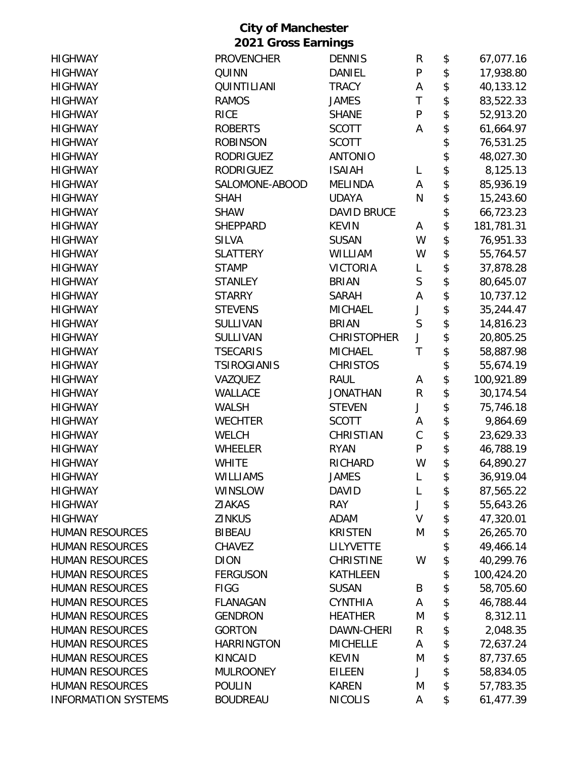|                            | <b>City of Manchester</b>  |                    |              |                  |
|----------------------------|----------------------------|--------------------|--------------|------------------|
|                            | <b>2021 Gross Earnings</b> |                    |              |                  |
| <b>HIGHWAY</b>             | <b>PROVENCHER</b>          | <b>DENNIS</b>      | R            | \$<br>67,077.16  |
| <b>HIGHWAY</b>             | QUINN                      | DANIEL             | P            | \$<br>17,938.80  |
| <b>HIGHWAY</b>             | QUINTILIANI                | <b>TRACY</b>       | A            | \$<br>40,133.12  |
| <b>HIGHWAY</b>             | <b>RAMOS</b>               | <b>JAMES</b>       | $\mathsf T$  | \$<br>83,522.33  |
| <b>HIGHWAY</b>             | <b>RICE</b>                | <b>SHANE</b>       | $\mathsf{P}$ | \$<br>52,913.20  |
| <b>HIGHWAY</b>             | <b>ROBERTS</b>             | <b>SCOTT</b>       | A            | \$<br>61,664.97  |
| <b>HIGHWAY</b>             | <b>ROBINSON</b>            | <b>SCOTT</b>       |              | \$<br>76,531.25  |
| <b>HIGHWAY</b>             | <b>RODRIGUEZ</b>           | <b>ANTONIO</b>     |              | \$<br>48,027.30  |
| <b>HIGHWAY</b>             | <b>RODRIGUEZ</b>           | <b>ISAIAH</b>      | L            | \$<br>8,125.13   |
| <b>HIGHWAY</b>             | SALOMONE-ABOOD             | <b>MELINDA</b>     | Α            | \$<br>85,936.19  |
| <b>HIGHWAY</b>             | <b>SHAH</b>                | <b>UDAYA</b>       | N            | \$<br>15,243.60  |
| <b>HIGHWAY</b>             | <b>SHAW</b>                | <b>DAVID BRUCE</b> |              | \$<br>66,723.23  |
| <b>HIGHWAY</b>             | <b>SHEPPARD</b>            | <b>KEVIN</b>       | A            | \$<br>181,781.31 |
| <b>HIGHWAY</b>             | <b>SILVA</b>               | <b>SUSAN</b>       | W            | \$<br>76,951.33  |
| <b>HIGHWAY</b>             | <b>SLATTERY</b>            | WILLIAM            | W            | \$<br>55,764.57  |
| <b>HIGHWAY</b>             | <b>STAMP</b>               | <b>VICTORIA</b>    | L            | \$<br>37,878.28  |
| <b>HIGHWAY</b>             | <b>STANLEY</b>             | <b>BRIAN</b>       | S            | \$<br>80,645.07  |
| <b>HIGHWAY</b>             | <b>STARRY</b>              | <b>SARAH</b>       | A            | \$<br>10,737.12  |
| <b>HIGHWAY</b>             | <b>STEVENS</b>             | <b>MICHAEL</b>     | J            | \$<br>35,244.47  |
| <b>HIGHWAY</b>             | <b>SULLIVAN</b>            | <b>BRIAN</b>       | S            | \$<br>14,816.23  |
| <b>HIGHWAY</b>             | <b>SULLIVAN</b>            | <b>CHRISTOPHER</b> | J            | \$<br>20,805.25  |
| <b>HIGHWAY</b>             | <b>TSECARIS</b>            | <b>MICHAEL</b>     | $\mathsf T$  | \$<br>58,887.98  |
| <b>HIGHWAY</b>             | <b>TSIROGIANIS</b>         | <b>CHRISTOS</b>    |              | \$<br>55,674.19  |
| <b>HIGHWAY</b>             | VAZQUEZ                    | <b>RAUL</b>        | A            | \$<br>100,921.89 |
| <b>HIGHWAY</b>             | <b>WALLACE</b>             | <b>JONATHAN</b>    | $\mathsf R$  | \$<br>30,174.54  |
| <b>HIGHWAY</b>             | <b>WALSH</b>               | <b>STEVEN</b>      | J            | \$<br>75,746.18  |
| <b>HIGHWAY</b>             | <b>WECHTER</b>             | <b>SCOTT</b>       | A            | \$<br>9,864.69   |
| <b>HIGHWAY</b>             | <b>WELCH</b>               | CHRISTIAN          | $\mathsf{C}$ | \$<br>23,629.33  |
| <b>HIGHWAY</b>             | <b>WHEELER</b>             | <b>RYAN</b>        | P            | 46,788.19        |
| <b>HIGHWAY</b>             | <b>WHITE</b>               | RICHARD            | W            | \$<br>64,890.27  |
| <b>HIGHWAY</b>             | <b>WILLIAMS</b>            | <b>JAMES</b>       | L            | \$<br>36,919.04  |
| <b>HIGHWAY</b>             | <b>WINSLOW</b>             | <b>DAVID</b>       | L            | \$<br>87,565.22  |
| <b>HIGHWAY</b>             | <b>ZIAKAS</b>              | <b>RAY</b>         | J            | \$<br>55,643.26  |
| <b>HIGHWAY</b>             | <b>ZINKUS</b>              | <b>ADAM</b>        | V            | \$<br>47,320.01  |
| <b>HUMAN RESOURCES</b>     | <b>BIBEAU</b>              | <b>KRISTEN</b>     | M            | \$<br>26,265.70  |
| <b>HUMAN RESOURCES</b>     | <b>CHAVEZ</b>              | <b>LILYVETTE</b>   |              | \$<br>49,466.14  |
| <b>HUMAN RESOURCES</b>     | <b>DION</b>                | <b>CHRISTINE</b>   | W            | \$<br>40,299.76  |
| <b>HUMAN RESOURCES</b>     | <b>FERGUSON</b>            | <b>KATHLEEN</b>    |              | \$<br>100,424.20 |
| <b>HUMAN RESOURCES</b>     | <b>FIGG</b>                | <b>SUSAN</b>       | B            | \$<br>58,705.60  |
| <b>HUMAN RESOURCES</b>     | <b>FLANAGAN</b>            | <b>CYNTHIA</b>     | Α            | \$<br>46,788.44  |
| <b>HUMAN RESOURCES</b>     | <b>GENDRON</b>             | <b>HEATHER</b>     | M            | \$<br>8,312.11   |
| <b>HUMAN RESOURCES</b>     | <b>GORTON</b>              | DAWN-CHERI         | R            | \$<br>2,048.35   |
| <b>HUMAN RESOURCES</b>     | <b>HARRINGTON</b>          | <b>MICHELLE</b>    | A            | \$<br>72,637.24  |
| <b>HUMAN RESOURCES</b>     | KINCAID                    | <b>KEVIN</b>       | M            | \$<br>87,737.65  |
| <b>HUMAN RESOURCES</b>     | <b>MULROONEY</b>           | <b>EILEEN</b>      | J            | \$<br>58,834.05  |
| <b>HUMAN RESOURCES</b>     | <b>POULIN</b>              | <b>KAREN</b>       | M            | \$<br>57,783.35  |
| <b>INFORMATION SYSTEMS</b> | <b>BOUDREAU</b>            | <b>NICOLIS</b>     | A            | \$<br>61,477.39  |
|                            |                            |                    |              |                  |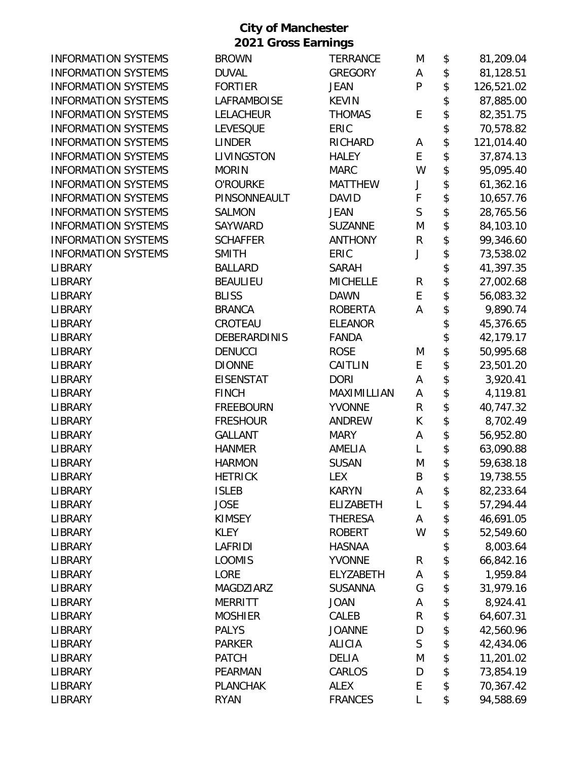| <b>INFORMATION SYSTEMS</b> | <b>BROWN</b>       | <b>TERRANCE</b>  | M            | \$<br>81,209.04  |
|----------------------------|--------------------|------------------|--------------|------------------|
| <b>INFORMATION SYSTEMS</b> | <b>DUVAL</b>       | <b>GREGORY</b>   | Α            | \$<br>81,128.51  |
| <b>INFORMATION SYSTEMS</b> | <b>FORTIER</b>     | <b>JEAN</b>      | P            | \$<br>126,521.02 |
| <b>INFORMATION SYSTEMS</b> | <b>LAFRAMBOISE</b> | <b>KEVIN</b>     |              | \$<br>87,885.00  |
| <b>INFORMATION SYSTEMS</b> | <b>LELACHEUR</b>   | <b>THOMAS</b>    | E            | \$<br>82,351.75  |
| <b>INFORMATION SYSTEMS</b> | <b>LEVESQUE</b>    | ERIC             |              | \$<br>70,578.82  |
| <b>INFORMATION SYSTEMS</b> | <b>LINDER</b>      | RICHARD          | A            | \$<br>121,014.40 |
| <b>INFORMATION SYSTEMS</b> | LIVINGSTON         | <b>HALEY</b>     | E            | \$<br>37,874.13  |
| <b>INFORMATION SYSTEMS</b> | <b>MORIN</b>       | <b>MARC</b>      | W            | \$<br>95,095.40  |
| <b>INFORMATION SYSTEMS</b> | <b>O'ROURKE</b>    | <b>MATTHEW</b>   | J            | \$<br>61,362.16  |
| <b>INFORMATION SYSTEMS</b> | PINSONNEAULT       | <b>DAVID</b>     | F            | \$<br>10,657.76  |
| <b>INFORMATION SYSTEMS</b> | <b>SALMON</b>      | <b>JEAN</b>      | $\mathsf{S}$ | \$<br>28,765.56  |
| <b>INFORMATION SYSTEMS</b> | SAYWARD            | <b>SUZANNE</b>   | M            | \$<br>84,103.10  |
| <b>INFORMATION SYSTEMS</b> | <b>SCHAFFER</b>    | <b>ANTHONY</b>   | R            | \$<br>99,346.60  |
| <b>INFORMATION SYSTEMS</b> | <b>SMITH</b>       | ERIC             | J            | \$<br>73,538.02  |
| <b>LIBRARY</b>             | <b>BALLARD</b>     | <b>SARAH</b>     |              | \$<br>41,397.35  |
| <b>LIBRARY</b>             | <b>BEAULIEU</b>    | <b>MICHELLE</b>  | R            | \$<br>27,002.68  |
| <b>LIBRARY</b>             | <b>BLISS</b>       | <b>DAWN</b>      | E            | \$<br>56,083.32  |
| <b>LIBRARY</b>             | <b>BRANCA</b>      | <b>ROBERTA</b>   | A            | \$<br>9,890.74   |
| <b>LIBRARY</b>             | CROTEAU            | <b>ELEANOR</b>   |              | \$<br>45,376.65  |
| <b>LIBRARY</b>             | DEBERARDINIS       | <b>FANDA</b>     |              | \$<br>42,179.17  |
| <b>LIBRARY</b>             | <b>DENUCCI</b>     | <b>ROSE</b>      | M            | \$<br>50,995.68  |
| <b>LIBRARY</b>             | <b>DIONNE</b>      | CAITLIN          | E            | \$<br>23,501.20  |
| <b>LIBRARY</b>             | <b>EISENSTAT</b>   | <b>DORI</b>      | Α            | \$<br>3,920.41   |
| <b>LIBRARY</b>             | <b>FINCH</b>       | MAXIMILLIAN      | Α            | \$<br>4,119.81   |
| <b>LIBRARY</b>             | <b>FREEBOURN</b>   | <b>YVONNE</b>    | R            | \$<br>40,747.32  |
| <b>LIBRARY</b>             | <b>FRESHOUR</b>    | <b>ANDREW</b>    | К            | \$<br>8,702.49   |
| LIBRARY                    | <b>GALLANT</b>     | <b>MARY</b>      | Α            | \$<br>56,952.80  |
| LIBRARY                    | <b>HANMER</b>      | AMELIA           | L            | \$<br>63,090.88  |
| <b>LIBRARY</b>             | <b>HARMON</b>      | <b>SUSAN</b>     | M            | \$<br>59,638.18  |
| LIBRARY                    | <b>HETRICK</b>     | <b>LEX</b>       | B            | \$<br>19,738.55  |
| LIBRARY                    | <b>ISLEB</b>       | <b>KARYN</b>     | Α            | \$<br>82,233.64  |
| <b>LIBRARY</b>             | <b>JOSE</b>        | <b>ELIZABETH</b> | L            | \$<br>57,294.44  |
| <b>LIBRARY</b>             | <b>KIMSEY</b>      | <b>THERESA</b>   | A            | \$<br>46,691.05  |
| <b>LIBRARY</b>             | <b>KLEY</b>        | <b>ROBERT</b>    | W            | \$<br>52,549.60  |
| <b>LIBRARY</b>             | LAFRIDI            | <b>HASNAA</b>    |              | \$<br>8,003.64   |
| <b>LIBRARY</b>             | <b>LOOMIS</b>      | <b>YVONNE</b>    | R            | \$<br>66,842.16  |
| LIBRARY                    | <b>LORE</b>        | ELYZABETH        | Α            | \$<br>1,959.84   |
| LIBRARY                    | MAGDZIARZ          | <b>SUSANNA</b>   | G            | \$<br>31,979.16  |
| <b>LIBRARY</b>             | <b>MERRITT</b>     | <b>JOAN</b>      | A            | \$<br>8,924.41   |
| <b>LIBRARY</b>             | <b>MOSHIER</b>     | CALEB            | R            | \$<br>64,607.31  |
| <b>LIBRARY</b>             | <b>PALYS</b>       | <b>JOANNE</b>    | D            | \$<br>42,560.96  |
| <b>LIBRARY</b>             | <b>PARKER</b>      | <b>ALICIA</b>    | $\mathsf S$  | \$<br>42,434.06  |
| <b>LIBRARY</b>             | <b>PATCH</b>       | <b>DELIA</b>     | M            | \$<br>11,201.02  |
| <b>LIBRARY</b>             | PEARMAN            | CARLOS           | D            | \$<br>73,854.19  |
| <b>LIBRARY</b>             | <b>PLANCHAK</b>    | <b>ALEX</b>      | E            | \$<br>70,367.42  |
| LIBRARY                    | <b>RYAN</b>        | <b>FRANCES</b>   | L            | \$<br>94,588.69  |
|                            |                    |                  |              |                  |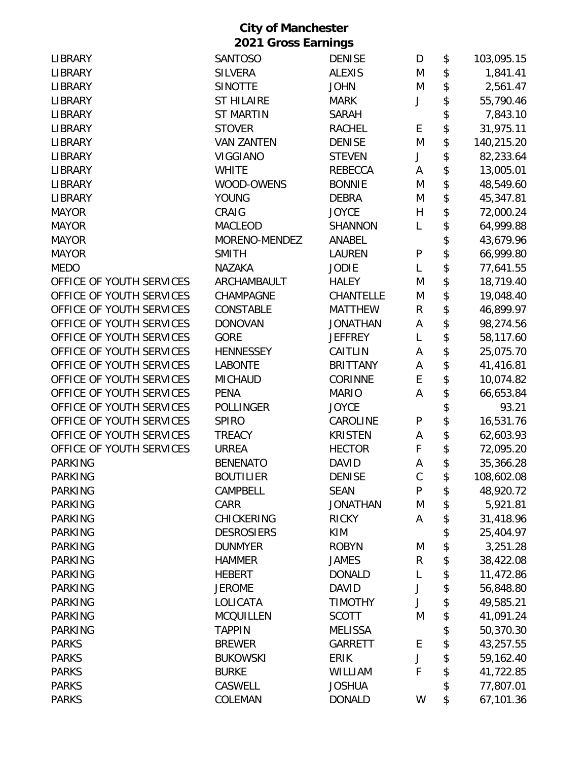| <b>LIBRARY</b>           | <b>SANTOSO</b>    | <b>DENISE</b>    | D            | \$<br>103,095.15 |
|--------------------------|-------------------|------------------|--------------|------------------|
| <b>LIBRARY</b>           | <b>SILVERA</b>    | <b>ALEXIS</b>    | M            | \$<br>1,841.41   |
| <b>LIBRARY</b>           | <b>SINOTTE</b>    | <b>JOHN</b>      | M            | \$<br>2,561.47   |
| <b>LIBRARY</b>           | <b>ST HILAIRE</b> | <b>MARK</b>      | J            | \$<br>55,790.46  |
| <b>LIBRARY</b>           | <b>ST MARTIN</b>  | <b>SARAH</b>     |              | \$<br>7,843.10   |
| <b>LIBRARY</b>           | <b>STOVER</b>     | <b>RACHEL</b>    | E            | \$<br>31,975.11  |
| <b>LIBRARY</b>           | <b>VAN ZANTEN</b> | <b>DENISE</b>    | M            | \$<br>140,215.20 |
| <b>LIBRARY</b>           | <b>VIGGIANO</b>   | <b>STEVEN</b>    | J            | \$<br>82,233.64  |
| <b>LIBRARY</b>           | <b>WHITE</b>      | REBECCA          | Α            | \$<br>13,005.01  |
| <b>LIBRARY</b>           | WOOD-OWENS        | <b>BONNIE</b>    | M            | \$<br>48,549.60  |
| <b>LIBRARY</b>           | <b>YOUNG</b>      | <b>DEBRA</b>     | M            | \$<br>45,347.81  |
| <b>MAYOR</b>             | CRAIG             | <b>JOYCE</b>     | H            | \$<br>72,000.24  |
| <b>MAYOR</b>             | <b>MACLEOD</b>    | <b>SHANNON</b>   | L            | \$<br>64,999.88  |
| <b>MAYOR</b>             | MORENO-MENDEZ     | ANABEL           |              | \$<br>43,679.96  |
| <b>MAYOR</b>             | <b>SMITH</b>      | <b>LAUREN</b>    | P            | \$<br>66,999.80  |
| <b>MEDO</b>              | <b>NAZAKA</b>     | <b>JODIE</b>     | L            | \$<br>77,641.55  |
| OFFICE OF YOUTH SERVICES | ARCHAMBAULT       | <b>HALEY</b>     | M            | \$<br>18,719.40  |
| OFFICE OF YOUTH SERVICES | CHAMPAGNE         | <b>CHANTELLE</b> | M            | \$<br>19,048.40  |
| OFFICE OF YOUTH SERVICES | CONSTABLE         | <b>MATTHEW</b>   | R            | \$<br>46,899.97  |
| OFFICE OF YOUTH SERVICES | <b>DONOVAN</b>    | <b>JONATHAN</b>  | A            | \$<br>98,274.56  |
| OFFICE OF YOUTH SERVICES | <b>GORE</b>       | <b>JEFFREY</b>   | L            | \$<br>58,117.60  |
| OFFICE OF YOUTH SERVICES | <b>HENNESSEY</b>  | CAITLIN          | Α            | \$<br>25,075.70  |
| OFFICE OF YOUTH SERVICES | <b>LABONTE</b>    | <b>BRITTANY</b>  | A            | \$<br>41,416.81  |
| OFFICE OF YOUTH SERVICES | <b>MICHAUD</b>    | <b>CORINNE</b>   | E            | \$<br>10,074.82  |
| OFFICE OF YOUTH SERVICES | <b>PENA</b>       | <b>MARIO</b>     | A            | \$<br>66,653.84  |
| OFFICE OF YOUTH SERVICES | <b>POLLINGER</b>  | <b>JOYCE</b>     |              | \$<br>93.21      |
| OFFICE OF YOUTH SERVICES | <b>SPIRO</b>      | CAROLINE         | P            | \$<br>16,531.76  |
| OFFICE OF YOUTH SERVICES | <b>TREACY</b>     | <b>KRISTEN</b>   | Α            | \$<br>62,603.93  |
| OFFICE OF YOUTH SERVICES | <b>URREA</b>      | <b>HECTOR</b>    | F            | \$<br>72,095.20  |
| <b>PARKING</b>           | <b>BENENATO</b>   | <b>DAVID</b>     | A            | \$<br>35,366.28  |
| <b>PARKING</b>           | <b>BOUTILIER</b>  | <b>DENISE</b>    | $\mathsf{C}$ | \$<br>108,602.08 |
| <b>PARKING</b>           | CAMPBELL          | <b>SEAN</b>      | P            | \$<br>48,920.72  |
| <b>PARKING</b>           | CARR              | <b>JONATHAN</b>  | M            | \$<br>5,921.81   |
| <b>PARKING</b>           | <b>CHICKERING</b> | <b>RICKY</b>     | A            | \$<br>31,418.96  |
| <b>PARKING</b>           | <b>DESROSIERS</b> | KIM              |              | \$<br>25,404.97  |
| <b>PARKING</b>           | <b>DUNMYER</b>    | <b>ROBYN</b>     | M            | \$<br>3,251.28   |
| <b>PARKING</b>           | <b>HAMMER</b>     | <b>JAMES</b>     | ${\sf R}$    | \$<br>38,422.08  |
| <b>PARKING</b>           | <b>HEBERT</b>     | <b>DONALD</b>    | L            | \$<br>11,472.86  |
| <b>PARKING</b>           | <b>JEROME</b>     | <b>DAVID</b>     | J            | \$<br>56,848.80  |
| <b>PARKING</b>           | LOLICATA          | <b>TIMOTHY</b>   | J            | \$<br>49,585.21  |
| <b>PARKING</b>           | <b>MCQUILLEN</b>  | <b>SCOTT</b>     | M            | \$<br>41,091.24  |
| <b>PARKING</b>           | <b>TAPPIN</b>     | <b>MELISSA</b>   |              | \$<br>50,370.30  |
| <b>PARKS</b>             | <b>BREWER</b>     | <b>GARRETT</b>   | E            | \$<br>43,257.55  |
| <b>PARKS</b>             | <b>BUKOWSKI</b>   | <b>ERIK</b>      | J            | \$<br>59,162.40  |
| <b>PARKS</b>             | <b>BURKE</b>      | WILLIAM          | F            | \$<br>41,722.85  |
| <b>PARKS</b>             | CASWELL           | <b>JOSHUA</b>    |              | \$<br>77,807.01  |
| <b>PARKS</b>             | COLEMAN           | <b>DONALD</b>    | W            | \$<br>67,101.36  |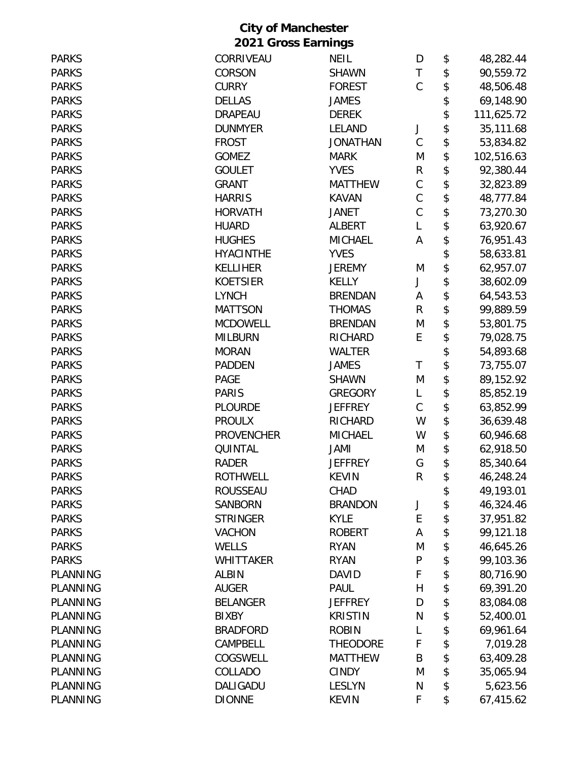| <b>PARKS</b>    | CORRIVEAU         | <b>NEIL</b>     | D            | \$<br>48,282.44  |
|-----------------|-------------------|-----------------|--------------|------------------|
| <b>PARKS</b>    | CORSON            | <b>SHAWN</b>    | T            | \$<br>90,559.72  |
| <b>PARKS</b>    | <b>CURRY</b>      | <b>FOREST</b>   | $\mathsf{C}$ | \$<br>48,506.48  |
| <b>PARKS</b>    | <b>DELLAS</b>     | <b>JAMES</b>    |              | \$<br>69,148.90  |
| <b>PARKS</b>    | <b>DRAPEAU</b>    | <b>DEREK</b>    |              | \$<br>111,625.72 |
| <b>PARKS</b>    | <b>DUNMYER</b>    | LELAND          | J            | \$<br>35,111.68  |
| <b>PARKS</b>    | <b>FROST</b>      | <b>JONATHAN</b> | $\mathsf C$  | \$<br>53,834.82  |
| <b>PARKS</b>    | <b>GOMEZ</b>      | <b>MARK</b>     | M            | \$<br>102,516.63 |
| <b>PARKS</b>    | <b>GOULET</b>     | <b>YVES</b>     | R            | \$<br>92,380.44  |
| <b>PARKS</b>    | <b>GRANT</b>      | <b>MATTHEW</b>  | $\mathsf C$  | \$<br>32,823.89  |
| <b>PARKS</b>    | <b>HARRIS</b>     | <b>KAVAN</b>    | $\mathsf C$  | \$<br>48,777.84  |
| <b>PARKS</b>    | <b>HORVATH</b>    | <b>JANET</b>    | $\mathsf C$  | \$<br>73,270.30  |
| <b>PARKS</b>    | <b>HUARD</b>      | <b>ALBERT</b>   | L            | \$<br>63,920.67  |
| <b>PARKS</b>    | <b>HUGHES</b>     | <b>MICHAEL</b>  | А            | \$<br>76,951.43  |
| <b>PARKS</b>    | <b>HYACINTHE</b>  | <b>YVES</b>     |              | \$<br>58,633.81  |
| <b>PARKS</b>    | <b>KELLIHER</b>   | <b>JEREMY</b>   | M            | \$<br>62,957.07  |
| <b>PARKS</b>    | <b>KOETSIER</b>   | <b>KELLY</b>    | J            | \$<br>38,602.09  |
| <b>PARKS</b>    | <b>LYNCH</b>      | <b>BRENDAN</b>  | A            | \$<br>64,543.53  |
| <b>PARKS</b>    | <b>MATTSON</b>    | <b>THOMAS</b>   | $\mathsf{R}$ | \$<br>99,889.59  |
| <b>PARKS</b>    | <b>MCDOWELL</b>   | <b>BRENDAN</b>  | M            | \$<br>53,801.75  |
| <b>PARKS</b>    | <b>MILBURN</b>    | <b>RICHARD</b>  | E            | \$<br>79,028.75  |
| <b>PARKS</b>    | <b>MORAN</b>      | <b>WALTER</b>   |              | \$<br>54,893.68  |
| <b>PARKS</b>    | <b>PADDEN</b>     | <b>JAMES</b>    | T            | \$<br>73,755.07  |
| <b>PARKS</b>    | <b>PAGE</b>       | <b>SHAWN</b>    | M            | \$<br>89,152.92  |
| <b>PARKS</b>    | <b>PARIS</b>      | <b>GREGORY</b>  | L            | \$<br>85,852.19  |
| <b>PARKS</b>    | <b>PLOURDE</b>    | <b>JEFFREY</b>  | C            | \$<br>63,852.99  |
| <b>PARKS</b>    | <b>PROULX</b>     | RICHARD         | W            | \$<br>36,639.48  |
| <b>PARKS</b>    | <b>PROVENCHER</b> | <b>MICHAEL</b>  | W            | \$<br>60,946.68  |
| <b>PARKS</b>    | QUINTAL           | JAMI            | M            | \$<br>62,918.50  |
| <b>PARKS</b>    | <b>RADER</b>      | <b>JEFFREY</b>  | G            | \$<br>85,340.64  |
| <b>PARKS</b>    | <b>ROTHWELL</b>   | <b>KEVIN</b>    | R            | \$<br>46,248.24  |
| <b>PARKS</b>    | <b>ROUSSEAU</b>   | CHAD            |              | \$<br>49,193.01  |
| <b>PARKS</b>    | <b>SANBORN</b>    | <b>BRANDON</b>  | J            | \$<br>46,324.46  |
| <b>PARKS</b>    | <b>STRINGER</b>   | <b>KYLE</b>     | E            | \$<br>37,951.82  |
| <b>PARKS</b>    | <b>VACHON</b>     | <b>ROBERT</b>   | Α            | \$<br>99,121.18  |
| <b>PARKS</b>    | WELLS             | <b>RYAN</b>     | M            | \$<br>46,645.26  |
| <b>PARKS</b>    | <b>WHITTAKER</b>  | <b>RYAN</b>     | P            | \$<br>99,103.36  |
| <b>PLANNING</b> | <b>ALBIN</b>      | <b>DAVID</b>    | F            | \$<br>80,716.90  |
| <b>PLANNING</b> | <b>AUGER</b>      | <b>PAUL</b>     | Η            | \$<br>69,391.20  |
| PLANNING        | <b>BELANGER</b>   | <b>JEFFREY</b>  | D            | \$<br>83,084.08  |
| PLANNING        | <b>BIXBY</b>      | <b>KRISTIN</b>  | N            | \$<br>52,400.01  |
| <b>PLANNING</b> | <b>BRADFORD</b>   | <b>ROBIN</b>    | L            | \$<br>69,961.64  |
| <b>PLANNING</b> | CAMPBELL          | <b>THEODORE</b> | F            | \$<br>7,019.28   |
| <b>PLANNING</b> | COGSWELL          | <b>MATTHEW</b>  | B            | \$<br>63,409.28  |
| <b>PLANNING</b> | COLLADO           | <b>CINDY</b>    | M            | \$<br>35,065.94  |
| PLANNING        | DALIGADU          | <b>LESLYN</b>   | N            | \$<br>5,623.56   |
| PLANNING        | <b>DIONNE</b>     | <b>KEVIN</b>    | F            | \$<br>67,415.62  |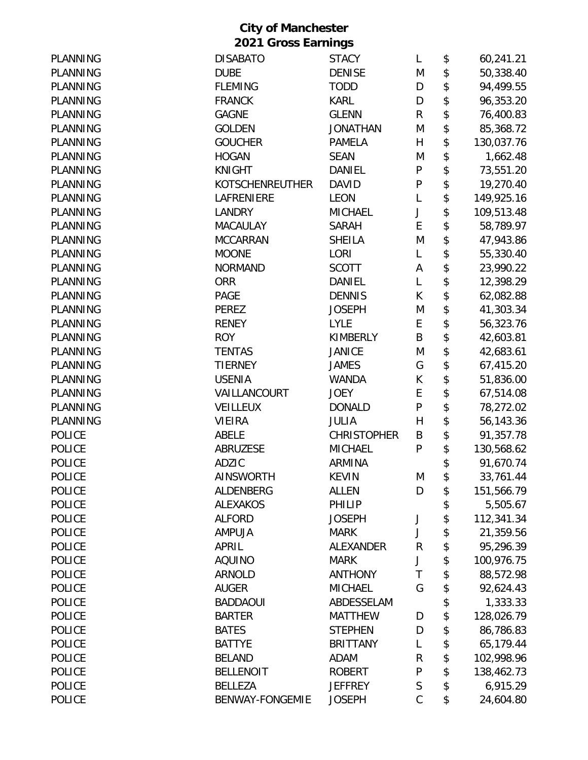|                 | <b>City of Manchester</b> |                    |              |                  |
|-----------------|---------------------------|--------------------|--------------|------------------|
|                 | 2021 Gross Earnings       |                    |              |                  |
| PLANNING        | <b>DISABATO</b>           | <b>STACY</b>       | L            | \$<br>60,241.21  |
| <b>PLANNING</b> | <b>DUBE</b>               | <b>DENISE</b>      | M            | \$<br>50,338.40  |
| <b>PLANNING</b> | <b>FLEMING</b>            | <b>TODD</b>        | D            | \$<br>94,499.55  |
| <b>PLANNING</b> | <b>FRANCK</b>             | <b>KARL</b>        | D            | \$<br>96,353.20  |
| PLANNING        | <b>GAGNE</b>              | <b>GLENN</b>       | $\mathsf R$  | \$<br>76,400.83  |
| PLANNING        | <b>GOLDEN</b>             | <b>JONATHAN</b>    | M            | \$<br>85,368.72  |
| <b>PLANNING</b> | <b>GOUCHER</b>            | <b>PAMELA</b>      | H            | \$<br>130,037.76 |
| PLANNING        | <b>HOGAN</b>              | <b>SEAN</b>        | M            | \$<br>1,662.48   |
| <b>PLANNING</b> | <b>KNIGHT</b>             | DANIEL             | $\mathsf{P}$ | \$<br>73,551.20  |
| PLANNING        | <b>KOTSCHENREUTHER</b>    | <b>DAVID</b>       | P            | \$<br>19,270.40  |
| PLANNING        | LAFRENIERE                | <b>LEON</b>        | L            | \$<br>149,925.16 |
| <b>PLANNING</b> | <b>LANDRY</b>             | <b>MICHAEL</b>     | J            | \$<br>109,513.48 |
| PLANNING        | <b>MACAULAY</b>           | <b>SARAH</b>       | E            | \$<br>58,789.97  |
| PLANNING        | <b>MCCARRAN</b>           | <b>SHEILA</b>      | M            | \$<br>47,943.86  |
| PLANNING        | <b>MOONE</b>              | LORI               | L            | \$<br>55,330.40  |
| PLANNING        | <b>NORMAND</b>            | <b>SCOTT</b>       | A            | \$<br>23,990.22  |
| PLANNING        | <b>ORR</b>                | <b>DANIEL</b>      | L            | \$<br>12,398.29  |
| <b>PLANNING</b> | <b>PAGE</b>               | <b>DENNIS</b>      | К            | \$<br>62,082.88  |
| PLANNING        | <b>PEREZ</b>              | <b>JOSEPH</b>      | M            | \$<br>41,303.34  |
| PLANNING        | <b>RENEY</b>              | <b>LYLE</b>        | E            | \$<br>56,323.76  |
| PLANNING        | <b>ROY</b>                | <b>KIMBERLY</b>    | B            | \$<br>42,603.81  |
| PLANNING        | <b>TENTAS</b>             | <b>JANICE</b>      | M            | \$<br>42,683.61  |
| PLANNING        | <b>TIERNEY</b>            | <b>JAMES</b>       | G            | \$<br>67,415.20  |
| PLANNING        | <b>USENIA</b>             | <b>WANDA</b>       | К            | \$<br>51,836.00  |
| <b>PLANNING</b> | VAILLANCOURT              | <b>JOEY</b>        | E            | \$<br>67,514.08  |
| <b>PLANNING</b> | VEILLEUX                  | <b>DONALD</b>      | $\mathsf{P}$ | \$<br>78,272.02  |
| <b>PLANNING</b> | <b>VIEIRA</b>             | <b>JULIA</b>       | H            | \$<br>56,143.36  |
| <b>POLICE</b>   | <b>ABELE</b>              | <b>CHRISTOPHER</b> | B            | \$<br>91,357.78  |
| <b>POLICE</b>   | <b>ABRUZESE</b>           | <b>MICHAEL</b>     | P            | \$<br>130,568.62 |
| <b>POLICE</b>   | ADZIC                     | <b>ARMINA</b>      |              | \$<br>91,670.74  |
| <b>POLICE</b>   | <b>AINSWORTH</b>          | <b>KEVIN</b>       | M            | \$<br>33,761.44  |
| <b>POLICE</b>   | ALDENBERG                 | ALLEN              | D            | \$<br>151,566.79 |
| <b>POLICE</b>   | <b>ALEXAKOS</b>           | PHILIP             |              | \$<br>5,505.67   |
| <b>POLICE</b>   | <b>ALFORD</b>             | <b>JOSEPH</b>      | J            | \$<br>112,341.34 |
| <b>POLICE</b>   | <b>AMPUJA</b>             | <b>MARK</b>        | J            | \$<br>21,359.56  |
| <b>POLICE</b>   | APRIL                     | ALEXANDER          | R            | \$<br>95,296.39  |
| <b>POLICE</b>   | <b>AQUINO</b>             | <b>MARK</b>        | J            | \$<br>100,976.75 |
| <b>POLICE</b>   | <b>ARNOLD</b>             | <b>ANTHONY</b>     | T            | \$<br>88,572.98  |
| <b>POLICE</b>   | <b>AUGER</b>              | <b>MICHAEL</b>     | G            | \$<br>92,624.43  |
| <b>POLICE</b>   | <b>BADDAOUI</b>           | ABDESSELAM         |              | \$<br>1,333.33   |
| <b>POLICE</b>   | <b>BARTER</b>             | <b>MATTHEW</b>     | D            | \$<br>128,026.79 |
| <b>POLICE</b>   | <b>BATES</b>              | <b>STEPHEN</b>     | D            | \$<br>86,786.83  |
| <b>POLICE</b>   | <b>BATTYE</b>             | <b>BRITTANY</b>    | L            | \$<br>65,179.44  |
| <b>POLICE</b>   | <b>BELAND</b>             | <b>ADAM</b>        | ${\sf R}$    | \$<br>102,998.96 |
| <b>POLICE</b>   | <b>BELLENOIT</b>          | <b>ROBERT</b>      | ${\sf P}$    | \$<br>138,462.73 |
| <b>POLICE</b>   | <b>BELLEZA</b>            | <b>JEFFREY</b>     | $\mathsf S$  | \$<br>6,915.29   |
| POLICE          | <b>BENWAY-FONGEMIE</b>    | <b>JOSEPH</b>      | $\mathsf C$  | \$<br>24,604.80  |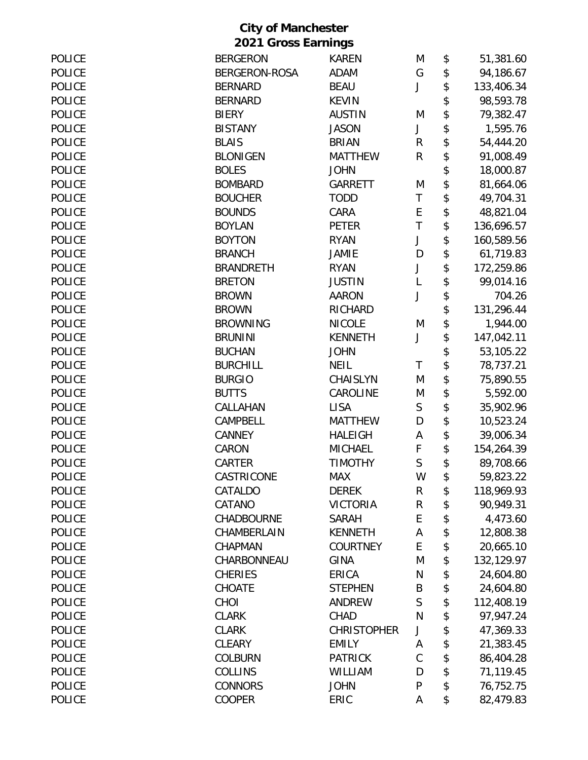|  | <b>City of Manchester</b>  |
|--|----------------------------|
|  | <b>2021 Gross Earnings</b> |

| <b>POLICE</b> | <b>BERGERON</b>      | <b>KAREN</b>       | M            | \$<br>51,381.60  |
|---------------|----------------------|--------------------|--------------|------------------|
| <b>POLICE</b> | <b>BERGERON-ROSA</b> | <b>ADAM</b>        | G            | \$<br>94,186.67  |
| <b>POLICE</b> | <b>BERNARD</b>       | <b>BEAU</b>        | J            | \$<br>133,406.34 |
| <b>POLICE</b> | <b>BERNARD</b>       | <b>KEVIN</b>       |              | \$<br>98,593.78  |
| <b>POLICE</b> | <b>BIERY</b>         | <b>AUSTIN</b>      | M            | \$<br>79,382.47  |
| <b>POLICE</b> | <b>BISTANY</b>       | <b>JASON</b>       | J            | \$<br>1,595.76   |
| <b>POLICE</b> | <b>BLAIS</b>         | <b>BRIAN</b>       | R            | \$<br>54,444.20  |
| <b>POLICE</b> | <b>BLONIGEN</b>      | <b>MATTHEW</b>     | ${\sf R}$    | \$<br>91,008.49  |
| <b>POLICE</b> | <b>BOLES</b>         | <b>JOHN</b>        |              | \$<br>18,000.87  |
| <b>POLICE</b> | <b>BOMBARD</b>       | <b>GARRETT</b>     | M            | \$<br>81,664.06  |
| <b>POLICE</b> | <b>BOUCHER</b>       | <b>TODD</b>        | $\top$       | \$<br>49,704.31  |
| <b>POLICE</b> | <b>BOUNDS</b>        | CARA               | E            | \$<br>48,821.04  |
| <b>POLICE</b> | <b>BOYLAN</b>        | <b>PETER</b>       | T            | \$<br>136,696.57 |
| <b>POLICE</b> | <b>BOYTON</b>        | <b>RYAN</b>        | J            | \$<br>160,589.56 |
| <b>POLICE</b> | <b>BRANCH</b>        | <b>JAMIE</b>       | D            | \$<br>61,719.83  |
| <b>POLICE</b> | <b>BRANDRETH</b>     | <b>RYAN</b>        | J            | \$<br>172,259.86 |
| POLICE        | <b>BRETON</b>        | <b>JUSTIN</b>      | L            | \$<br>99,014.16  |
| <b>POLICE</b> | <b>BROWN</b>         | <b>AARON</b>       | J            | \$<br>704.26     |
| <b>POLICE</b> | <b>BROWN</b>         | RICHARD            |              | \$<br>131,296.44 |
| <b>POLICE</b> | <b>BROWNING</b>      | <b>NICOLE</b>      | M            | \$<br>1,944.00   |
| <b>POLICE</b> | <b>BRUNINI</b>       | <b>KENNETH</b>     | J            | \$<br>147,042.11 |
| <b>POLICE</b> | <b>BUCHAN</b>        | <b>JOHN</b>        |              | \$<br>53,105.22  |
| <b>POLICE</b> | <b>BURCHILL</b>      | <b>NEIL</b>        | T            | \$<br>78,737.21  |
| <b>POLICE</b> | <b>BURGIO</b>        | <b>CHAISLYN</b>    | M            | \$<br>75,890.55  |
| <b>POLICE</b> | <b>BUTTS</b>         | CAROLINE           | M            | \$<br>5,592.00   |
| <b>POLICE</b> | CALLAHAN             | <b>LISA</b>        | $\mathsf S$  | \$<br>35,902.96  |
| <b>POLICE</b> | CAMPBELL             | <b>MATTHEW</b>     | D            | \$<br>10,523.24  |
| <b>POLICE</b> | <b>CANNEY</b>        | <b>HALEIGH</b>     | А            | \$<br>39,006.34  |
| <b>POLICE</b> | CARON                | <b>MICHAEL</b>     | F            | \$<br>154,264.39 |
| <b>POLICE</b> | CARTER               | <b>TIMOTHY</b>     | $\mathsf{S}$ | \$<br>89,708.66  |
| <b>POLICE</b> | CASTRICONE           | MAX                | W            | 59,823.22        |
| <b>POLICE</b> | CATALDO              | <b>DEREK</b>       | R            | \$<br>118,969.93 |
| <b>POLICE</b> | CATANO               | <b>VICTORIA</b>    | ${\sf R}$    | \$<br>90,949.31  |
| <b>POLICE</b> | <b>CHADBOURNE</b>    | <b>SARAH</b>       | E            | \$<br>4,473.60   |
| <b>POLICE</b> | CHAMBERLAIN          | <b>KENNETH</b>     | А            | \$<br>12,808.38  |
| <b>POLICE</b> | CHAPMAN              | <b>COURTNEY</b>    | E            | \$<br>20,665.10  |
| <b>POLICE</b> | CHARBONNEAU          | <b>GINA</b>        | M            | \$<br>132,129.97 |
| <b>POLICE</b> | <b>CHERIES</b>       | ERICA              | N            | \$<br>24,604.80  |
| <b>POLICE</b> | CHOATE               | <b>STEPHEN</b>     | B            | \$<br>24,604.80  |
| <b>POLICE</b> | CHOI                 | <b>ANDREW</b>      | S            | \$<br>112,408.19 |
| <b>POLICE</b> | <b>CLARK</b>         | CHAD               | N            | \$<br>97,947.24  |
| <b>POLICE</b> | <b>CLARK</b>         | <b>CHRISTOPHER</b> | J            | \$<br>47,369.33  |
| <b>POLICE</b> | <b>CLEARY</b>        | <b>EMILY</b>       | A            | \$<br>21,383.45  |
| <b>POLICE</b> | <b>COLBURN</b>       | <b>PATRICK</b>     | $\mathsf C$  | \$<br>86,404.28  |
| <b>POLICE</b> | <b>COLLINS</b>       | WILLIAM            | D            | \$<br>71,119.45  |
| <b>POLICE</b> | <b>CONNORS</b>       | <b>JOHN</b>        | $\mathsf{P}$ | \$<br>76,752.75  |
| POLICE        | <b>COOPER</b>        | ERIC               | Α            | \$<br>82,479.83  |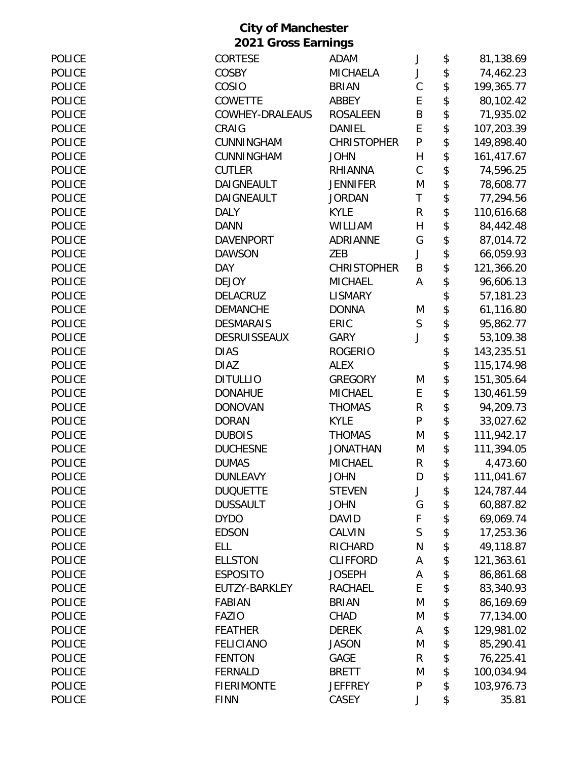| <b>POLICE</b> | CORTESE             | ADAM               | J            | \$<br>81,138.69  |
|---------------|---------------------|--------------------|--------------|------------------|
| <b>POLICE</b> | COSBY               | <b>MICHAELA</b>    | J            | \$<br>74,462.23  |
| <b>POLICE</b> | COSIO               | <b>BRIAN</b>       | $\mathsf{C}$ | \$<br>199,365.77 |
| <b>POLICE</b> | <b>COWETTE</b>      | ABBEY              | E            | \$<br>80,102.42  |
| <b>POLICE</b> | COWHEY-DRALEAUS     | <b>ROSALEEN</b>    | B            | \$<br>71,935.02  |
| <b>POLICE</b> | CRAIG               | DANIEL             | E            | \$<br>107,203.39 |
| <b>POLICE</b> | CUNNINGHAM          | <b>CHRISTOPHER</b> | $\mathsf{P}$ | \$<br>149,898.40 |
| <b>POLICE</b> | CUNNINGHAM          | <b>JOHN</b>        | $\mathsf{H}$ | \$<br>161,417.67 |
| <b>POLICE</b> | <b>CUTLER</b>       | <b>RHIANNA</b>     | $\mathsf C$  | \$<br>74,596.25  |
| <b>POLICE</b> | DAIGNEAULT          | <b>JENNIFER</b>    | M            | \$<br>78,608.77  |
| <b>POLICE</b> | DAIGNEAULT          | <b>JORDAN</b>      | T            | \$<br>77,294.56  |
| <b>POLICE</b> | <b>DALY</b>         | <b>KYLE</b>        | R            | \$<br>110,616.68 |
| <b>POLICE</b> | <b>DANN</b>         | WILLIAM            | H            | \$<br>84,442.48  |
| <b>POLICE</b> | <b>DAVENPORT</b>    | <b>ADRIANNE</b>    | G            | \$<br>87,014.72  |
| <b>POLICE</b> | <b>DAWSON</b>       | ZEB                | J            | \$<br>66,059.93  |
| <b>POLICE</b> | <b>DAY</b>          | <b>CHRISTOPHER</b> | B            | \$<br>121,366.20 |
| <b>POLICE</b> | <b>DEJOY</b>        | <b>MICHAEL</b>     | A            | \$<br>96,606.13  |
| <b>POLICE</b> | <b>DELACRUZ</b>     | <b>LISMARY</b>     |              | \$<br>57,181.23  |
| <b>POLICE</b> | <b>DEMANCHE</b>     | <b>DONNA</b>       | M            | \$<br>61,116.80  |
| <b>POLICE</b> | <b>DESMARAIS</b>    | ERIC               | $\mathsf S$  | \$<br>95,862.77  |
| <b>POLICE</b> | <b>DESRUISSEAUX</b> | <b>GARY</b>        | J            | \$<br>53,109.38  |
| <b>POLICE</b> | <b>DIAS</b>         | <b>ROGERIO</b>     |              | \$<br>143,235.51 |
| <b>POLICE</b> | <b>DIAZ</b>         | <b>ALEX</b>        |              | \$<br>115,174.98 |
| <b>POLICE</b> | <b>DITULLIO</b>     | <b>GREGORY</b>     | M            | \$<br>151,305.64 |
| <b>POLICE</b> | <b>DONAHUE</b>      | <b>MICHAEL</b>     | E            | \$<br>130,461.59 |
| <b>POLICE</b> | <b>DONOVAN</b>      | <b>THOMAS</b>      | R            | \$<br>94,209.73  |
| <b>POLICE</b> | <b>DORAN</b>        | <b>KYLE</b>        | P            | \$<br>33,027.62  |
| <b>POLICE</b> | <b>DUBOIS</b>       | <b>THOMAS</b>      | M            | \$<br>111,942.17 |
| <b>POLICE</b> | <b>DUCHESNE</b>     | <b>JONATHAN</b>    | M            | \$<br>111,394.05 |
| <b>POLICE</b> | <b>DUMAS</b>        | <b>MICHAEL</b>     | R            | \$<br>4,473.60   |
| <b>POLICE</b> | <b>DUNLEAVY</b>     | JOHN               | D            | \$<br>111,041.67 |
| <b>POLICE</b> | <b>DUQUETTE</b>     | <b>STEVEN</b>      | J            | \$<br>124,787.44 |
| <b>POLICE</b> | <b>DUSSAULT</b>     | <b>JOHN</b>        | G            | \$<br>60,887.82  |
| <b>POLICE</b> | <b>DYDO</b>         | <b>DAVID</b>       | F            | \$<br>69,069.74  |
| <b>POLICE</b> | <b>EDSON</b>        | CALVIN             | $\mathsf S$  | \$<br>17,253.36  |
| <b>POLICE</b> | <b>ELL</b>          | RICHARD            | N            | \$<br>49,118.87  |
| <b>POLICE</b> | <b>ELLSTON</b>      | <b>CLIFFORD</b>    | А            | \$<br>121,363.61 |
| <b>POLICE</b> | <b>ESPOSITO</b>     | <b>JOSEPH</b>      | А            | \$<br>86,861.68  |
| <b>POLICE</b> | EUTZY-BARKLEY       | RACHAEL            | E            | \$<br>83,340.93  |
| <b>POLICE</b> | <b>FABIAN</b>       | <b>BRIAN</b>       | M            | \$<br>86,169.69  |
| <b>POLICE</b> | <b>FAZIO</b>        | CHAD               | M            | \$<br>77,134.00  |
| <b>POLICE</b> | <b>FEATHER</b>      | <b>DEREK</b>       | Α            | \$<br>129,981.02 |
| <b>POLICE</b> | <b>FELICIANO</b>    | <b>JASON</b>       | M            | \$<br>85,290.41  |
| <b>POLICE</b> | <b>FENTON</b>       | GAGE               | R            | \$<br>76,225.41  |
| <b>POLICE</b> | <b>FERNALD</b>      | <b>BRETT</b>       | M            | \$<br>100,034.94 |
| <b>POLICE</b> | <b>FIERIMONTE</b>   | <b>JEFFREY</b>     | P            | \$<br>103,976.73 |
| <b>POLICE</b> | <b>FINN</b>         | CASEY              | J            | \$<br>35.81      |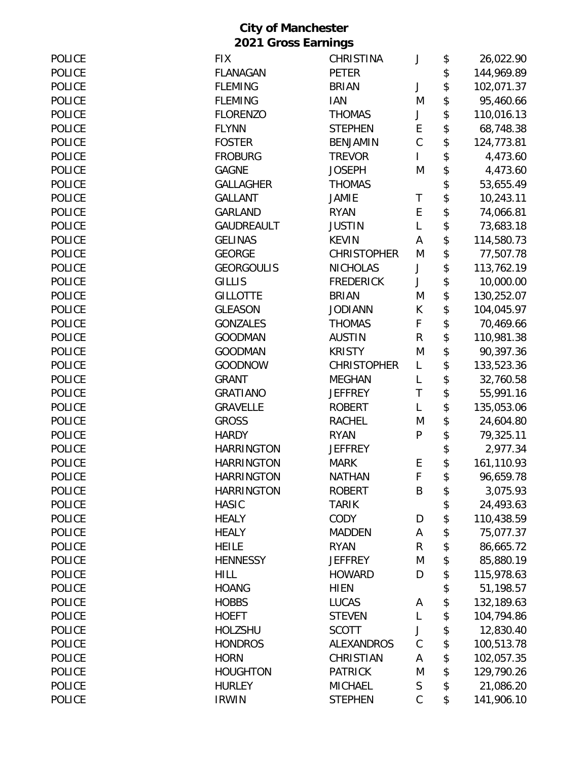| <b>POLICE</b> | <b>FIX</b>        | CHRISTINA          | J              | \$<br>26,022.90  |
|---------------|-------------------|--------------------|----------------|------------------|
| <b>POLICE</b> | FLANAGAN          | <b>PETER</b>       |                | \$<br>144,969.89 |
| <b>POLICE</b> | <b>FLEMING</b>    | <b>BRIAN</b>       | J              | \$<br>102,071.37 |
| <b>POLICE</b> | <b>FLEMING</b>    | <b>IAN</b>         | M              | \$<br>95,460.66  |
| <b>POLICE</b> |                   |                    |                | \$               |
|               | <b>FLORENZO</b>   | <b>THOMAS</b>      | J              | 110,016.13       |
| <b>POLICE</b> | <b>FLYNN</b>      | <b>STEPHEN</b>     | E              | \$<br>68,748.38  |
| <b>POLICE</b> | <b>FOSTER</b>     | <b>BENJAMIN</b>    | $\mathsf C$    | \$<br>124,773.81 |
| <b>POLICE</b> | <b>FROBURG</b>    | <b>TREVOR</b>      | $\overline{1}$ | \$<br>4,473.60   |
| <b>POLICE</b> | <b>GAGNE</b>      | <b>JOSEPH</b>      | M              | \$<br>4,473.60   |
| <b>POLICE</b> | <b>GALLAGHER</b>  | <b>THOMAS</b>      |                | \$<br>53,655.49  |
| <b>POLICE</b> | <b>GALLANT</b>    | JAMIE              | Τ              | \$<br>10,243.11  |
| <b>POLICE</b> | <b>GARLAND</b>    | <b>RYAN</b>        | E              | \$<br>74,066.81  |
| <b>POLICE</b> | <b>GAUDREAULT</b> | <b>JUSTIN</b>      | L              | \$<br>73,683.18  |
| <b>POLICE</b> | <b>GELINAS</b>    | <b>KEVIN</b>       | Α              | \$<br>114,580.73 |
| <b>POLICE</b> | <b>GEORGE</b>     | <b>CHRISTOPHER</b> | M              | \$<br>77,507.78  |
| <b>POLICE</b> | <b>GEORGOULIS</b> | <b>NICHOLAS</b>    | J              | \$<br>113,762.19 |
| <b>POLICE</b> | <b>GILLIS</b>     | <b>FREDERICK</b>   | J              | \$<br>10,000.00  |
| <b>POLICE</b> | <b>GILLOTTE</b>   | <b>BRIAN</b>       | M              | \$<br>130,252.07 |
| <b>POLICE</b> | <b>GLEASON</b>    | <b>JODIANN</b>     | К              | \$<br>104,045.97 |
| <b>POLICE</b> | <b>GONZALES</b>   | <b>THOMAS</b>      | F              | \$<br>70,469.66  |
| <b>POLICE</b> | <b>GOODMAN</b>    | <b>AUSTIN</b>      | $\mathsf R$    | \$<br>110,981.38 |
| <b>POLICE</b> | <b>GOODMAN</b>    | <b>KRISTY</b>      | M              | \$<br>90,397.36  |
| <b>POLICE</b> | <b>GOODNOW</b>    | <b>CHRISTOPHER</b> | L              | \$<br>133,523.36 |
| <b>POLICE</b> | <b>GRANT</b>      | <b>MEGHAN</b>      | L              | \$<br>32,760.58  |
| <b>POLICE</b> | <b>GRATIANO</b>   | <b>JEFFREY</b>     | $\mathsf T$    | \$<br>55,991.16  |
| <b>POLICE</b> | <b>GRAVELLE</b>   | <b>ROBERT</b>      | L              | \$<br>135,053.06 |
| <b>POLICE</b> | <b>GROSS</b>      | <b>RACHEL</b>      | M              | \$<br>24,604.80  |
| <b>POLICE</b> | <b>HARDY</b>      | <b>RYAN</b>        | P              | \$<br>79,325.11  |
| POLICE        | <b>HARRINGTON</b> | <b>JEFFREY</b>     |                | \$<br>2,977.34   |
| <b>POLICE</b> | <b>HARRINGTON</b> | <b>MARK</b>        | E              | \$<br>161,110.93 |
| <b>POLICE</b> | <b>HARRINGTON</b> | <b>NATHAN</b>      | F              | 96,659.78        |
| <b>POLICE</b> | <b>HARRINGTON</b> | <b>ROBERT</b>      | B              | \$<br>3,075.93   |
| <b>POLICE</b> | <b>HASIC</b>      | <b>TARIK</b>       |                | \$<br>24,493.63  |
| POLICE        | <b>HEALY</b>      | <b>CODY</b>        | D              | \$<br>110,438.59 |
| <b>POLICE</b> |                   |                    |                |                  |
|               | <b>HEALY</b>      | <b>MADDEN</b>      | Α              | \$<br>75,077.37  |
| <b>POLICE</b> | <b>HEILE</b>      | <b>RYAN</b>        | R              | \$<br>86,665.72  |
| <b>POLICE</b> | <b>HENNESSY</b>   | <b>JEFFREY</b>     | M              | \$<br>85,880.19  |
| POLICE        | <b>HILL</b>       | <b>HOWARD</b>      | D              | \$<br>115,978.63 |
| <b>POLICE</b> | <b>HOANG</b>      | <b>HIEN</b>        |                | \$<br>51,198.57  |
| <b>POLICE</b> | <b>HOBBS</b>      | <b>LUCAS</b>       | Α              | \$<br>132,189.63 |
| POLICE        | <b>HOEFT</b>      | <b>STEVEN</b>      | L              | \$<br>104,794.86 |
| <b>POLICE</b> | HOLZSHU           | <b>SCOTT</b>       | J              | \$<br>12,830.40  |
| POLICE        | <b>HONDROS</b>    | <b>ALEXANDROS</b>  | $\mathsf{C}$   | \$<br>100,513.78 |
| <b>POLICE</b> | <b>HORN</b>       | CHRISTIAN          | Α              | \$<br>102,057.35 |
| <b>POLICE</b> | <b>HOUGHTON</b>   | <b>PATRICK</b>     | M              | \$<br>129,790.26 |
| <b>POLICE</b> | <b>HURLEY</b>     | <b>MICHAEL</b>     | $\sf S$        | \$<br>21,086.20  |
| <b>POLICE</b> | <b>IRWIN</b>      | <b>STEPHEN</b>     | $\mathsf C$    | \$<br>141,906.10 |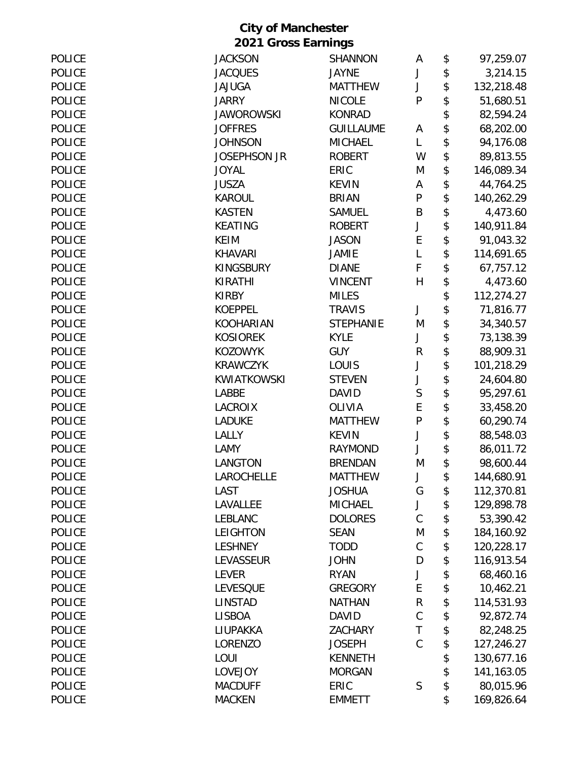| <b>POLICE</b> | <b>JACKSON</b>      | <b>SHANNON</b>   | A            | \$<br>97,259.07  |
|---------------|---------------------|------------------|--------------|------------------|
| <b>POLICE</b> | <b>JACQUES</b>      | <b>JAYNE</b>     | J            | \$<br>3,214.15   |
| <b>POLICE</b> | <b>JAJUGA</b>       | <b>MATTHEW</b>   | J            | \$<br>132,218.48 |
| <b>POLICE</b> | <b>JARRY</b>        | <b>NICOLE</b>    | P            | \$<br>51,680.51  |
| <b>POLICE</b> | <b>JAWOROWSKI</b>   | <b>KONRAD</b>    |              | \$<br>82,594.24  |
| <b>POLICE</b> | <b>JOFFRES</b>      | <b>GUILLAUME</b> | A            | \$<br>68,202.00  |
| <b>POLICE</b> | <b>JOHNSON</b>      | <b>MICHAEL</b>   | L            | \$<br>94,176.08  |
| <b>POLICE</b> | <b>JOSEPHSON JR</b> | <b>ROBERT</b>    | W            | \$<br>89,813.55  |
| <b>POLICE</b> | <b>JOYAL</b>        | ERIC             | M            | \$<br>146,089.34 |
| <b>POLICE</b> | <b>JUSZA</b>        | <b>KEVIN</b>     | A            | \$<br>44,764.25  |
| <b>POLICE</b> | <b>KAROUL</b>       | <b>BRIAN</b>     | ${\sf P}$    | \$<br>140,262.29 |
| <b>POLICE</b> | <b>KASTEN</b>       | <b>SAMUEL</b>    | B            | \$<br>4,473.60   |
| <b>POLICE</b> | <b>KEATING</b>      | <b>ROBERT</b>    | J            | \$<br>140,911.84 |
| <b>POLICE</b> | <b>KEIM</b>         | <b>JASON</b>     | E            | \$<br>91,043.32  |
| <b>POLICE</b> | <b>KHAVARI</b>      | <b>JAMIE</b>     | L            | \$<br>114,691.65 |
| <b>POLICE</b> | <b>KINGSBURY</b>    | <b>DIANE</b>     | F            | \$<br>67,757.12  |
| <b>POLICE</b> | <b>KIRATHI</b>      | <b>VINCENT</b>   | $\mathsf{H}$ | \$<br>4,473.60   |
| <b>POLICE</b> | <b>KIRBY</b>        | <b>MILES</b>     |              | \$<br>112,274.27 |
| <b>POLICE</b> | <b>KOEPPEL</b>      | <b>TRAVIS</b>    | J            | \$<br>71,816.77  |
| <b>POLICE</b> | <b>KOOHARIAN</b>    | <b>STEPHANIE</b> | M            | \$<br>34,340.57  |
| <b>POLICE</b> | <b>KOSIOREK</b>     | <b>KYLE</b>      | J            | \$<br>73,138.39  |
| <b>POLICE</b> | <b>KOZOWYK</b>      | <b>GUY</b>       | R            | \$<br>88,909.31  |
| <b>POLICE</b> | <b>KRAWCZYK</b>     | LOUIS            | J            | \$<br>101,218.29 |
| <b>POLICE</b> | KWIATKOWSKI         | <b>STEVEN</b>    | J            | \$<br>24,604.80  |
| <b>POLICE</b> | LABBE               | <b>DAVID</b>     | S            | \$<br>95,297.61  |
| <b>POLICE</b> | <b>LACROIX</b>      | OLIVIA           | E            | \$<br>33,458.20  |
| <b>POLICE</b> | <b>LADUKE</b>       | <b>MATTHEW</b>   | ${\sf P}$    | \$<br>60,290.74  |
| <b>POLICE</b> | LALLY               | <b>KEVIN</b>     | J            | \$<br>88,548.03  |
| <b>POLICE</b> | LAMY                | <b>RAYMOND</b>   | J            | \$<br>86,011.72  |
| <b>POLICE</b> | LANGTON             | <b>BRENDAN</b>   | M            | \$<br>98,600.44  |
| <b>POLICE</b> | <b>LAROCHELLE</b>   | <b>MATTHEW</b>   |              | \$<br>144,680.91 |
| <b>POLICE</b> | LAST                | <b>JOSHUA</b>    | G            | \$<br>112,370.81 |
| <b>POLICE</b> | LAVALLEE            | <b>MICHAEL</b>   | J            | \$<br>129,898.78 |
| <b>POLICE</b> | <b>LEBLANC</b>      | <b>DOLORES</b>   | $\mathsf C$  | \$<br>53,390.42  |
| <b>POLICE</b> | <b>LEIGHTON</b>     | <b>SEAN</b>      | M            | \$<br>184,160.92 |
| <b>POLICE</b> | <b>LESHNEY</b>      | <b>TODD</b>      | $\mathsf C$  | \$<br>120,228.17 |
| <b>POLICE</b> | LEVASSEUR           | <b>JOHN</b>      | D            | \$<br>116,913.54 |
| <b>POLICE</b> | <b>LEVER</b>        | <b>RYAN</b>      | J            | \$<br>68,460.16  |
| <b>POLICE</b> | <b>LEVESQUE</b>     | <b>GREGORY</b>   | E            | \$<br>10,462.21  |
| <b>POLICE</b> | <b>LINSTAD</b>      | <b>NATHAN</b>    | ${\sf R}$    | \$<br>114,531.93 |
| <b>POLICE</b> | <b>LISBOA</b>       | <b>DAVID</b>     | $\mathsf C$  | \$<br>92,872.74  |
| <b>POLICE</b> | LIUPAKKA            | <b>ZACHARY</b>   | $\mathsf T$  | \$<br>82,248.25  |
| <b>POLICE</b> | LORENZO             | <b>JOSEPH</b>    | $\mathsf C$  | \$<br>127,246.27 |
| <b>POLICE</b> | LOUI                | <b>KENNETH</b>   |              | \$<br>130,677.16 |
| <b>POLICE</b> | LOVEJOY             | <b>MORGAN</b>    |              | \$<br>141,163.05 |
| <b>POLICE</b> | <b>MACDUFF</b>      | ERIC             | S            | \$<br>80,015.96  |
| <b>POLICE</b> | <b>MACKEN</b>       | <b>EMMETT</b>    |              | \$<br>169,826.64 |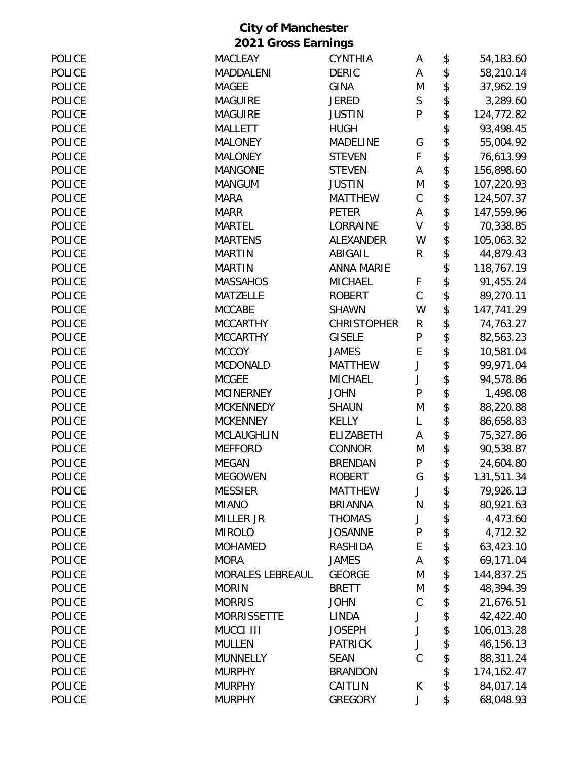| <b>POLICE</b> | <b>MACLEAY</b>          | <b>CYNTHIA</b>     | А            | \$<br>54,183.60  |
|---------------|-------------------------|--------------------|--------------|------------------|
| <b>POLICE</b> | MADDALENI               | <b>DERIC</b>       | А            | \$<br>58,210.14  |
| <b>POLICE</b> | <b>MAGEE</b>            | <b>GINA</b>        | M            | \$<br>37,962.19  |
| <b>POLICE</b> | <b>MAGUIRE</b>          | <b>JERED</b>       | $\mathsf S$  | \$<br>3,289.60   |
| <b>POLICE</b> | <b>MAGUIRE</b>          | <b>JUSTIN</b>      | P            | \$<br>124,772.82 |
| <b>POLICE</b> | <b>MALLETT</b>          | <b>HUGH</b>        |              | \$<br>93,498.45  |
| <b>POLICE</b> | <b>MALONEY</b>          | <b>MADELINE</b>    | G            | \$<br>55,004.92  |
| <b>POLICE</b> | <b>MALONEY</b>          | <b>STEVEN</b>      | F            | \$<br>76,613.99  |
| <b>POLICE</b> | <b>MANGONE</b>          | <b>STEVEN</b>      | Α            | \$<br>156,898.60 |
| <b>POLICE</b> | <b>MANGUM</b>           | <b>JUSTIN</b>      | M            | \$<br>107,220.93 |
| <b>POLICE</b> | <b>MARA</b>             | <b>MATTHEW</b>     | $\mathsf C$  | \$<br>124,507.37 |
| <b>POLICE</b> | <b>MARR</b>             | <b>PETER</b>       | Α            | \$<br>147,559.96 |
| POLICE        | <b>MARTEL</b>           | LORRAINE           | $\vee$       | \$<br>70,338.85  |
| <b>POLICE</b> | <b>MARTENS</b>          | <b>ALEXANDER</b>   | W            | \$<br>105,063.32 |
| <b>POLICE</b> | <b>MARTIN</b>           | ABIGAIL            | R            | \$<br>44,879.43  |
| <b>POLICE</b> | <b>MARTIN</b>           | <b>ANNA MARIE</b>  |              | \$<br>118,767.19 |
| <b>POLICE</b> | <b>MASSAHOS</b>         | <b>MICHAEL</b>     | F            | \$<br>91,455.24  |
| POLICE        | <b>MATZELLE</b>         | <b>ROBERT</b>      | $\mathsf C$  | \$<br>89,270.11  |
| <b>POLICE</b> | <b>MCCABE</b>           | <b>SHAWN</b>       | W            | \$<br>147,741.29 |
| POLICE        | <b>MCCARTHY</b>         | <b>CHRISTOPHER</b> | R            | \$<br>74,763.27  |
| POLICE        | <b>MCCARTHY</b>         | <b>GISELE</b>      | ${\sf P}$    | \$<br>82,563.23  |
| <b>POLICE</b> | <b>MCCOY</b>            | <b>JAMES</b>       | E            | \$<br>10,581.04  |
| <b>POLICE</b> | <b>MCDONALD</b>         | <b>MATTHEW</b>     | J            | \$<br>99,971.04  |
| <b>POLICE</b> | <b>MCGEE</b>            | <b>MICHAEL</b>     | J            | \$<br>94,578.86  |
| <b>POLICE</b> | <b>MCINERNEY</b>        | <b>JOHN</b>        | $\mathsf{P}$ | \$<br>1,498.08   |
| <b>POLICE</b> | <b>MCKENNEDY</b>        | <b>SHAUN</b>       | M            | \$<br>88,220.88  |
| <b>POLICE</b> | <b>MCKENNEY</b>         | <b>KELLY</b>       | L            | \$<br>86,658.83  |
| <b>POLICE</b> | <b>MCLAUGHLIN</b>       | <b>ELIZABETH</b>   | Α            | \$<br>75,327.86  |
| <b>POLICE</b> | <b>MEFFORD</b>          | <b>CONNOR</b>      | M            | \$<br>90,538.87  |
| <b>POLICE</b> | <b>MEGAN</b>            | <b>BRENDAN</b>     | ${\sf P}$    | \$<br>24,604.80  |
| <b>POLICE</b> | <b>MEGOWEN</b>          | <b>ROBERT</b>      | G            | \$<br>131,511.34 |
| POLICE        | <b>MESSIER</b>          | <b>MATTHEW</b>     | J            | \$<br>79,926.13  |
| <b>POLICE</b> | <b>MIANO</b>            | <b>BRIANNA</b>     | N            | \$<br>80,921.63  |
| <b>POLICE</b> | <b>MILLER JR</b>        | <b>THOMAS</b>      | J            | \$<br>4,473.60   |
| <b>POLICE</b> | <b>MIROLO</b>           | <b>JOSANNE</b>     | ${\sf P}$    | \$<br>4,712.32   |
| <b>POLICE</b> | <b>MOHAMED</b>          | <b>RASHIDA</b>     | E            | \$<br>63,423.10  |
| <b>POLICE</b> | <b>MORA</b>             | <b>JAMES</b>       | A            | \$<br>69,171.04  |
| <b>POLICE</b> | <b>MORALES LEBREAUL</b> | <b>GEORGE</b>      | M            | \$<br>144,837.25 |
| POLICE        | <b>MORIN</b>            | <b>BRETT</b>       | M            | \$<br>48,394.39  |
| <b>POLICE</b> | <b>MORRIS</b>           | <b>JOHN</b>        | $\mathsf C$  | \$<br>21,676.51  |
| <b>POLICE</b> | <b>MORRISSETTE</b>      | <b>LINDA</b>       | J            | \$<br>42,422.40  |
| <b>POLICE</b> | MUCCI III               | <b>JOSEPH</b>      | J            | \$<br>106,013.28 |
| POLICE        | <b>MULLEN</b>           | <b>PATRICK</b>     | J            | \$<br>46,156.13  |
| POLICE        | <b>MUNNELLY</b>         | <b>SEAN</b>        | $\mathsf{C}$ | \$<br>88,311.24  |
| <b>POLICE</b> | <b>MURPHY</b>           | <b>BRANDON</b>     |              | \$<br>174,162.47 |
| POLICE        | <b>MURPHY</b>           | CAITLIN            | К            | \$<br>84,017.14  |
| POLICE        | <b>MURPHY</b>           | <b>GREGORY</b>     | J            | \$<br>68,048.93  |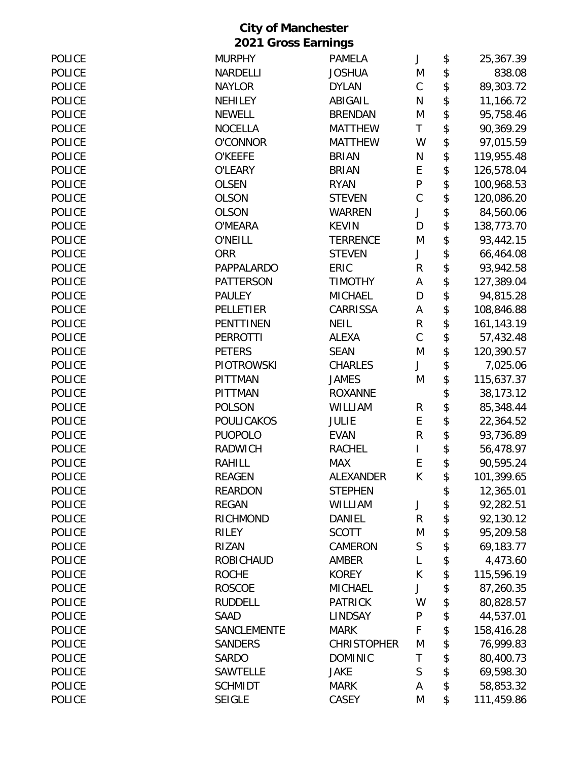| <b>POLICE</b> | <b>MURPHY</b>     | PAMELA             | J           | \$<br>25,367.39    |
|---------------|-------------------|--------------------|-------------|--------------------|
| <b>POLICE</b> | <b>NARDELLI</b>   | <b>JOSHUA</b>      | M           | \$<br>838.08       |
| <b>POLICE</b> | <b>NAYLOR</b>     | <b>DYLAN</b>       | $\mathsf C$ | \$<br>89,303.72    |
| <b>POLICE</b> | <b>NEHILEY</b>    | ABIGAIL            | N           | \$<br>11,166.72    |
| <b>POLICE</b> | <b>NEWELL</b>     | <b>BRENDAN</b>     | M           | \$<br>95,758.46    |
| <b>POLICE</b> | <b>NOCELLA</b>    | <b>MATTHEW</b>     | Τ           | \$<br>90,369.29    |
| <b>POLICE</b> | <b>O'CONNOR</b>   | <b>MATTHEW</b>     | W           | \$<br>97,015.59    |
| <b>POLICE</b> | <b>O'KEEFE</b>    | <b>BRIAN</b>       | N           | \$<br>119,955.48   |
| <b>POLICE</b> | O'LEARY           | <b>BRIAN</b>       | E           | \$<br>126,578.04   |
| <b>POLICE</b> | <b>OLSEN</b>      | <b>RYAN</b>        | ${\sf P}$   | \$<br>100,968.53   |
| <b>POLICE</b> | <b>OLSON</b>      | <b>STEVEN</b>      | $\mathsf C$ | \$<br>120,086.20   |
| <b>POLICE</b> | <b>OLSON</b>      | <b>WARREN</b>      | J           | \$<br>84,560.06    |
| <b>POLICE</b> | O'MEARA           | <b>KEVIN</b>       | D           | \$<br>138,773.70   |
| <b>POLICE</b> | <b>O'NEILL</b>    | <b>TERRENCE</b>    | M           | \$<br>93,442.15    |
| <b>POLICE</b> | <b>ORR</b>        | <b>STEVEN</b>      | J           | \$<br>66,464.08    |
| <b>POLICE</b> | PAPPALARDO        | ERIC               | R           | \$<br>93,942.58    |
| <b>POLICE</b> | <b>PATTERSON</b>  | <b>TIMOTHY</b>     | A           | \$<br>127,389.04   |
| <b>POLICE</b> | <b>PAULEY</b>     | <b>MICHAEL</b>     | D           | \$<br>94,815.28    |
| <b>POLICE</b> | PELLETIER         | CARRISSA           | А           | \$<br>108,846.88   |
| <b>POLICE</b> | PENTTINEN         | <b>NEIL</b>        | ${\sf R}$   | \$<br>161, 143. 19 |
| <b>POLICE</b> | <b>PERROTTI</b>   | ALEXA              | $\mathsf C$ | \$<br>57,432.48    |
| <b>POLICE</b> | <b>PETERS</b>     | <b>SEAN</b>        | M           | \$<br>120,390.57   |
| <b>POLICE</b> | <b>PIOTROWSKI</b> | <b>CHARLES</b>     | J           | \$<br>7,025.06     |
| <b>POLICE</b> | <b>PITTMAN</b>    | <b>JAMES</b>       | M           | \$<br>115,637.37   |
| <b>POLICE</b> | <b>PITTMAN</b>    | <b>ROXANNE</b>     |             | \$<br>38,173.12    |
| <b>POLICE</b> | <b>POLSON</b>     | WILLIAM            | R           | \$<br>85,348.44    |
| <b>POLICE</b> | <b>POULICAKOS</b> | <b>JULIE</b>       | E           | \$<br>22,364.52    |
| <b>POLICE</b> | <b>PUOPOLO</b>    | <b>EVAN</b>        | $\mathsf R$ | \$<br>93,736.89    |
| <b>POLICE</b> | RADWICH           | <b>RACHEL</b>      | L           | \$<br>56,478.97    |
| <b>POLICE</b> | <b>RAHILL</b>     | <b>MAX</b>         | E           | \$<br>90,595.24    |
| <b>POLICE</b> | <b>REAGEN</b>     | ALEXANDER          | К           | 101,399.65         |
| <b>POLICE</b> | <b>REARDON</b>    | <b>STEPHEN</b>     |             | \$<br>12,365.01    |
| <b>POLICE</b> | <b>REGAN</b>      | <b>WILLIAM</b>     | J           | \$<br>92,282.51    |
| <b>POLICE</b> | RICHMOND          | DANIEL             | $\mathsf R$ | \$<br>92,130.12    |
| <b>POLICE</b> | RILEY             | <b>SCOTT</b>       | M           | \$<br>95,209.58    |
| <b>POLICE</b> | <b>RIZAN</b>      | CAMERON            | $\mathsf S$ | \$<br>69,183.77    |
| <b>POLICE</b> | <b>ROBICHAUD</b>  | AMBER              | L           | \$<br>4,473.60     |
| <b>POLICE</b> | <b>ROCHE</b>      | <b>KOREY</b>       | К           | \$<br>115,596.19   |
| <b>POLICE</b> | <b>ROSCOE</b>     | <b>MICHAEL</b>     | J           | \$<br>87,260.35    |
| <b>POLICE</b> | <b>RUDDELL</b>    | <b>PATRICK</b>     | W           | \$<br>80,828.57    |
| <b>POLICE</b> | <b>SAAD</b>       | <b>LINDSAY</b>     | P           | \$<br>44,537.01    |
| <b>POLICE</b> | SANCLEMENTE       | <b>MARK</b>        | F           | \$<br>158,416.28   |
| <b>POLICE</b> | <b>SANDERS</b>    | <b>CHRISTOPHER</b> | M           | \$<br>76,999.83    |
| <b>POLICE</b> | <b>SARDO</b>      | <b>DOMINIC</b>     | T           | \$<br>80,400.73    |
| <b>POLICE</b> | <b>SAWTELLE</b>   | <b>JAKE</b>        | S           | \$<br>69,598.30    |
| <b>POLICE</b> | <b>SCHMIDT</b>    | <b>MARK</b>        | A           | \$<br>58,853.32    |
| <b>POLICE</b> | <b>SEIGLE</b>     | CASEY              | M           | \$<br>111,459.86   |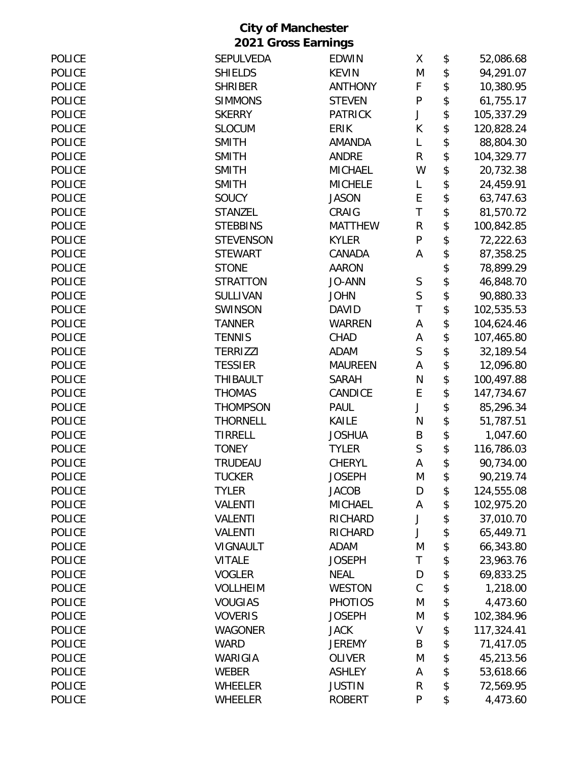| <b>POLICE</b> | <b>SEPULVEDA</b> | <b>EDWIN</b>   | X            | \$<br>52,086.68  |
|---------------|------------------|----------------|--------------|------------------|
| <b>POLICE</b> | <b>SHIELDS</b>   | <b>KEVIN</b>   | M            | \$<br>94,291.07  |
| <b>POLICE</b> | <b>SHRIBER</b>   | <b>ANTHONY</b> | F            | \$<br>10,380.95  |
| <b>POLICE</b> | <b>SIMMONS</b>   | <b>STEVEN</b>  | P            | \$<br>61,755.17  |
| <b>POLICE</b> | <b>SKERRY</b>    | <b>PATRICK</b> | J            | \$<br>105,337.29 |
| <b>POLICE</b> | <b>SLOCUM</b>    | <b>ERIK</b>    | К            | \$<br>120,828.24 |
| <b>POLICE</b> | <b>SMITH</b>     | <b>AMANDA</b>  | L            | \$<br>88,804.30  |
| <b>POLICE</b> | <b>SMITH</b>     | <b>ANDRE</b>   | R            | \$<br>104,329.77 |
| <b>POLICE</b> | <b>SMITH</b>     | <b>MICHAEL</b> | W            | \$<br>20,732.38  |
| <b>POLICE</b> | <b>SMITH</b>     | <b>MICHELE</b> | L            | \$<br>24,459.91  |
| <b>POLICE</b> | SOUCY            | <b>JASON</b>   | E            | \$<br>63,747.63  |
| <b>POLICE</b> | <b>STANZEL</b>   | CRAIG          | $\mathsf T$  | \$<br>81,570.72  |
| <b>POLICE</b> | <b>STEBBINS</b>  | <b>MATTHEW</b> | $\mathsf R$  | \$<br>100,842.85 |
| <b>POLICE</b> | <b>STEVENSON</b> | <b>KYLER</b>   | $\mathsf{P}$ | \$<br>72,222.63  |
| <b>POLICE</b> | <b>STEWART</b>   | CANADA         | A            | \$<br>87,358.25  |
| <b>POLICE</b> | <b>STONE</b>     | <b>AARON</b>   |              | \$<br>78,899.29  |
| <b>POLICE</b> | <b>STRATTON</b>  | <b>JO-ANN</b>  | $\mathsf S$  | \$<br>46,848.70  |
| <b>POLICE</b> | <b>SULLIVAN</b>  | <b>JOHN</b>    | S            | \$<br>90,880.33  |
| <b>POLICE</b> | <b>SWINSON</b>   | <b>DAVID</b>   | T            | \$<br>102,535.53 |
| <b>POLICE</b> | <b>TANNER</b>    | <b>WARREN</b>  | Α            | \$<br>104,624.46 |
| <b>POLICE</b> | <b>TENNIS</b>    | CHAD           | А            | \$<br>107,465.80 |
| <b>POLICE</b> | <b>TERRIZZI</b>  | <b>ADAM</b>    | $\mathsf{S}$ | \$<br>32,189.54  |
| <b>POLICE</b> | <b>TESSIER</b>   | <b>MAUREEN</b> | A            | \$<br>12,096.80  |
| <b>POLICE</b> | <b>THIBAULT</b>  | <b>SARAH</b>   | N            | \$<br>100,497.88 |
| <b>POLICE</b> | <b>THOMAS</b>    | CANDICE        | E            | \$<br>147,734.67 |
| <b>POLICE</b> | <b>THOMPSON</b>  | <b>PAUL</b>    | J            | \$<br>85,296.34  |
| <b>POLICE</b> | <b>THORNELL</b>  | KAILE          | N            | \$<br>51,787.51  |
| <b>POLICE</b> | <b>TIRRELL</b>   | <b>JOSHUA</b>  | B            | \$<br>1,047.60   |
| <b>POLICE</b> | <b>TONEY</b>     | <b>TYLER</b>   | $\mathsf S$  | \$<br>116,786.03 |
| <b>POLICE</b> | <b>TRUDEAU</b>   | <b>CHERYL</b>  | A            | \$<br>90,734.00  |
| <b>POLICE</b> | <b>TUCKER</b>    | <b>JOSEPH</b>  | M            | \$<br>90,219.74  |
| <b>POLICE</b> | <b>TYLER</b>     | <b>JACOB</b>   | D            | \$<br>124,555.08 |
| <b>POLICE</b> | <b>VALENTI</b>   | <b>MICHAEL</b> | A            | \$<br>102,975.20 |
| <b>POLICE</b> | <b>VALENTI</b>   | RICHARD        | J            | \$<br>37,010.70  |
| <b>POLICE</b> | <b>VALENTI</b>   | RICHARD        | J            | \$<br>65,449.71  |
| <b>POLICE</b> | VIGNAULT         | <b>ADAM</b>    | M            | \$<br>66,343.80  |
| POLICE        | <b>VITALE</b>    | <b>JOSEPH</b>  | T            | \$<br>23,963.76  |
| <b>POLICE</b> | <b>VOGLER</b>    | <b>NEAL</b>    | D            | \$<br>69,833.25  |
| <b>POLICE</b> | <b>VOLLHEIM</b>  | <b>WESTON</b>  | $\mathsf C$  | \$<br>1,218.00   |
| <b>POLICE</b> | <b>VOUGIAS</b>   | <b>PHOTIOS</b> | M            | \$<br>4,473.60   |
| <b>POLICE</b> | <b>VOVERIS</b>   | <b>JOSEPH</b>  | M            | \$<br>102,384.96 |
| <b>POLICE</b> | <b>WAGONER</b>   | <b>JACK</b>    | $\sf V$      | \$<br>117,324.41 |
| <b>POLICE</b> | <b>WARD</b>      | <b>JEREMY</b>  | B            | \$<br>71,417.05  |
| <b>POLICE</b> | WARIGIA          | <b>OLIVER</b>  | M            | \$<br>45,213.56  |
| <b>POLICE</b> | <b>WEBER</b>     | <b>ASHLEY</b>  | A            | \$<br>53,618.66  |
| <b>POLICE</b> | <b>WHEELER</b>   | <b>JUSTIN</b>  | R            | \$<br>72,569.95  |
| <b>POLICE</b> | <b>WHEELER</b>   | <b>ROBERT</b>  | P            | \$<br>4,473.60   |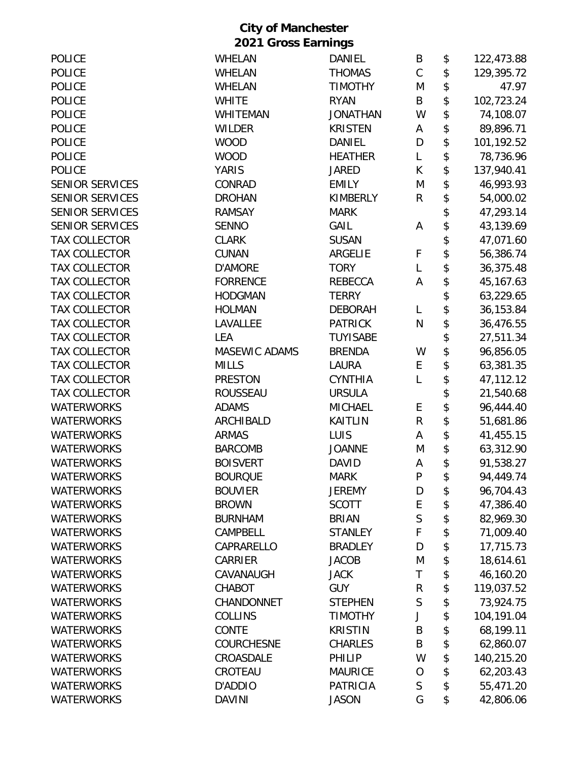|                        | <b>City of Manchester</b> |                 |              |                  |
|------------------------|---------------------------|-----------------|--------------|------------------|
|                        | 2021 Gross Earnings       |                 |              |                  |
| <b>POLICE</b>          | <b>WHELAN</b>             | <b>DANIEL</b>   | B            | \$<br>122,473.88 |
| <b>POLICE</b>          | <b>WHELAN</b>             | <b>THOMAS</b>   | $\mathsf C$  | \$<br>129,395.72 |
| <b>POLICE</b>          | <b>WHELAN</b>             | <b>TIMOTHY</b>  | M            | \$<br>47.97      |
| <b>POLICE</b>          | <b>WHITE</b>              | <b>RYAN</b>     | B            | \$<br>102,723.24 |
| <b>POLICE</b>          | <b>WHITEMAN</b>           | <b>JONATHAN</b> | W            | \$<br>74,108.07  |
| <b>POLICE</b>          | <b>WILDER</b>             | <b>KRISTEN</b>  | A            | \$<br>89,896.71  |
| <b>POLICE</b>          | <b>WOOD</b>               | <b>DANIEL</b>   | D            | \$<br>101,192.52 |
| <b>POLICE</b>          | <b>WOOD</b>               | <b>HEATHER</b>  | L            | \$<br>78,736.96  |
| <b>POLICE</b>          | <b>YARIS</b>              | <b>JARED</b>    | К            | \$<br>137,940.41 |
| <b>SENIOR SERVICES</b> | CONRAD                    | <b>EMILY</b>    | M            | \$<br>46,993.93  |
| <b>SENIOR SERVICES</b> | <b>DROHAN</b>             | <b>KIMBERLY</b> | R            | \$<br>54,000.02  |
| <b>SENIOR SERVICES</b> | <b>RAMSAY</b>             | <b>MARK</b>     |              | \$<br>47,293.14  |
| <b>SENIOR SERVICES</b> | <b>SENNO</b>              | GAIL            | A            | \$<br>43,139.69  |
| <b>TAX COLLECTOR</b>   | <b>CLARK</b>              | <b>SUSAN</b>    |              | \$<br>47,071.60  |
| <b>TAX COLLECTOR</b>   | <b>CUNAN</b>              | ARGELIE         | F            | \$<br>56,386.74  |
| <b>TAX COLLECTOR</b>   | <b>D'AMORE</b>            | <b>TORY</b>     | L            | \$<br>36,375.48  |
| <b>TAX COLLECTOR</b>   | <b>FORRENCE</b>           | <b>REBECCA</b>  | A            | \$<br>45,167.63  |
| <b>TAX COLLECTOR</b>   | <b>HODGMAN</b>            | <b>TERRY</b>    |              | \$<br>63,229.65  |
| <b>TAX COLLECTOR</b>   | <b>HOLMAN</b>             | <b>DEBORAH</b>  | L            | \$<br>36,153.84  |
| <b>TAX COLLECTOR</b>   | LAVALLEE                  | <b>PATRICK</b>  | $\mathsf{N}$ | \$<br>36,476.55  |
| <b>TAX COLLECTOR</b>   | LEA                       | <b>TUYISABE</b> |              | \$<br>27,511.34  |
| <b>TAX COLLECTOR</b>   | MASEWIC ADAMS             | <b>BRENDA</b>   | W            | \$<br>96,856.05  |
| <b>TAX COLLECTOR</b>   | <b>MILLS</b>              | <b>LAURA</b>    | E            | \$<br>63,381.35  |
| <b>TAX COLLECTOR</b>   | <b>PRESTON</b>            | <b>CYNTHIA</b>  | L            | \$<br>47,112.12  |
| <b>TAX COLLECTOR</b>   | <b>ROUSSEAU</b>           | <b>URSULA</b>   |              | \$<br>21,540.68  |
| <b>WATERWORKS</b>      | <b>ADAMS</b>              | <b>MICHAEL</b>  | E            | \$<br>96,444.40  |
| <b>WATERWORKS</b>      | ARCHIBALD                 | <b>KAITLIN</b>  | $\mathsf{R}$ | \$<br>51,681.86  |
| <b>WATERWORKS</b>      | <b>ARMAS</b>              | LUIS            | A            | \$<br>41,455.15  |
| <b>WATERWORKS</b>      | <b>BARCOMB</b>            | JOANNE          | M            | \$<br>63,312.90  |
| <b>WATERWORKS</b>      | <b>BOISVERT</b>           | <b>DAVID</b>    | A            | \$<br>91,538.27  |
| <b>WATERWORKS</b>      | <b>BOURQUE</b>            | <b>MARK</b>     | P            | \$<br>94,449.74  |
| <b>WATERWORKS</b>      | <b>BOUVIER</b>            | <b>JEREMY</b>   | D            | \$<br>96,704.43  |
| <b>WATERWORKS</b>      | <b>BROWN</b>              | <b>SCOTT</b>    | E            | \$<br>47,386.40  |
| <b>WATERWORKS</b>      | <b>BURNHAM</b>            | <b>BRIAN</b>    | $\mathsf S$  | \$<br>82,969.30  |
| <b>WATERWORKS</b>      | CAMPBELL                  | <b>STANLEY</b>  | $\mathsf F$  | \$<br>71,009.40  |
| <b>WATERWORKS</b>      | CAPRARELLO                | <b>BRADLEY</b>  | D            | \$<br>17,715.73  |
| <b>WATERWORKS</b>      | CARRIER                   | <b>JACOB</b>    | M            | \$<br>18,614.61  |
| <b>WATERWORKS</b>      | CAVANAUGH                 | <b>JACK</b>     | T            | \$<br>46,160.20  |
| <b>WATERWORKS</b>      | CHABOT                    | <b>GUY</b>      | ${\sf R}$    | \$<br>119,037.52 |
| <b>WATERWORKS</b>      | CHANDONNET                | <b>STEPHEN</b>  | $\mathsf S$  | \$<br>73,924.75  |
| <b>WATERWORKS</b>      | <b>COLLINS</b>            | <b>TIMOTHY</b>  | J            | \$<br>104,191.04 |
| <b>WATERWORKS</b>      | CONTE                     | <b>KRISTIN</b>  | B            | \$<br>68,199.11  |
| <b>WATERWORKS</b>      | <b>COURCHESNE</b>         | <b>CHARLES</b>  | B            | \$<br>62,860.07  |
| <b>WATERWORKS</b>      | CROASDALE                 | PHILIP          | W            | \$<br>140,215.20 |
| <b>WATERWORKS</b>      | CROTEAU                   | <b>MAURICE</b>  | $\circ$      | \$<br>62,203.43  |
| <b>WATERWORKS</b>      | D'ADDIO                   | <b>PATRICIA</b> | $\mathsf S$  | \$<br>55,471.20  |
| <b>WATERWORKS</b>      | <b>DAVINI</b>             | <b>JASON</b>    | G            | \$<br>42,806.06  |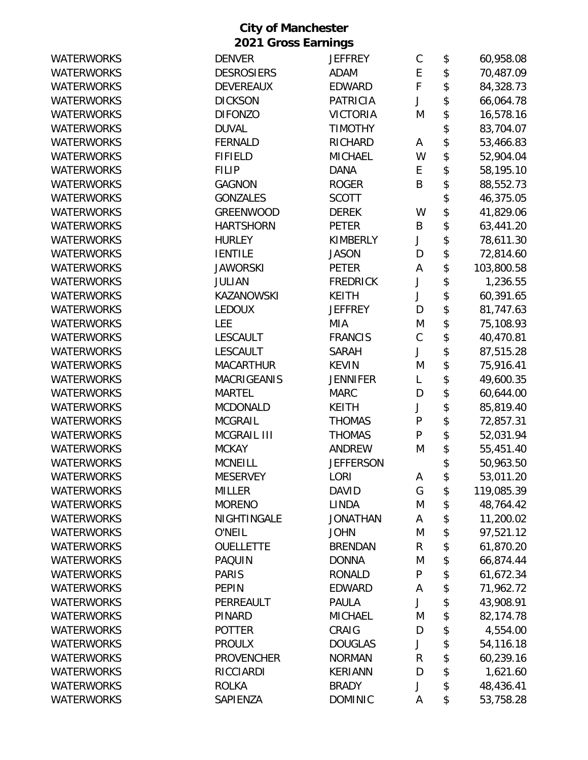| <b>WATERWORKS</b> | <b>DENVER</b>      | <b>JEFFREY</b>   | $\mathsf C$  | \$<br>60,958.08  |
|-------------------|--------------------|------------------|--------------|------------------|
| <b>WATERWORKS</b> | <b>DESROSIERS</b>  | <b>ADAM</b>      | E            | \$<br>70,487.09  |
| <b>WATERWORKS</b> | <b>DEVEREAUX</b>   | <b>EDWARD</b>    | F            | \$<br>84,328.73  |
| <b>WATERWORKS</b> | <b>DICKSON</b>     | <b>PATRICIA</b>  | J            | \$<br>66,064.78  |
| <b>WATERWORKS</b> | <b>DIFONZO</b>     | <b>VICTORIA</b>  | M            | \$<br>16,578.16  |
| <b>WATERWORKS</b> | <b>DUVAL</b>       | <b>TIMOTHY</b>   |              | \$<br>83,704.07  |
| <b>WATERWORKS</b> | <b>FERNALD</b>     | RICHARD          | A            | \$<br>53,466.83  |
| <b>WATERWORKS</b> | <b>FIFIELD</b>     | <b>MICHAEL</b>   | W            | \$<br>52,904.04  |
| <b>WATERWORKS</b> | <b>FILIP</b>       | <b>DANA</b>      | E            | \$<br>58,195.10  |
| <b>WATERWORKS</b> | <b>GAGNON</b>      | <b>ROGER</b>     | B            | \$<br>88,552.73  |
| <b>WATERWORKS</b> | <b>GONZALES</b>    | <b>SCOTT</b>     |              | \$<br>46,375.05  |
| <b>WATERWORKS</b> | <b>GREENWOOD</b>   | <b>DEREK</b>     | W            | \$<br>41,829.06  |
| <b>WATERWORKS</b> | <b>HARTSHORN</b>   | <b>PETER</b>     | B            | \$<br>63,441.20  |
| <b>WATERWORKS</b> | <b>HURLEY</b>      | <b>KIMBERLY</b>  | J            | \$<br>78,611.30  |
| <b>WATERWORKS</b> | <b>IENTILE</b>     | <b>JASON</b>     | D            | \$<br>72,814.60  |
| <b>WATERWORKS</b> | <b>JAWORSKI</b>    | <b>PETER</b>     | A            | \$<br>103,800.58 |
| <b>WATERWORKS</b> | <b>JULIAN</b>      | <b>FREDRICK</b>  | J            | \$<br>1,236.55   |
| <b>WATERWORKS</b> | <b>KAZANOWSKI</b>  | <b>KEITH</b>     | J            | \$<br>60,391.65  |
| <b>WATERWORKS</b> | <b>LEDOUX</b>      | <b>JEFFREY</b>   | D            | \$<br>81,747.63  |
| <b>WATERWORKS</b> | <b>LEE</b>         | MIA              | M            | \$<br>75,108.93  |
| <b>WATERWORKS</b> | <b>LESCAULT</b>    | <b>FRANCIS</b>   | $\mathsf C$  | \$<br>40,470.81  |
| <b>WATERWORKS</b> | LESCAULT           | <b>SARAH</b>     | J            | \$<br>87,515.28  |
| <b>WATERWORKS</b> | <b>MACARTHUR</b>   | <b>KEVIN</b>     | M            | \$<br>75,916.41  |
| <b>WATERWORKS</b> | <b>MACRIGEANIS</b> | <b>JENNIFER</b>  | L            | \$<br>49,600.35  |
| <b>WATERWORKS</b> | <b>MARTEL</b>      | <b>MARC</b>      | D            | \$<br>60,644.00  |
| <b>WATERWORKS</b> | <b>MCDONALD</b>    | <b>KEITH</b>     | J            | \$<br>85,819.40  |
| <b>WATERWORKS</b> | <b>MCGRAIL</b>     | <b>THOMAS</b>    | P            | \$<br>72,857.31  |
| <b>WATERWORKS</b> | MCGRAIL III        | <b>THOMAS</b>    | $\mathsf{P}$ | \$<br>52,031.94  |
| <b>WATERWORKS</b> | <b>MCKAY</b>       | <b>ANDREW</b>    | M            | \$<br>55,451.40  |
| <b>WATERWORKS</b> | <b>MCNEILL</b>     | <b>JEFFERSON</b> |              | \$<br>50,963.50  |
| <b>WATERWORKS</b> | <b>MESERVEY</b>    | LORI             | A            | \$<br>53,011.20  |
| <b>WATERWORKS</b> | <b>MILLER</b>      | <b>DAVID</b>     | G            | \$<br>119,085.39 |
| <b>WATERWORKS</b> | <b>MORENO</b>      | <b>LINDA</b>     | M            | \$<br>48,764.42  |
| <b>WATERWORKS</b> | NIGHTINGALE        | <b>JONATHAN</b>  | Α            | \$<br>11,200.02  |
| <b>WATERWORKS</b> | O'NEIL             | <b>JOHN</b>      | M            | \$<br>97,521.12  |
| <b>WATERWORKS</b> | <b>OUELLETTE</b>   | <b>BRENDAN</b>   | $\mathsf{R}$ | \$<br>61,870.20  |
| <b>WATERWORKS</b> | <b>PAQUIN</b>      | <b>DONNA</b>     | M            | \$<br>66,874.44  |
| <b>WATERWORKS</b> | <b>PARIS</b>       | <b>RONALD</b>    | ${\sf P}$    | \$<br>61,672.34  |
| <b>WATERWORKS</b> | <b>PEPIN</b>       | <b>EDWARD</b>    | Α            | \$<br>71,962.72  |
| <b>WATERWORKS</b> | PERREAULT          | <b>PAULA</b>     | J            | \$<br>43,908.91  |
| <b>WATERWORKS</b> | <b>PINARD</b>      | <b>MICHAEL</b>   | M            | \$<br>82,174.78  |
| <b>WATERWORKS</b> | <b>POTTER</b>      | CRAIG            | D            | \$<br>4,554.00   |
| <b>WATERWORKS</b> | <b>PROULX</b>      | <b>DOUGLAS</b>   | J            | \$<br>54,116.18  |
| <b>WATERWORKS</b> | <b>PROVENCHER</b>  | <b>NORMAN</b>    | R            | \$<br>60,239.16  |
| <b>WATERWORKS</b> | <b>RICCIARDI</b>   | <b>KERIANN</b>   | D            | \$<br>1,621.60   |
| <b>WATERWORKS</b> | <b>ROLKA</b>       | <b>BRADY</b>     | J            | \$<br>48,436.41  |
| <b>WATERWORKS</b> | SAPIENZA           | <b>DOMINIC</b>   | Α            | \$<br>53,758.28  |